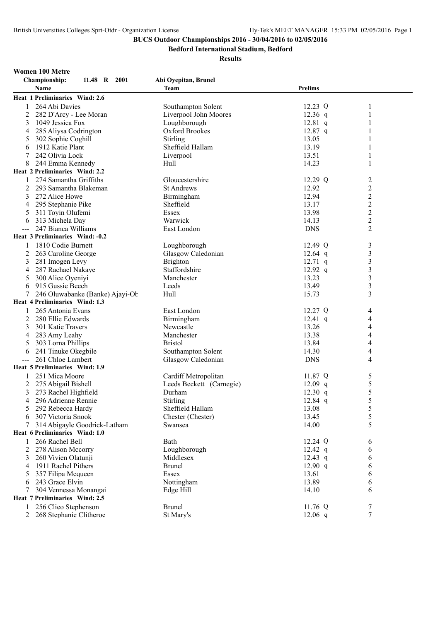**Bedford International Stadium, Bedford**

#### **Results**

**Women 100 Metre**

|   | Championship:<br>11.48 R 2001   | Abi Oyepitan, Brunel     |                |                         |
|---|---------------------------------|--------------------------|----------------|-------------------------|
|   | Name                            | <b>Team</b>              | <b>Prelims</b> |                         |
|   | Heat 1 Preliminaries Wind: 2.6  |                          |                |                         |
| 1 | 264 Abi Davies                  | Southampton Solent       | 12.23 Q        | 1                       |
| 2 | 282 D'Arcy - Lee Moran          | Liverpool John Moores    | $12.36$ q      | 1                       |
| 3 | 1049 Jessica Fox                | Loughborough             | $12.81$ q      | 1                       |
| 4 | 285 Aliysa Codrington           | Oxford Brookes           | $12.87$ q      | 1                       |
| 5 | 302 Sophie Coghill              | Stirling                 | 13.05          | 1                       |
| 6 | 1912 Katie Plant                | Sheffield Hallam         | 13.19          | 1                       |
| 7 | 242 Olivia Lock                 | Liverpool                | 13.51          | 1                       |
| 8 | 244 Emma Kennedy                | Hull                     | 14.23          | 1                       |
|   | Heat 2 Preliminaries Wind: 2.2  |                          |                |                         |
| 1 | 274 Samantha Griffiths          | Gloucestershire          | $12.29$ Q      | $\overline{\mathbf{c}}$ |
| 2 | 293 Samantha Blakeman           | <b>St Andrews</b>        | 12.92          | $\overline{c}$          |
| 3 | 272 Alice Howe                  | Birmingham               | 12.94          |                         |
| 4 | 295 Stephanie Pike              | Sheffield                | 13.17          | $\frac{2}{2}$           |
| 5 | 311 Toyin Olufemi               | Essex                    | 13.98          | $\overline{c}$          |
| 6 | 313 Michela Day                 | Warwick                  | 14.13          | $\overline{\mathbf{c}}$ |
|   | 247 Bianca Williams             | East London              | <b>DNS</b>     | $\overline{c}$          |
|   | Heat 3 Preliminaries Wind: -0.2 |                          |                |                         |
| 1 | 1810 Codie Burnett              | Loughborough             | 12.49 Q        | 3                       |
| 2 | 263 Caroline George             | Glasgow Caledonian       | $12.64$ q      | 3                       |
| 3 | 281 Imogen Levy                 | Brighton                 | $12.71$ q      | $\overline{\mathbf{3}}$ |
| 4 | 287 Rachael Nakaye              | Staffordshire            | $12.92$ q      | $\overline{\mathbf{3}}$ |
| 5 | 300 Alice Oyeniyi               | Manchester               | 13.23          | 3                       |
| 6 | 915 Gussie Beech                | Leeds                    | 13.49          | 3                       |
| 7 | 246 Oluwabanke (Banke) Ajayi-Ob | Hull                     | 15.73          | 3                       |
|   | Heat 4 Preliminaries Wind: 1.3  |                          |                |                         |
|   | 265 Antonia Evans               | East London              | 12.27 Q        | 4                       |
| 2 | 280 Ellie Edwards               | Birmingham               | $12.41$ q      | 4                       |
| 3 | 301 Katie Travers               | Newcastle                | 13.26          | 4                       |
| 4 | 283 Amy Leahy                   | Manchester               | 13.38          | 4                       |
| 5 | 303 Lorna Phillips              | <b>Bristol</b>           | 13.84          | 4                       |
|   | 241 Tinuke Okegbile             | Southampton Solent       | 14.30          | 4                       |
| 6 | 261 Chloe Lambert               |                          | <b>DNS</b>     | 4                       |
|   | Heat 5 Preliminaries Wind: 1.9  | Glasgow Caledonian       |                |                         |
|   |                                 |                          |                |                         |
| 1 | 251 Mica Moore                  | Cardiff Metropolitan     | 11.87 Q        | 5                       |
| 2 | 275 Abigail Bishell             | Leeds Beckett (Carnegie) | $12.09$ q      | 5                       |
| 3 | 273 Rachel Highfield            | Durham                   | $12.30$ q      | 5                       |
| 4 | 296 Adrienne Rennie             | Stirling                 | $12.84$ q      | 5                       |
| C | 292 Rebecca Hardy               | Sheffield Hallam         | 13.08          | 5                       |
| 6 | 307 Victoria Snook              | Chester (Chester)        | 13.45          | 5                       |
| 7 | 314 Abigayle Goodrick-Latham    | Swansea                  | 14.00          | 5                       |
|   | Heat 6 Preliminaries Wind: 1.0  |                          |                |                         |
| 1 | 266 Rachel Bell                 | Bath                     | 12.24 Q        | 6                       |
| 2 | 278 Alison Mccorry              | Loughborough             | $12.42$ q      | 6                       |
| 3 | 260 Vivien Olatunji             | Middlesex                | $12.43$ q      | 6                       |
| 4 | 1911 Rachel Pithers             | <b>Brunel</b>            | 12.90 q        | 6                       |
| 5 | 357 Filipa Mcqueen              | Essex                    | 13.61          | 6                       |
| 6 | 243 Grace Elvin                 | Nottingham               | 13.89          | 6                       |
| 7 | 304 Vennessa Monangai           | Edge Hill                | 14.10          | 6                       |
|   | Heat 7 Preliminaries Wind: 2.5  |                          |                |                         |
| 1 | 256 Clieo Stephenson            | <b>Brunel</b>            | 11.76 Q        | 7                       |
| 2 | 268 Stephanie Clitheroe         | St Mary's                | $12.06$ q      | 7                       |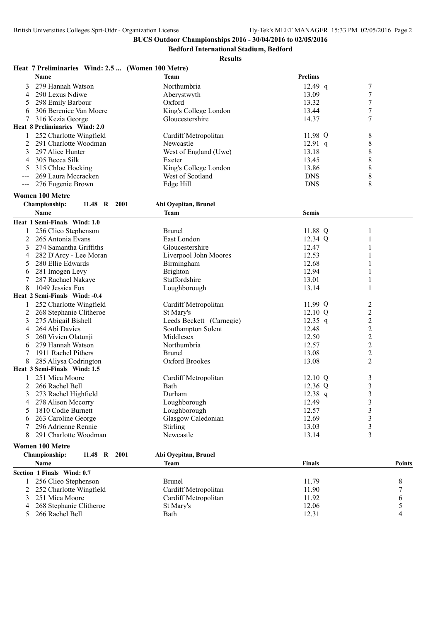**Bedford International Stadium, Bedford**

|                     | Heat 7 Preliminaries Wind: 2.5  (Women 100 Metre) |                          |                   |                  |
|---------------------|---------------------------------------------------|--------------------------|-------------------|------------------|
|                     | <b>Name</b>                                       | <b>Team</b>              | <b>Prelims</b>    |                  |
| 3                   | 279 Hannah Watson                                 | Northumbria              | $12.49$ q         | 7                |
| 4                   | 290 Lexus Ndiwe                                   | Aberystwyth              | 13.09             | $\boldsymbol{7}$ |
| 5                   | 298 Emily Barbour                                 | Oxford                   | 13.32             | 7                |
| 6                   | 306 Berenice Van Moere                            | King's College London    | 13.44             | 7                |
| 7                   | 316 Kezia George                                  | Gloucestershire          | 14.37             | 7                |
|                     | Heat 8 Preliminaries Wind: 2.0                    |                          |                   |                  |
|                     | 252 Charlotte Wingfield                           | Cardiff Metropolitan     | 11.98 Q           | 8                |
| 2                   | 291 Charlotte Woodman                             | Newcastle                | $12.91$ q         | 8                |
| 3                   | 297 Alice Hunter                                  | West of England (Uwe)    | 13.18             | 8                |
| 4                   | 305 Becca Silk                                    | Exeter                   | 13.45             | 8                |
| 5                   | 315 Chloe Hocking                                 | King's College London    | 13.86             | 8                |
|                     | 269 Laura Mecracken                               | West of Scotland         | <b>DNS</b>        | 8                |
| $\qquad \qquad - -$ | 276 Eugenie Brown                                 | Edge Hill                | <b>DNS</b>        | 8                |
|                     | <b>Women 100 Metre</b>                            |                          |                   |                  |
|                     | Championship:<br>11.48 R 2001                     | Abi Oyepitan, Brunel     |                   |                  |
|                     | Name                                              | Team                     | <b>Semis</b>      |                  |
|                     | Heat 1 Semi-Finals Wind: 1.0                      |                          |                   |                  |
|                     | 256 Clieo Stephenson                              | <b>Brunel</b>            | 11.88 Q           | 1                |
| 2                   | 265 Antonia Evans                                 | East London              | 12.34 Q           | 1                |
| 3                   | 274 Samantha Griffiths                            | Gloucestershire          | 12.47             |                  |
| 4                   | 282 D'Arcy - Lee Moran                            | Liverpool John Moores    | 12.53             |                  |
| 5                   | 280 Ellie Edwards                                 | Birmingham               | 12.68             |                  |
| 6                   | 281 Imogen Levy                                   | <b>Brighton</b>          | 12.94             |                  |
|                     | 287 Rachael Nakaye                                | Staffordshire            | 13.01             |                  |
| 8                   | 1049 Jessica Fox                                  | Loughborough             | 13.14             | 1                |
|                     | Heat 2 Semi-Finals Wind: -0.4                     |                          |                   |                  |
|                     | 252 Charlotte Wingfield                           | Cardiff Metropolitan     | 11.99 $Q$         | 2                |
| 2                   | 268 Stephanie Clitheroe                           | St Mary's                | $12.10 \text{ Q}$ | $\overline{c}$   |
| 3                   | 275 Abigail Bishell                               | Leeds Beckett (Carnegie) | $12.35$ q         | $\overline{c}$   |
| 4                   | 264 Abi Davies                                    | Southampton Solent       | 12.48             | $\overline{c}$   |
| 5                   | 260 Vivien Olatunji                               | Middlesex                | 12.50             | $\overline{c}$   |
| 6                   | 279 Hannah Watson                                 | Northumbria              | 12.57             | $\overline{c}$   |
|                     | 1911 Rachel Pithers                               | <b>Brunel</b>            | 13.08             | $\overline{c}$   |
| 8                   | 285 Aliysa Codrington                             | <b>Oxford Brookes</b>    | 13.08             | $\overline{c}$   |
|                     | Heat 3 Semi-Finals Wind: 1.5                      |                          |                   |                  |
|                     | 251 Mica Moore                                    | Cardiff Metropolitan     | 12.10 Q           | 3                |
| 2                   | 266 Rachel Bell                                   | Bath                     | 12.36 Q           | 3                |
|                     | 3 273 Rachel Highfield                            | Durham                   | $12.38$ q         | 3                |
| 4                   | 278 Alison Mccorry                                | Loughborough             | 12.49             | 3                |
|                     | 1810 Codie Burnett                                | Loughborough             | 12.57             | 3                |
|                     | 263 Caroline George                               | Glasgow Caledonian       | 12.69             | 3                |
|                     | 296 Adrienne Rennie                               | Stirling                 | 13.03             | 3                |
| 8                   | 291 Charlotte Woodman                             | Newcastle                | 13.14             | 3                |
|                     | <b>Women 100 Metre</b>                            |                          |                   |                  |
|                     | Championship:<br>11.48 R 2001                     | Abi Oyepitan, Brunel     |                   |                  |
|                     | Name                                              | Team                     | <b>Finals</b>     | <b>Points</b>    |
|                     | Section 1 Finals Wind: 0.7                        |                          |                   |                  |
|                     | 256 Clieo Stephenson                              | <b>Brunel</b>            | 11.79             | 8                |
|                     | 252 Charlotte Wingfield                           | Cardiff Metropolitan     | 11.90             |                  |
| 3                   | 251 Mica Moore                                    | Cardiff Metropolitan     | 11.92             | 6                |
| 4                   | 268 Stephanie Clitheroe                           | St Mary's                | 12.06             | 5                |
| 5                   | 266 Rachel Bell                                   | Bath                     | 12.31             | 4                |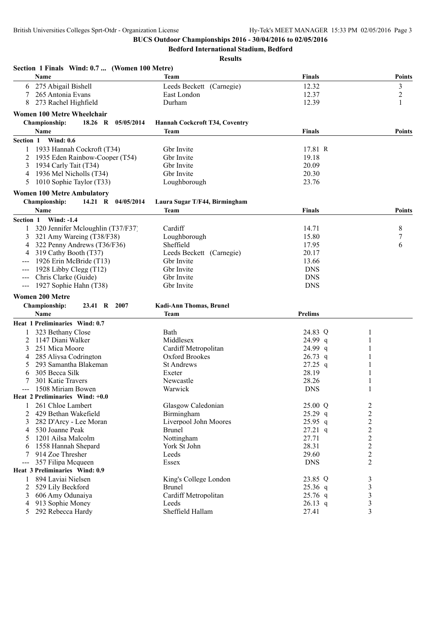**Bedford International Stadium, Bedford**

| Section 1 Finals Wind: 0.7  (Women 100 Metre) |                                |                |                  |
|-----------------------------------------------|--------------------------------|----------------|------------------|
| <b>Name</b>                                   | Team                           | <b>Finals</b>  | Points           |
| 275 Abigail Bishell<br>6                      | Leeds Beckett (Carnegie)       | 12.32          | 3                |
| 265 Antonia Evans                             | East London                    | 12.37          | $\overline{2}$   |
| 273 Rachel Highfield<br>8                     | Durham                         | 12.39          | 1                |
| <b>Women 100 Metre Wheelchair</b>             |                                |                |                  |
| 18.26 R<br><b>Championship:</b><br>05/05/2014 | Hannah Cockcroft T34, Coventry |                |                  |
| Name                                          | Team                           | <b>Finals</b>  | <b>Points</b>    |
| Section 1 Wind: 0.6                           |                                |                |                  |
| 1933 Hannah Cockroft (T34)                    | Gbr Invite                     | 17.81 R        |                  |
| 1935 Eden Rainbow-Cooper (T54)                | Gbr Invite                     | 19.18          |                  |
| 1934 Carly Tait (T34)<br>3                    | Gbr Invite                     | 20.09          |                  |
| 1936 Mel Nicholls (T34)<br>4                  | Gbr Invite                     | 20.30          |                  |
| 1010 Sophie Taylor (T33)<br>5                 | Loughborough                   | 23.76          |                  |
| <b>Women 100 Metre Ambulatory</b>             |                                |                |                  |
| <b>Championship:</b><br>14.21 R 04/05/2014    | Laura Sugar T/F44, Birmingham  |                |                  |
| Name                                          | Team                           | Finals         | Points           |
| <b>Wind: -1.4</b><br>Section 1                |                                |                |                  |
| 320 Jennifer Mcloughlin (T37/F37)             | Cardiff                        | 14.71          | 8                |
| 321 Amy Wareing (T38/F38)<br>3                | Loughborough                   | 15.80          | $\boldsymbol{7}$ |
| 322 Penny Andrews (T36/F36)<br>4              | Sheffield                      | 17.95          | 6                |
| 319 Cathy Booth (T37)<br>4                    | Leeds Beckett (Carnegie)       | 20.17          |                  |
| 1926 Erin McBride (T13)                       | Gbr Invite                     | 13.66          |                  |
| 1928 Libby Clegg (T12)                        | Gbr Invite                     | <b>DNS</b>     |                  |
| Chris Clarke (Guide)                          | Gbr Invite                     | <b>DNS</b>     |                  |
| 1927 Sophie Hahn (T38)                        | Gbr Invite                     | <b>DNS</b>     |                  |
| <b>Women 200 Metre</b>                        |                                |                |                  |
| Championship:<br>23.41 R<br>2007              | Kadi-Ann Thomas, Brunel        |                |                  |
| <b>Name</b>                                   | Team                           | <b>Prelims</b> |                  |
| Heat 1 Preliminaries Wind: 0.7                |                                |                |                  |
| 323 Bethany Close<br>1                        | Bath                           | 24.83 Q        | 1                |
| 1147 Diani Walker<br>2                        | Middlesex                      | $24.99$ q      |                  |
| 251 Mica Moore<br>3                           | Cardiff Metropolitan           | 24.99 q        |                  |
| 285 Aliysa Codrington<br>4                    | Oxford Brookes                 | $26.73$ q      |                  |
| 293 Samantha Blakeman<br>5                    | <b>St Andrews</b>              | $27.25$ q      |                  |
| 305 Becca Silk<br>6                           | Exeter                         | 28.19          |                  |
| 301 Katie Travers                             | Newcastle                      | 28.26          |                  |
| 1508 Miriam Bowen                             | Warwick                        | <b>DNS</b>     |                  |
| Heat 2 Preliminaries Wind: +0.0               |                                |                |                  |
| 261 Chloe Lambert                             | Glasgow Caledonian             | 25.00 Q        | 2                |
| 2<br>429 Bethan Wakefield                     | Birmingham                     | $25.29$ q      | $\overline{c}$   |
| 282 D'Arcy - Lee Moran<br>3                   | Liverpool John Moores          | $25.95$ q      | $\overline{c}$   |
| 530 Joanne Peak<br>4                          | <b>Brunel</b>                  | $27.21$ q      | $\overline{c}$   |
| 1201 Ailsa Malcolm<br>5                       | Nottingham                     | 27.71          | $\overline{c}$   |
| 1558 Hannah Shepard<br>6                      | York St John                   | 28.31          | $\overline{c}$   |
| 914 Zoe Thresher<br>7                         | Leeds                          | 29.60          | $\overline{c}$   |
| 357 Filipa Mcqueen<br>$\qquad \qquad -$       | Essex                          | <b>DNS</b>     | $\overline{2}$   |
| Heat 3 Preliminaries Wind: 0.9                |                                |                |                  |
| 894 Laviai Nielsen<br>1                       | King's College London          | 23.85 Q        | 3                |
| 529 Lily Beckford<br>2                        | <b>Brunel</b>                  | 25.36 q        | 3                |
| 606 Amy Odunaiya<br>3                         | Cardiff Metropolitan           | $25.76$ q      | 3                |
| 913 Sophie Money<br>4                         | Leeds                          | $26.13$ q      | 3                |
| 292 Rebecca Hardy<br>5                        | Sheffield Hallam               | 27.41          | 3                |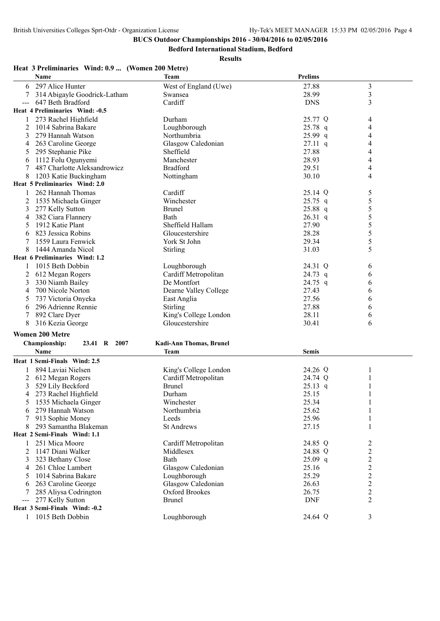**Bedford International Stadium, Bedford**

**Results**

## **Heat 3 Preliminaries Wind: 0.9 ... (Women 200 Metre)**

|                                                                                                                                                                                                                                                                                                                                                                                              | <b>Name</b>                                  | <b>Team</b>                     | <b>Prelims</b>      |                         |  |
|----------------------------------------------------------------------------------------------------------------------------------------------------------------------------------------------------------------------------------------------------------------------------------------------------------------------------------------------------------------------------------------------|----------------------------------------------|---------------------------------|---------------------|-------------------------|--|
| 6                                                                                                                                                                                                                                                                                                                                                                                            | 297 Alice Hunter                             | West of England (Uwe)           | 27.88               | 3                       |  |
|                                                                                                                                                                                                                                                                                                                                                                                              | 314 Abigayle Goodrick-Latham                 | Swansea                         | 28.99               | $\overline{\mathbf{3}}$ |  |
|                                                                                                                                                                                                                                                                                                                                                                                              | 647 Beth Bradford                            | Cardiff                         | <b>DNS</b>          | 3                       |  |
|                                                                                                                                                                                                                                                                                                                                                                                              | Heat 4 Preliminaries Wind: -0.5              |                                 |                     |                         |  |
| 1                                                                                                                                                                                                                                                                                                                                                                                            | 273 Rachel Highfield                         | Durham                          | 25.77 Q             | 4                       |  |
| 2                                                                                                                                                                                                                                                                                                                                                                                            | 1014 Sabrina Bakare                          | Loughborough                    | $25.78$ q           | 4                       |  |
| 3                                                                                                                                                                                                                                                                                                                                                                                            | 279 Hannah Watson                            | Northumbria                     | 25.99 q             | 4                       |  |
| 4                                                                                                                                                                                                                                                                                                                                                                                            | 263 Caroline George                          | Glasgow Caledonian              | $27.11 \text{ q}$   | 4                       |  |
| 5                                                                                                                                                                                                                                                                                                                                                                                            | 295 Stephanie Pike                           | Sheffield                       | 27.88               | 4                       |  |
| 6                                                                                                                                                                                                                                                                                                                                                                                            | 1112 Folu Ogunyemi                           | Manchester                      | 28.93               | 4                       |  |
| 7                                                                                                                                                                                                                                                                                                                                                                                            | 487 Charlotte Aleksandrowicz                 | <b>Bradford</b>                 | 29.51               | 4                       |  |
| 8                                                                                                                                                                                                                                                                                                                                                                                            | 1203 Katie Buckingham                        | Nottingham                      | 30.10               | 4                       |  |
|                                                                                                                                                                                                                                                                                                                                                                                              | Heat 5 Preliminaries Wind: 2.0               |                                 |                     |                         |  |
|                                                                                                                                                                                                                                                                                                                                                                                              | 262 Hannah Thomas                            | Cardiff                         | 25.14 Q             | 5                       |  |
| 2                                                                                                                                                                                                                                                                                                                                                                                            | 1535 Michaela Ginger                         | Winchester                      | $25.75$ q           | 5                       |  |
| 3                                                                                                                                                                                                                                                                                                                                                                                            | 277 Kelly Sutton                             | <b>Brunel</b>                   | 25.88 q             | 5                       |  |
| 4                                                                                                                                                                                                                                                                                                                                                                                            | 382 Ciara Flannery                           | Bath                            | $26.31$ q           | 5                       |  |
| 5                                                                                                                                                                                                                                                                                                                                                                                            | 1912 Katie Plant                             | Sheffield Hallam                | 27.90               | 5                       |  |
| 6                                                                                                                                                                                                                                                                                                                                                                                            | 823 Jessica Robins                           | Gloucestershire                 | 28.28               | 5                       |  |
|                                                                                                                                                                                                                                                                                                                                                                                              | 1559 Laura Fenwick                           | York St John                    | 29.34               | 5                       |  |
|                                                                                                                                                                                                                                                                                                                                                                                              | 1444 Amanda Nicol                            | Stirling                        | 31.03               | 5                       |  |
|                                                                                                                                                                                                                                                                                                                                                                                              | Heat 6 Preliminaries Wind: 1.2               |                                 |                     |                         |  |
| 1                                                                                                                                                                                                                                                                                                                                                                                            | 1015 Beth Dobbin                             | Loughborough                    | 24.31 Q             | 6                       |  |
| 2                                                                                                                                                                                                                                                                                                                                                                                            | 612 Megan Rogers                             | Cardiff Metropolitan            | 24.73 q             | 6                       |  |
| 3                                                                                                                                                                                                                                                                                                                                                                                            | 330 Niamh Bailey                             | De Montfort                     | 24.75 q             | 6                       |  |
| 4                                                                                                                                                                                                                                                                                                                                                                                            | 700 Nicole Norton                            | Dearne Valley College           | 27.43               | 6                       |  |
| 5                                                                                                                                                                                                                                                                                                                                                                                            | 737 Victoria Onyeka                          | East Anglia                     | 27.56               | 6                       |  |
| 6                                                                                                                                                                                                                                                                                                                                                                                            | 296 Adrienne Rennie                          | Stirling                        | 27.88               | 6                       |  |
|                                                                                                                                                                                                                                                                                                                                                                                              | 892 Clare Dyer                               | King's College London           | 28.11               | 6                       |  |
| 8                                                                                                                                                                                                                                                                                                                                                                                            | 316 Kezia George                             | Gloucestershire                 | 30.41               | 6                       |  |
|                                                                                                                                                                                                                                                                                                                                                                                              | <b>Women 200 Metre</b>                       |                                 |                     |                         |  |
|                                                                                                                                                                                                                                                                                                                                                                                              | Championship:<br>23.41 R 2007                | Kadi-Ann Thomas, Brunel         |                     |                         |  |
|                                                                                                                                                                                                                                                                                                                                                                                              | <b>Name</b>                                  | Team                            | Semis               |                         |  |
|                                                                                                                                                                                                                                                                                                                                                                                              | Heat 1 Semi-Finals Wind: 2.5                 |                                 |                     |                         |  |
|                                                                                                                                                                                                                                                                                                                                                                                              |                                              |                                 |                     |                         |  |
|                                                                                                                                                                                                                                                                                                                                                                                              | 894 Laviai Nielsen                           | King's College London           | 24.26 Q             | 1                       |  |
|                                                                                                                                                                                                                                                                                                                                                                                              | 612 Megan Rogers                             | Cardiff Metropolitan            | 24.74 Q             |                         |  |
| 3                                                                                                                                                                                                                                                                                                                                                                                            | 529 Lily Beckford                            | <b>Brunel</b>                   | $25.13$ q           |                         |  |
| 4                                                                                                                                                                                                                                                                                                                                                                                            | 273 Rachel Highfield                         | Durham                          | 25.15               |                         |  |
|                                                                                                                                                                                                                                                                                                                                                                                              | 1535 Michaela Ginger                         | Winchester                      | 25.34               |                         |  |
|                                                                                                                                                                                                                                                                                                                                                                                              | 279 Hannah Watson                            | Northumbria                     | 25.62<br>25.96      |                         |  |
|                                                                                                                                                                                                                                                                                                                                                                                              | 913 Sophie Money<br>293 Samantha Blakeman    | Leeds<br><b>St Andrews</b>      | 27.15               |                         |  |
|                                                                                                                                                                                                                                                                                                                                                                                              | Heat 2 Semi-Finals Wind: 1.1                 |                                 |                     |                         |  |
|                                                                                                                                                                                                                                                                                                                                                                                              |                                              |                                 |                     |                         |  |
|                                                                                                                                                                                                                                                                                                                                                                                              | 251 Mica Moore                               | Cardiff Metropolitan            | 24.85 Q             | 2                       |  |
| 2                                                                                                                                                                                                                                                                                                                                                                                            | 1147 Diani Walker                            | Middlesex                       | 24.88 Q             | 2                       |  |
|                                                                                                                                                                                                                                                                                                                                                                                              | 323 Bethany Close                            | Bath                            | $25.09$ q           | 2                       |  |
| 4                                                                                                                                                                                                                                                                                                                                                                                            | 261 Chloe Lambert                            | Glasgow Caledonian              | 25.16               | 2                       |  |
| 5                                                                                                                                                                                                                                                                                                                                                                                            | 1014 Sabrina Bakare                          | Loughborough                    | 25.29               | $\overline{c}$          |  |
| 6                                                                                                                                                                                                                                                                                                                                                                                            | 263 Caroline George<br>285 Aliysa Codrington | Glasgow Caledonian              | 26.63               | 2                       |  |
|                                                                                                                                                                                                                                                                                                                                                                                              | 277 Kelly Sutton                             | Oxford Brookes<br><b>Brunel</b> | 26.75<br><b>DNF</b> | 2<br>2                  |  |
| $\frac{1}{2} \frac{1}{2} \frac{1}{2} \frac{1}{2} \frac{1}{2} \frac{1}{2} \frac{1}{2} \frac{1}{2} \frac{1}{2} \frac{1}{2} \frac{1}{2} \frac{1}{2} \frac{1}{2} \frac{1}{2} \frac{1}{2} \frac{1}{2} \frac{1}{2} \frac{1}{2} \frac{1}{2} \frac{1}{2} \frac{1}{2} \frac{1}{2} \frac{1}{2} \frac{1}{2} \frac{1}{2} \frac{1}{2} \frac{1}{2} \frac{1}{2} \frac{1}{2} \frac{1}{2} \frac{1}{2} \frac{$ | Heat 3 Semi-Finals Wind: -0.2                |                                 |                     |                         |  |
| 1                                                                                                                                                                                                                                                                                                                                                                                            | 1015 Beth Dobbin                             | Loughborough                    | 24.64 Q             | 3                       |  |
|                                                                                                                                                                                                                                                                                                                                                                                              |                                              |                                 |                     |                         |  |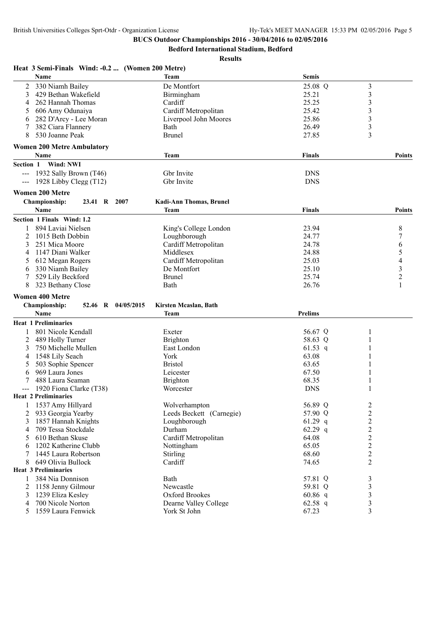**Heat 3 Semi-Finals Wind: -0.2 ... (Women 200 Metre)**

## **BUCS Outdoor Championships 2016 - 30/04/2016 to 02/05/2016**

**Bedford International Stadium, Bedford**

| <b>Name</b>                                | <b>Team</b>                    | <b>Semis</b>  |                         |
|--------------------------------------------|--------------------------------|---------------|-------------------------|
| 2<br>330 Niamh Bailey                      | De Montfort                    | 25.08 Q       | 3                       |
| 3<br>429 Bethan Wakefield                  | Birmingham                     | 25.21         | 3                       |
| 262 Hannah Thomas<br>4                     | Cardiff                        | 25.25         | 3                       |
| 606 Amy Odunaiya<br>5                      | Cardiff Metropolitan           | 25.42         | 3                       |
| 282 D'Arcy - Lee Moran<br>6                | Liverpool John Moores          | 25.86         | 3                       |
| 382 Ciara Flannery<br>7                    | Bath                           | 26.49         | 3                       |
| 8<br>530 Joanne Peak                       | <b>Brunel</b>                  | 27.85         | 3                       |
| <b>Women 200 Metre Ambulatory</b>          |                                |               |                         |
| <b>Name</b>                                | <b>Team</b>                    | <b>Finals</b> | Points                  |
| Wind: NWI<br>Section 1                     |                                |               |                         |
| 1932 Sally Brown (T46)                     | Gbr Invite                     | <b>DNS</b>    |                         |
| 1928 Libby Clegg $(T12)$                   | Gbr Invite                     | <b>DNS</b>    |                         |
| <b>Women 200 Metre</b>                     |                                |               |                         |
| <b>Championship:</b><br>23.41 R 2007       | <b>Kadi-Ann Thomas, Brunel</b> |               |                         |
| Name                                       | <b>Team</b>                    | <b>Finals</b> | Points                  |
| Section 1 Finals Wind: 1.2                 |                                |               |                         |
| 894 Laviai Nielsen<br>1                    | King's College London          | 23.94         | 8                       |
| 2<br>1015 Beth Dobbin                      | Loughborough                   | 24.77         | 7                       |
| 3<br>251 Mica Moore                        | Cardiff Metropolitan           | 24.78         | 6                       |
| 1147 Diani Walker<br>4                     | Middlesex                      | 24.88         | 5                       |
| 612 Megan Rogers<br>5                      | Cardiff Metropolitan           | 25.03         | 4                       |
| 330 Niamh Bailey<br>6                      | De Montfort                    | 25.10         | 3                       |
| 529 Lily Beckford<br>7                     | <b>Brunel</b>                  | 25.74         | $\overline{c}$          |
| 8<br>323 Bethany Close                     | Bath                           | 26.76         | 1                       |
|                                            |                                |               |                         |
| <b>Women 400 Metre</b>                     |                                |               |                         |
| <b>Championship:</b><br>52.46 R 04/05/2015 | Kirsten Mcaslan, Bath          |               |                         |
| <b>Name</b>                                | <b>Team</b>                    | Prelims       |                         |
| <b>Heat 1 Preliminaries</b>                |                                |               |                         |
| 801 Nicole Kendall<br>1                    | Exeter                         | 56.67 Q       |                         |
| 2<br>489 Holly Turner                      | <b>Brighton</b>                | 58.63 Q       |                         |
| 3<br>750 Michelle Mullen                   | East London                    | 61.53 q       |                         |
| 1548 Lily Seach<br>4                       | York                           | 63.08         |                         |
| 503 Sophie Spencer<br>5                    | <b>Bristol</b>                 | 63.65         |                         |
| 969 Laura Jones<br>6                       | Leicester                      | 67.50         |                         |
| 488 Laura Seaman                           | <b>Brighton</b>                | 68.35         |                         |
| 1920 Fiona Clarke (T38)                    | Worcester                      | <b>DNS</b>    |                         |
| <b>Heat 2 Preliminaries</b>                |                                |               |                         |
| 1 1537 Amy Hillyard                        | Wolverhampton                  | 56.89 Q       | $\overline{\mathbf{c}}$ |
| 2<br>933 Georgia Yearby                    | Leeds Beckett (Carnegie)       | 57.90 Q       | $\boldsymbol{2}$        |
| 1857 Hannah Knights<br>3                   | Loughborough                   | $61.29$ q     | $\overline{c}$          |
| 709 Tessa Stockdale<br>4                   | Durham                         | $62.29$ q     | $\overline{c}$          |
| 610 Bethan Skuse<br>5                      | Cardiff Metropolitan           | 64.08         | $\overline{2}$          |
| 1202 Katherine Clubb<br>6                  | Nottingham                     | 65.05         | $\overline{c}$          |
| 1445 Laura Robertson                       | Stirling                       | 68.60         | $\overline{c}$          |
| 649 Olivia Bullock<br>8                    | Cardiff                        | 74.65         | 2                       |
| <b>Heat 3 Preliminaries</b>                |                                |               |                         |
| 384 Nia Donnison<br>1                      | Bath                           | 57.81 Q       | 3                       |
| 2<br>1158 Jenny Gilmour                    | Newcastle                      | 59.81 Q       | 3                       |
| 1239 Eliza Kesley<br>3                     | Oxford Brookes                 | $60.86$ q     | 3                       |
| 700 Nicole Norton<br>4                     | Dearne Valley College          | 62.58 $q$     | 3                       |
| 1559 Laura Fenwick<br>5                    | York St John                   | 67.23         | 3                       |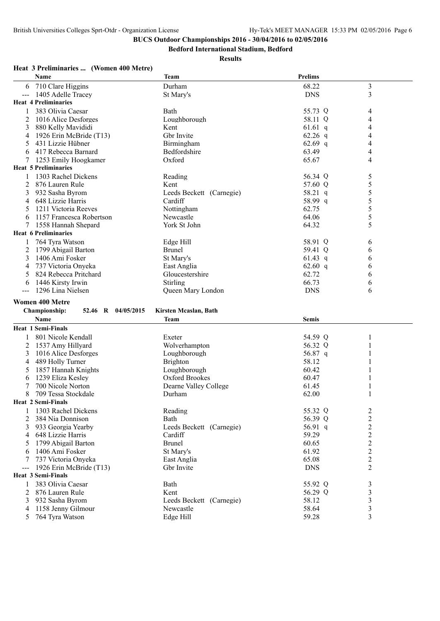**Bedford International Stadium, Bedford**

## **Results**

## **Heat 3 Preliminaries ... (Women 400 Metre)**

|                     | Name                                | Team                     | <b>Prelims</b> |                |
|---------------------|-------------------------------------|--------------------------|----------------|----------------|
| 6                   | 710 Clare Higgins                   | Durham                   | 68.22          | 3              |
| $--$                | 1405 Adelle Tracey                  | St Mary's                | <b>DNS</b>     | 3              |
|                     | <b>Heat 4 Preliminaries</b>         |                          |                |                |
| 1                   | 383 Olivia Caesar                   | Bath                     | 55.73 Q        | 4              |
| 2                   | 1016 Alice Desforges                | Loughborough             | 58.11 Q        | 4              |
| 3                   | 880 Kelly Mavididi                  | Kent                     | $61.61$ q      | 4              |
| 4                   | 1926 Erin McBride (T13)             | Gbr Invite               | 62.26 $q$      | 4              |
| 5                   | 431 Lizzie Hübner                   | Birmingham               | 62.69 $q$      | 4              |
| 6                   | 417 Rebecca Barnard                 | Bedfordshire             | 63.49          | 4              |
| 7                   | 1253 Emily Hoogkamer                | Oxford                   | 65.67          | 4              |
|                     | <b>Heat 5 Preliminaries</b>         |                          |                |                |
|                     | 1303 Rachel Dickens                 | Reading                  | 56.34 Q        | 5              |
|                     | 876 Lauren Rule                     | Kent                     | 57.60 Q        | 5              |
| 3                   | 932 Sasha Byrom                     | Leeds Beckett (Carnegie) | 58.21 q        | 5              |
| 4                   | 648 Lizzie Harris                   | Cardiff                  | 58.99 q        | 5              |
| 5                   | 1211 Victoria Reeves                | Nottingham               | 62.75          | 5              |
| 6                   | 1157 Francesca Robertson            | Newcastle                | 64.06          | 5              |
|                     | 1558 Hannah Shepard                 | York St John             | 64.32          | 5              |
|                     | <b>Heat 6 Preliminaries</b>         |                          |                |                |
|                     | 764 Tyra Watson                     | Edge Hill                | 58.91 Q        | 6              |
| 2                   | 1799 Abigail Barton                 | <b>Brunel</b>            | 59.41 Q        | 6              |
| 3                   | 1406 Ami Fosker                     | St Mary's                | $61.43$ q      | 6              |
| 4                   | 737 Victoria Onyeka                 | East Anglia              | 62.60 q        | 6              |
| 5                   | 824 Rebecca Pritchard               | Gloucestershire          | 62.72          | 6              |
| 6                   | 1446 Kirsty Irwin                   | <b>Stirling</b>          | 66.73          | 6              |
| $\qquad \qquad - -$ | 1296 Lina Nielsen                   | Queen Mary London        | <b>DNS</b>     | 6              |
|                     | <b>Women 400 Metre</b>              |                          |                |                |
|                     | Championship:<br>52.46 R 04/05/2015 | Kirsten Mcaslan, Bath    |                |                |
|                     | <b>Name</b>                         | <b>Team</b>              | <b>Semis</b>   |                |
|                     | <b>Heat 1 Semi-Finals</b>           |                          |                |                |
| 1                   | 801 Nicole Kendall                  | Exeter                   | 54.59 Q        |                |
| 2                   | 1537 Amy Hillyard                   | Wolverhampton            | 56.32 Q        |                |
| 3                   | 1016 Alice Desforges                | Loughborough             | 56.87 q        |                |
| 4                   | 489 Holly Turner                    | <b>Brighton</b>          | 58.12          |                |
| 5                   | 1857 Hannah Knights                 | Loughborough             | 60.42          |                |
| 6                   | 1239 Eliza Kesley                   | Oxford Brookes           | 60.47          |                |
| 7                   | 700 Nicole Norton                   | Dearne Valley College    | 61.45          |                |
| 8                   | 709 Tessa Stockdale                 | Durham                   | 62.00          |                |
|                     | Heat 2 Semi-Finals                  |                          |                |                |
|                     | 1303 Rachel Dickens                 | Reading                  | 55.32 Q        | $\overline{c}$ |
| 2                   | 384 Nia Donnison                    | Bath                     | 56.39 Q        | $\overline{c}$ |
| 3                   | 933 Georgia Yearby                  | Leeds Beckett (Carnegie) | 56.91 q        | $\overline{c}$ |
| 4                   | 648 Lizzie Harris                   | Cardiff                  | 59.29          | $\overline{c}$ |
| 5                   | 1799 Abigail Barton                 | <b>Brunel</b>            | 60.65          | $\overline{c}$ |
| 6                   | 1406 Ami Fosker                     | St Mary's                | 61.92          | $\overline{c}$ |
|                     | 737 Victoria Onyeka                 | East Anglia              | 65.08          | $\overline{c}$ |
| $--$                | 1926 Erin McBride (T13)             | Gbr Invite               | <b>DNS</b>     | $\overline{2}$ |
|                     | <b>Heat 3 Semi-Finals</b>           |                          |                |                |
| 1                   | 383 Olivia Caesar                   | Bath                     | 55.92 Q        | 3              |
| 2                   | 876 Lauren Rule                     | Kent                     | 56.29 Q        | 3              |
| 3                   | 932 Sasha Byrom                     | Leeds Beckett (Carnegie) | 58.12          | 3              |
| 4                   | 1158 Jenny Gilmour                  | Newcastle                | 58.64          | 3              |
| 5                   | 764 Tyra Watson                     | Edge Hill                | 59.28          | 3              |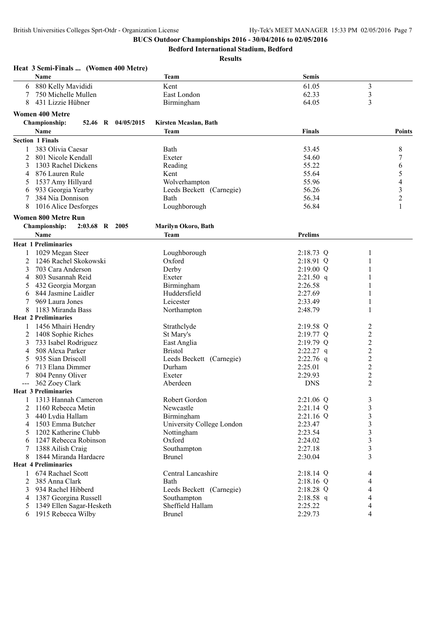**Bedford International Stadium, Bedford**

|                | Heat 3 Semi-Finals  (Women 400 Metre)         |                           |                |                          |
|----------------|-----------------------------------------------|---------------------------|----------------|--------------------------|
|                | Name                                          | Team                      | <b>Semis</b>   |                          |
| 6              | 880 Kelly Mavididi                            | Kent                      | 61.05          | 3                        |
|                | 750 Michelle Mullen                           | East London               | 62.33          | $\mathfrak{Z}$           |
| 8              | 431 Lizzie Hübner                             | Birmingham                | 64.05          | 3                        |
|                | <b>Women 400 Metre</b>                        |                           |                |                          |
|                | <b>Championship:</b><br>52.46 R<br>04/05/2015 | Kirsten Mcaslan, Bath     |                |                          |
|                | Name                                          | Team                      | Finals         | <b>Points</b>            |
|                | <b>Section 1 Finals</b>                       |                           |                |                          |
|                |                                               |                           |                |                          |
|                | 383 Olivia Caesar                             | Bath                      | 53.45          | 8                        |
| 2              | 801 Nicole Kendall                            | Exeter                    | 54.60          | 7                        |
| 3              | 1303 Rachel Dickens                           | Reading                   | 55.22          | 6                        |
| 4              | 876 Lauren Rule                               | Kent                      | 55.64          | 5                        |
| 5              | 1537 Amy Hillyard                             | Wolverhampton             | 55.96          | $\overline{\mathcal{L}}$ |
| 6              | 933 Georgia Yearby                            | Leeds Beckett (Carnegie)  | 56.26          | 3                        |
| 7              | 384 Nia Donnison                              | Bath                      | 56.34          | $\overline{c}$           |
| 8              | 1016 Alice Desforges                          | Loughborough              | 56.84          | $\mathbf{1}$             |
|                | <b>Women 800 Metre Run</b>                    |                           |                |                          |
|                | <b>Championship:</b><br>$2:03.68$ R<br>2005   | Marilyn Okoro, Bath       |                |                          |
|                | Name                                          | Team                      | <b>Prelims</b> |                          |
|                | <b>Heat 1 Preliminaries</b>                   |                           |                |                          |
| 1              | 1029 Megan Steer                              | Loughborough              | 2:18.73 Q      | 1                        |
| 2              | 1246 Rachel Skokowski                         | Oxford                    | 2:18.91 Q      |                          |
| 3              | 703 Cara Anderson                             | Derby                     | $2:19.00$ Q    |                          |
| $\overline{4}$ | 803 Susannah Reid                             | Exeter                    | $2:21.50$ q    |                          |
| 5              | 432 Georgia Morgan                            | Birmingham                | 2:26.58        |                          |
| 6              | 844 Jasmine Laidler                           | Huddersfield              | 2:27.69        |                          |
| 7              | 969 Laura Jones                               | Leicester                 | 2:33.49        | 1                        |
| 8              | 1183 Miranda Bass                             | Northampton               | 2:48.79        |                          |
|                | <b>Heat 2 Preliminaries</b>                   |                           |                |                          |
|                | 1456 Mhairi Hendry                            | Strathclyde               | $2:19.58$ Q    | 2                        |
| 2              | 1408 Sophie Riches                            | St Mary's                 | $2:19.77$ Q    | 2                        |
| 3              | 733 Isabel Rodriguez                          | East Anglia               | 2:19.79 Q      | $\overline{c}$           |
| 4              | 508 Alexa Parker                              | <b>Bristol</b>            | $2:22.27$ q    | $\overline{c}$           |
| 5              | 935 Sian Driscoll                             | Leeds Beckett (Carnegie)  | $2:22.76$ q    | 2                        |
| $\mathbf{6}$   | 713 Elana Dimmer                              | Durham                    | 2:25.01        | 2                        |
|                | 804 Penny Oliver                              | Exeter                    | 2:29.93        | $\overline{c}$           |
|                | 362 Zoey Clark                                | Aberdeen                  | <b>DNS</b>     | $\overline{2}$           |
|                | <b>Heat 3 Preliminaries</b>                   |                           |                |                          |
| 1              | 1313 Hannah Cameron                           | Robert Gordon             | 2:21.06 Q      | 3                        |
| 2              | 1160 Rebecca Metin                            | Newcastle                 | 2:21.14 Q      | $\mathfrak{Z}$           |
| 3              | 440 Lydia Hallam                              | Birmingham                | $2:21.16$ Q    | 3                        |
| 4              | 1503 Emma Butcher                             | University College London | 2:23.47        | 3                        |
| 5              | 1202 Katherine Clubb                          | Nottingham                | 2:23.54        | 3                        |
| 6              | 1247 Rebecca Robinson                         | Oxford                    | 2:24.02        | 3                        |
| 7              | 1388 Ailish Craig                             | Southampton               | 2:27.18        | 3                        |
| 8              | 1844 Miranda Hardacre                         | <b>Brunel</b>             | 2:30.04        | 3                        |
|                | <b>Heat 4 Preliminaries</b>                   |                           |                |                          |
| 1              | 674 Rachael Scott                             | Central Lancashire        | $2:18.14$ Q    | 4                        |
| 2              | 385 Anna Clark                                | Bath                      | $2:18.16$ Q    | 4                        |
| 3              | 934 Rachel Hibberd                            | Leeds Beckett (Carnegie)  | 2:18.28 Q      | 4                        |
| 4              | 1387 Georgina Russell                         | Southampton               | 2:18.58 q      | 4                        |
| 5              | 1349 Ellen Sagar-Hesketh                      | Sheffield Hallam          | 2:25.22        | 4                        |
| 6              | 1915 Rebecca Wilby                            | <b>Brunel</b>             | 2:29.73        | 4                        |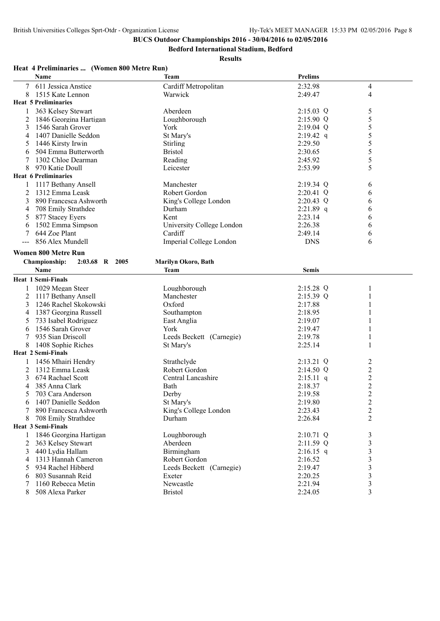**Bedford International Stadium, Bedford**

**Results**

## **Heat 4 Preliminaries ... (Women 800 Metre Run)**

|   | <b>Name</b>                     | <b>Team</b>               | <b>Prelims</b> |                |
|---|---------------------------------|---------------------------|----------------|----------------|
|   | 611 Jessica Anstice             | Cardiff Metropolitan      | 2:32.98        | 4              |
| 8 | 1515 Kate Lennon                | Warwick                   | 2:49.47        | 4              |
|   | <b>Heat 5 Preliminaries</b>     |                           |                |                |
| 1 | 363 Kelsey Stewart              | Aberdeen                  | $2:15.03$ Q    | 5              |
|   | 1846 Georgina Hartigan          | Loughborough              | 2:15.90 Q      | 5              |
| 3 | 1546 Sarah Grover               | York                      | $2:19.04$ Q    | 5              |
| 4 | 1407 Danielle Seddon            | St Mary's                 | $2:19.42$ q    | 5              |
| 5 | 1446 Kirsty Irwin               | Stirling                  | 2:29.50        | 5              |
| 6 | 504 Emma Butterworth            | <b>Bristol</b>            | 2:30.65        | 5              |
| 7 | 1302 Chloe Dearman              | Reading                   | 2:45.92        | 5              |
| 8 | 970 Katie Doull                 | Leicester                 | 2:53.99        | 5              |
|   | <b>Heat 6 Preliminaries</b>     |                           |                |                |
| 1 | 1117 Bethany Ansell             | Manchester                | $2:19.34$ Q    | 6              |
| 2 | 1312 Emma Leask                 | Robert Gordon             | $2:20.41$ Q    | 6              |
| 3 | 890 Francesca Ashworth          | King's College London     | 2:20.43 Q      | 6              |
| 4 | 708 Emily Strathdee             | Durham                    | 2:21.89 q      | 6              |
| 5 | 877 Stacey Eyers                | Kent                      | 2:23.14        | 6              |
| 6 | 1502 Emma Simpson               | University College London | 2:26.38        | 6              |
| 7 | 644 Zoe Plant                   | Cardiff                   | 2:49.14        | 6              |
|   | 856 Alex Mundell                | Imperial College London   | <b>DNS</b>     | 6              |
|   | <b>Women 800 Metre Run</b>      |                           |                |                |
|   |                                 |                           |                |                |
|   | Championship:<br>2:03.68 R 2005 | Marilyn Okoro, Bath       |                |                |
|   | <b>Name</b>                     | <b>Team</b>               | <b>Semis</b>   |                |
|   | <b>Heat 1 Semi-Finals</b>       |                           |                |                |
| 1 | 1029 Megan Steer                | Loughborough              | 2:15.28 Q      | 1              |
| 2 | 1117 Bethany Ansell             | Manchester                | $2:15.39$ Q    |                |
| 3 | 1246 Rachel Skokowski           | Oxford                    | 2:17.88        |                |
| 4 | 1387 Georgina Russell           | Southampton               | 2:18.95        |                |
| 5 | 733 Isabel Rodriguez            | East Anglia               | 2:19.07        |                |
| 6 | 1546 Sarah Grover               | York                      | 2:19.47        |                |
| 7 | 935 Sian Driscoll               | Leeds Beckett (Carnegie)  | 2:19.78        |                |
| 8 | 1408 Sophie Riches              | St Mary's                 | 2:25.14        |                |
|   | <b>Heat 2 Semi-Finals</b>       |                           |                |                |
|   | 1456 Mhairi Hendry              | Strathclyde               | $2:13.21$ Q    | 2              |
|   | 1312 Emma Leask                 | Robert Gordon             | $2:14.50$ Q    | $\overline{2}$ |
| 3 | 674 Rachael Scott               | Central Lancashire        | $2:15.11$ q    | $\overline{2}$ |
| 4 | 385 Anna Clark                  | Bath                      | 2:18.37        | $\overline{c}$ |
| 5 | 703 Cara Anderson               | Derby                     | 2:19.58        | $\overline{2}$ |
|   | 6 1407 Danielle Seddon          | St Mary's                 | 2:19.80        | $\mathcal{D}$  |
| 7 | 890 Francesca Ashworth          | King's College London     | 2:23.43        | 2              |
| 8 | 708 Emily Strathdee             | Durham                    | 2:26.84        | 2              |
|   | Heat 3 Semi-Finals              |                           |                |                |
|   | 1846 Georgina Hartigan          | Loughborough              | 2:10.71 Q      | 3              |
| 2 | 363 Kelsey Stewart              | Aberdeen                  | 2:11.59 Q      | 3              |
| 3 | 440 Lydia Hallam                | Birmingham                | $2:16.15$ q    | 3              |
| 4 | 1313 Hannah Cameron             | Robert Gordon             | 2:16.52        | 3              |
| 5 | 934 Rachel Hibberd              | Leeds Beckett (Carnegie)  | 2:19.47        | 3              |
| 6 | 803 Susannah Reid               | Exeter                    | 2:20.25        | 3              |
| 7 | 1160 Rebecca Metin              | Newcastle                 | 2:21.94        | 3              |
| 8 | 508 Alexa Parker                | <b>Bristol</b>            | 2:24.05        | 3              |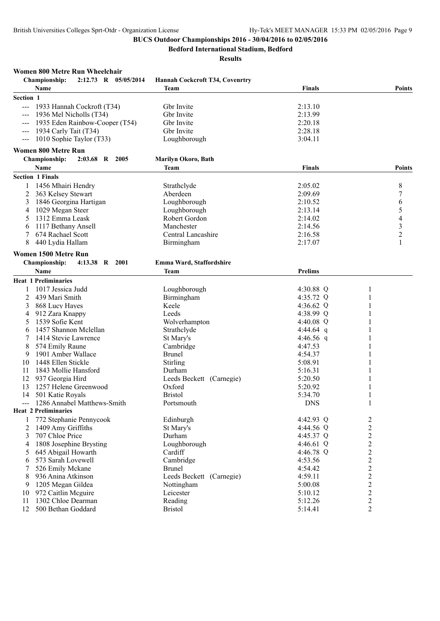**Bedford International Stadium, Bedford**

| Women 800 Metre Run Wheelchair                                    |                                 |                |                |
|-------------------------------------------------------------------|---------------------------------|----------------|----------------|
| 2:12.73 R 05/05/2014<br><b>Championship:</b>                      | Hannah Cockcroft T34, Covenrtry |                |                |
| Name                                                              | Team                            | <b>Finals</b>  | <b>Points</b>  |
| Section 1                                                         |                                 |                |                |
| 1933 Hannah Cockroft (T34)<br>$\frac{1}{2}$                       | Gbr Invite                      | 2:13.10        |                |
| 1936 Mel Nicholls (T34)                                           | Gbr Invite                      | 2:13.99        |                |
| 1935 Eden Rainbow-Cooper (T54)<br>$\qquad \qquad - -$             | Gbr Invite                      | 2:20.18        |                |
| 1934 Carly Tait (T34)<br>$\hspace{0.05cm} \ldots \hspace{0.05cm}$ | Gbr Invite                      | 2:28.18        |                |
| 1010 Sophie Taylor (T33)<br>$---$                                 | Loughborough                    | 3:04.11        |                |
| <b>Women 800 Metre Run</b>                                        |                                 |                |                |
| <b>Championship:</b><br>2:03.68 R 2005                            | Marilyn Okoro, Bath             |                |                |
| Name                                                              | Team                            | <b>Finals</b>  | <b>Points</b>  |
|                                                                   |                                 |                |                |
| <b>Section 1 Finals</b>                                           |                                 |                |                |
| 1456 Mhairi Hendry<br>1                                           | Strathclyde                     | 2:05.02        | 8              |
| 2<br>363 Kelsey Stewart                                           | Aberdeen                        | 2:09.69        | 7              |
| 1846 Georgina Hartigan<br>3                                       | Loughborough                    | 2:10.52        | 6              |
| 1029 Megan Steer<br>4                                             | Loughborough                    | 2:13.14        | 5              |
| 1312 Emma Leask<br>5                                              | Robert Gordon                   | 2:14.02        | 4              |
| 1117 Bethany Ansell<br>6                                          | Manchester                      | 2:14.56        | $\mathfrak{Z}$ |
| 674 Rachael Scott<br>7                                            | Central Lancashire              | 2:16.58        | $\overline{c}$ |
| 8<br>440 Lydia Hallam                                             | Birmingham                      | 2:17.07        | 1              |
| <b>Women 1500 Metre Run</b>                                       |                                 |                |                |
| Championship:<br>4:13.38 R 2001                                   | Emma Ward, Staffordshire        |                |                |
| <b>Name</b>                                                       | Team                            | <b>Prelims</b> |                |
| <b>Heat 1 Preliminaries</b>                                       |                                 |                |                |
| 1017 Jessica Judd                                                 | Loughborough                    | 4:30.88 Q      |                |
| 2<br>439 Mari Smith                                               | Birmingham                      | 4:35.72 Q      | 1              |
|                                                                   |                                 |                |                |
| 3<br>868 Lucy Hayes                                               | Keele                           | 4:36.62 $Q$    |                |
| 912 Zara Knappy<br>4<br>1539 Sofie Kent                           | Leeds                           | 4:38.99 Q      |                |
| 5                                                                 | Wolverhampton                   | 4:40.08 $Q$    |                |
| 1457 Shannon Mclellan<br>6                                        | Strathclyde                     | 4:44.64 q      |                |
| 1414 Stevie Lawrence                                              | St Mary's                       | 4:46.56 q      |                |
| 8<br>574 Emily Raune                                              | Cambridge                       | 4:47.53        |                |
| 1901 Amber Wallace<br>9                                           | <b>Brunel</b>                   | 4:54.37        |                |
| 1448 Ellen Stickle<br>10                                          | <b>Stirling</b>                 | 5:08.91        |                |
| 1843 Mollie Hansford<br>11                                        | Durham                          | 5:16.31        |                |
| 937 Georgia Hird<br>12                                            | Leeds Beckett (Carnegie)        | 5:20.50        |                |
| 1257 Helene Greenwood<br>13                                       | Oxford                          | 5:20.92        |                |
| 14<br>501 Katie Royals                                            | <b>Bristol</b>                  | 5:34.70        |                |
| 1286 Annabel Matthews-Smith                                       | Portsmouth                      | <b>DNS</b>     | 1              |
| <b>Heat 2 Preliminaries</b>                                       |                                 |                |                |
| 772 Stephanie Pennycook<br>1                                      | Edinburgh                       | 4:42.93 Q      | 2              |
| 1409 Amy Griffiths<br>2                                           | St Mary's                       | 4:44.56 Q      | $\overline{c}$ |
| 3<br>707 Chloe Price                                              | Durham                          | 4:45.37 Q      | $\overline{c}$ |
| 1808 Josephine Brysting<br>4                                      | Loughborough                    | 4:46.61 $Q$    | $\overline{c}$ |
| 645 Abigail Howarth<br>5                                          | Cardiff                         | 4:46.78 Q      | $\overline{c}$ |
| 573 Sarah Lovewell<br>6                                           | Cambridge                       | 4:53.56        | $\overline{c}$ |
| 526 Emily Mckane<br>7                                             | <b>Brunel</b>                   | 4:54.42        | $\overline{c}$ |
| 936 Anina Atkinson<br>8                                           | Leeds Beckett (Carnegie)        | 4:59.11        | 2              |
| 1205 Megan Gildea<br>9                                            | Nottingham                      | 5:00.08        | $\overline{c}$ |
| 972 Caitlin Meguire<br>10                                         | Leicester                       | 5:10.12        | $\overline{c}$ |
| 1302 Chloe Dearman<br>11                                          | Reading                         | 5:12.26        | 2              |
| 500 Bethan Goddard<br>12                                          | <b>Bristol</b>                  | 5:14.41        | $\overline{2}$ |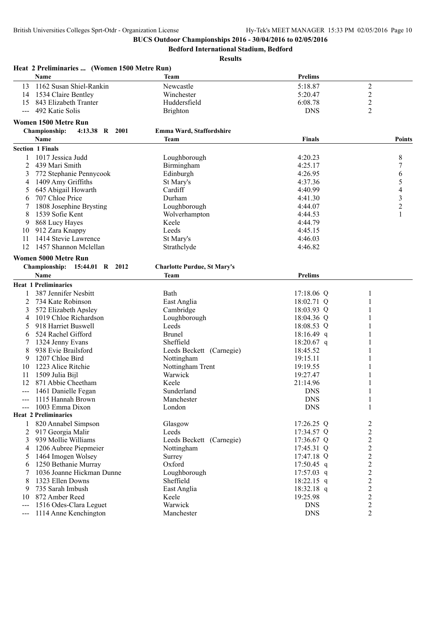**Bedford International Stadium, Bedford**

|       | Heat 2 Preliminaries  (Women 1500 Metre Run) |                                    |                |                |        |
|-------|----------------------------------------------|------------------------------------|----------------|----------------|--------|
|       | <b>Name</b>                                  | Team                               | <b>Prelims</b> |                |        |
| 13    | 1162 Susan Shiel-Rankin                      | Newcastle                          | 5:18.87        | $\mathfrak{2}$ |        |
| 14    | 1534 Claire Bentley                          | Winchester                         | 5:20.47        | $\overline{2}$ |        |
| 15    | 843 Elizabeth Tranter                        | Huddersfield                       | 6:08.78        | 2              |        |
|       | --- 492 Katie Solis                          | <b>Brighton</b>                    | <b>DNS</b>     | 2              |        |
|       | <b>Women 1500 Metre Run</b>                  |                                    |                |                |        |
|       | 4:13.38 R 2001<br><b>Championship:</b>       | Emma Ward, Staffordshire           |                |                |        |
|       | Name                                         | <b>Team</b>                        | <b>Finals</b>  |                | Points |
|       | <b>Section 1 Finals</b>                      |                                    |                |                |        |
|       | 1017 Jessica Judd                            | Loughborough                       | 4:20.23        | 8              |        |
| 2     | 439 Mari Smith                               | Birmingham                         | 4:25.17        | 7              |        |
| 3     | 772 Stephanie Pennycook                      | Edinburgh                          | 4:26.95        | 6              |        |
| 4     | 1409 Amy Griffiths                           | St Mary's                          | 4:37.36        | 5              |        |
| 5     | 645 Abigail Howarth                          | Cardiff                            | 4:40.99        | 4              |        |
| 6     | 707 Chloe Price                              | Durham                             | 4:41.30        | 3              |        |
|       | 1808 Josephine Brysting                      | Loughborough                       | 4:44.07        | $\overline{c}$ |        |
| 8     | 1539 Sofie Kent                              | Wolverhampton                      | 4:44.53        | 1              |        |
| 9     | 868 Lucy Hayes                               | Keele                              | 4:44.79        |                |        |
| 10    | 912 Zara Knappy                              | Leeds                              | 4:45.15        |                |        |
| 11    | 1414 Stevie Lawrence                         | St Mary's                          | 4:46.03        |                |        |
| 12    | 1457 Shannon Mclellan                        | Strathclyde                        | 4:46.82        |                |        |
|       |                                              |                                    |                |                |        |
|       | <b>Women 5000 Metre Run</b>                  |                                    |                |                |        |
|       | Championship: 15:44.01 R 2012                | <b>Charlotte Purdue, St Mary's</b> |                |                |        |
|       | Name                                         | <b>Team</b>                        | <b>Prelims</b> |                |        |
|       | <b>Heat 1 Preliminaries</b>                  |                                    |                |                |        |
|       | 387 Jennifer Nesbitt                         | Bath                               | $17:18.06$ Q   | 1              |        |
| 2     | 734 Kate Robinson                            | East Anglia                        | 18:02.71 Q     |                |        |
| 3     | 572 Elizabeth Apsley                         | Cambridge                          | 18:03.93 Q     |                |        |
| 4     | 1019 Chloe Richardson                        | Loughborough                       | 18:04.36 Q     |                |        |
| 5     | 918 Harriet Buswell                          | Leeds                              | 18:08.53 Q     |                |        |
| 6     | 524 Rachel Gifford                           | <b>Brunel</b>                      | $18:16.49$ q   |                |        |
| 7     | 1324 Jenny Evans                             | Sheffield                          | $18:20.67$ q   |                |        |
| 8     | 938 Evie Brailsford                          | Leeds Beckett (Carnegie)           | 18:45.52       |                |        |
| 9     | 1207 Chloe Bird                              | Nottingham                         | 19:15.11       |                |        |
| 10    | 1223 Alice Ritchie                           | Nottingham Trent                   | 19:19.55       |                |        |
| 11    | 1509 Julia Bijl                              | Warwick                            | 19:27.47       |                |        |
| 12    | 871 Abbie Cheetham                           | Keele                              | 21:14.96       |                |        |
| $---$ | 1461 Danielle Fegan                          | Sunderland                         | <b>DNS</b>     |                |        |
|       | 1115 Hannah Brown                            | Manchester                         | <b>DNS</b>     | $\mathbf{1}$   |        |
|       | 1003 Emma Dixon                              | London                             | <b>DNS</b>     | 1              |        |
|       | <b>Heat 2 Preliminaries</b>                  |                                    |                |                |        |
| 1     | 820 Annabel Simpson                          | Glasgow                            | 17:26.25 Q     | 2              |        |
| 2     | 917 Georgia Malir                            | Leeds                              | 17:34.57 Q     | $\overline{c}$ |        |
| 3     | 939 Mollie Williams                          | Leeds Beckett (Carnegie)           | 17:36.67 Q     | $\overline{c}$ |        |
| 4     | 1206 Aubree Piepmeier                        | Nottingham                         | 17:45.31 Q     | $\mathfrak{2}$ |        |
| 5     | 1464 Imogen Wolsey                           | Surrey                             | 17:47.18 Q     | $\overline{c}$ |        |
| 6     | 1250 Bethanie Murray                         | Oxford                             | $17:50.45$ q   | $\overline{c}$ |        |
| 7     | 1036 Joanne Hickman Dunne                    | Loughborough                       | $17:57.03$ q   | 2              |        |
| 8     | 1323 Ellen Downs                             | Sheffield                          | $18:22.15$ q   | 2              |        |
| 9     | 735 Sarah Imbush                             | East Anglia                        | 18:32.18 q     | $\overline{2}$ |        |
| 10    | 872 Amber Reed                               | Keele                              | 19:25.98       | $\mathfrak{2}$ |        |
| $---$ | 1516 Odes-Clara Leguet                       | Warwick                            | <b>DNS</b>     | $\overline{c}$ |        |
| $---$ | 1114 Anne Kenchington                        | Manchester                         | <b>DNS</b>     | 2              |        |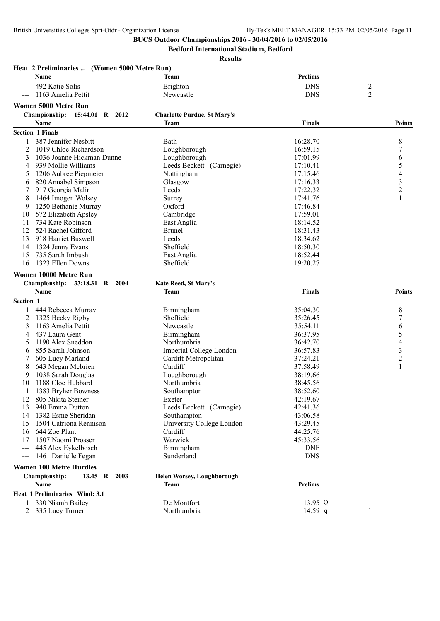**Bedford International Stadium, Bedford**

|           | Heat 2 Preliminaries  (Women 5000 Metre Run)<br>Name | Team                               | <b>Prelims</b> |                          |
|-----------|------------------------------------------------------|------------------------------------|----------------|--------------------------|
|           | 492 Katie Solis                                      | <b>Brighton</b>                    | <b>DNS</b>     | $\overline{2}$           |
|           | 1163 Amelia Pettit                                   | Newcastle                          | <b>DNS</b>     | $\overline{2}$           |
|           | Women 5000 Metre Run                                 |                                    |                |                          |
|           | Championship: 15:44.01 R 2012                        | <b>Charlotte Purdue, St Mary's</b> |                |                          |
|           | Name                                                 | Team                               | Finals         | <b>Points</b>            |
|           | <b>Section 1 Finals</b>                              |                                    |                |                          |
|           | 387 Jennifer Nesbitt                                 | Bath                               | 16:28.70       | 8                        |
| 2         | 1019 Chloe Richardson                                | Loughborough                       | 16:59.15       | 7                        |
| 3         | 1036 Joanne Hickman Dunne                            | Loughborough                       | 17:01.99       | 6                        |
| 4         | 939 Mollie Williams                                  | Leeds Beckett (Carnegie)           | 17:10.41       | 5                        |
| 5         | 1206 Aubree Piepmeier                                | Nottingham                         | 17:15.46       | $\overline{\mathcal{L}}$ |
| 6         | 820 Annabel Simpson                                  | Glasgow                            | 17:16.33       |                          |
| 7         | 917 Georgia Malir                                    | Leeds                              | 17:22.32       | $\frac{3}{2}$            |
| 8         | 1464 Imogen Wolsey                                   | Surrey                             | 17:41.76       | 1                        |
| 9         | 1250 Bethanie Murray                                 | Oxford                             | 17:46.84       |                          |
| 10        | 572 Elizabeth Apsley                                 | Cambridge                          | 17:59.01       |                          |
| 11        | 734 Kate Robinson                                    | East Anglia                        | 18:14.52       |                          |
| 12        | 524 Rachel Gifford                                   | <b>Brunel</b>                      | 18:31.43       |                          |
| 13        | 918 Harriet Buswell                                  | Leeds                              | 18:34.62       |                          |
| 14        | 1324 Jenny Evans                                     | Sheffield                          | 18:50.30       |                          |
| 15        | 735 Sarah Imbush                                     | East Anglia                        | 18:52.44       |                          |
| 16        | 1323 Ellen Downs                                     | Sheffield                          | 19:20.27       |                          |
|           |                                                      |                                    |                |                          |
|           | Women 10000 Metre Run                                |                                    |                |                          |
|           | <b>Championship:</b><br>33:18.31 R 2004              | <b>Kate Reed, St Mary's</b>        |                |                          |
|           | Name                                                 | Team                               | <b>Finals</b>  | <b>Points</b>            |
| Section 1 |                                                      |                                    |                |                          |
|           | 444 Rebecca Murray                                   | Birmingham                         | 35:04.30       | 8                        |
| 2         | 1325 Becky Rigby                                     | Sheffield                          | 35:26.45       | $\boldsymbol{7}$         |
| 3         | 1163 Amelia Pettit                                   | Newcastle                          | 35:54.11       | 6                        |
| 4         | 437 Laura Gent                                       | Birmingham                         | 36:37.95       | 5                        |
| 5         | 1190 Alex Sneddon                                    | Northumbria                        | 36:42.70       | $\overline{\mathcal{L}}$ |
| 6         | 855 Sarah Johnson                                    | Imperial College London            | 36:57.83       | 3                        |
|           | 605 Lucy Marland                                     | Cardiff Metropolitan               | 37:24.21       | $\overline{2}$           |
| 8         | 643 Megan Mcbrien                                    | Cardiff                            | 37:58.49       | $\mathbf{1}$             |
| 9         | 1038 Sarah Douglas                                   | Loughborough                       | 38:19.66       |                          |
| 10        | 1188 Cloe Hubbard                                    | Northumbria                        | 38:45.56       |                          |
| 11        | 1383 Bryher Bowness                                  | Southampton                        | 38:52.60       |                          |
| 12        | 805 Nikita Steiner                                   | Exeter                             | 42:19.67       |                          |
| 13        | 940 Emma Dutton                                      | Leeds Beckett (Carnegie)           | 42:41.36       |                          |
| 14        | 1382 Esme Sheridan                                   | Southampton                        | 43:06.58       |                          |
| 15        | 1504 Catriona Rennison                               | University College London          | 43:29.45       |                          |
|           | 16 644 Zoe Plant                                     | Cardiff                            | 44:25.76       |                          |
| 17        | 1507 Naomi Prosser                                   | Warwick                            | 45:33.56       |                          |
| $---$     | 445 Alex Eykelbosch                                  | Birmingham                         | <b>DNF</b>     |                          |
| $--$      | 1461 Danielle Fegan                                  | Sunderland                         | <b>DNS</b>     |                          |
|           | <b>Women 100 Metre Hurdles</b>                       |                                    |                |                          |
|           | Championship:<br>13.45 R 2003                        | <b>Helen Worsey, Loughborough</b>  |                |                          |
|           | Name                                                 | Team                               | <b>Prelims</b> |                          |
|           | Heat 1 Preliminaries Wind: 3.1                       |                                    |                |                          |
|           | 330 Niamh Bailey                                     | De Montfort                        | 13.95 Q        | 1                        |
| 2         | 335 Lucy Turner                                      | Northumbria                        | 14.59 $q$      | 1                        |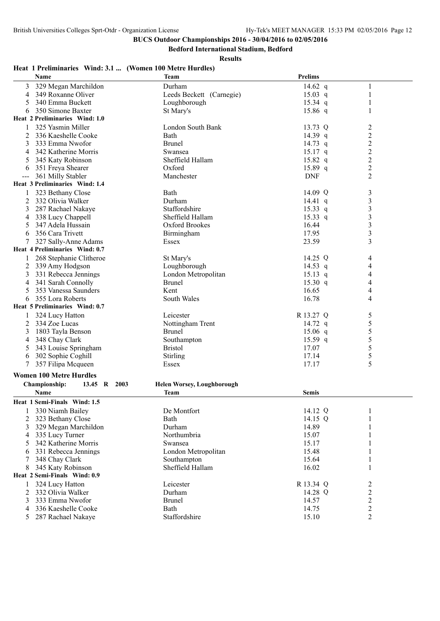**Bedford International Stadium, Bedford**

**Results**

## **Heat 1 Preliminaries Wind: 3.1 ... (Women 100 Metre Hurdles)**

| <b>Name</b>                                             | <b>Team</b>                       | <b>Prelims</b>     |                |
|---------------------------------------------------------|-----------------------------------|--------------------|----------------|
| 329 Megan Marchildon<br>3                               | Durham                            | 14.62 $q$          | 1              |
| 349 Roxanne Oliver<br>4                                 | Leeds Beckett (Carnegie)          | $15.03$ q          | 1              |
| 340 Emma Buckett<br>5                                   | Loughborough                      | $15.34$ q          | 1              |
| 350 Simone Baxter<br>6                                  | St Mary's                         | $15.86$ q          | 1              |
| Heat 2 Preliminaries Wind: 1.0                          |                                   |                    |                |
| 325 Yasmin Miller<br>1                                  | London South Bank                 | 13.73 Q            | $\overline{c}$ |
| 2<br>336 Kaeshelle Cooke                                | Bath                              | 14.39 q            | $\overline{2}$ |
| 3<br>333 Emma Nwofor                                    | <b>Brunel</b>                     | 14.73 q            | $\overline{c}$ |
| 342 Katherine Morris<br>4                               | Swansea                           | $15.17$ q          | $\overline{c}$ |
| 345 Katy Robinson<br>5                                  | Sheffield Hallam                  | $15.82$ q          | $\overline{c}$ |
| 351 Freya Shearer<br>6                                  | Oxford                            | 15.89 q            | $\overline{c}$ |
| 361 Milly Stabler<br>$---$                              | Manchester                        | <b>DNF</b>         | $\overline{2}$ |
| Heat 3 Preliminaries Wind: 1.4                          |                                   |                    |                |
| 323 Bethany Close                                       | Bath                              | 14.09 Q            | 3              |
| 2<br>332 Olivia Walker                                  | Durham                            | $14.41 \text{ q}$  | 3              |
| 3<br>287 Rachael Nakaye                                 | Staffordshire                     | $15.33$ q          | $\mathfrak{Z}$ |
| 338 Lucy Chappell<br>4                                  | Sheffield Hallam                  | $15.33$ q          | $\mathfrak{Z}$ |
| 347 Adela Hussain<br>5                                  | Oxford Brookes                    | 16.44              | $\mathfrak{Z}$ |
| 356 Cara Trivett<br>6                                   | Birmingham                        | 17.95              | $\mathfrak{Z}$ |
| 327 Sally-Anne Adams<br>7                               | Essex                             | 23.59              | 3              |
| Heat 4 Preliminaries Wind: 0.7                          |                                   |                    |                |
| 268 Stephanie Clitheroe                                 | St Mary's                         | 14.25 Q            | 4              |
| 339 Amy Hodgson<br>2                                    | Loughborough                      | 14.53 q            | 4              |
| 331 Rebecca Jennings<br>3                               | London Metropolitan               | $15.13$ q          | 4              |
| 341 Sarah Connolly<br>4                                 | <b>Brunel</b>                     | 15.30 q            | 4              |
| 5<br>353 Vanessa Saunders                               | Kent                              | 16.65              | 4              |
|                                                         | South Wales                       | 16.78              | 4              |
| 355 Lora Roberts<br>6<br>Heat 5 Preliminaries Wind: 0.7 |                                   |                    |                |
|                                                         |                                   |                    |                |
| 324 Lucy Hatton                                         | Leicester                         | R 13.27 Q          | 5              |
| 334 Zoe Lucas<br>2                                      | Nottingham Trent<br><b>Brunel</b> | 14.72 $q$          | 5              |
| 3<br>1803 Tayla Benson                                  |                                   | $15.06$ q          | 5              |
| 348 Chay Clark<br>4                                     | Southampton                       | 15.59 $q$<br>17.07 | 5              |
| 343 Louise Springham<br>5                               | <b>Bristol</b>                    |                    | 5              |
| 302 Sophie Coghill<br>6                                 | Stirling                          | 17.14              | 5<br>5         |
| 357 Filipa Mcqueen                                      | Essex                             | 17.17              |                |
| <b>Women 100 Metre Hurdles</b>                          |                                   |                    |                |
| Championship:<br>13.45 R 2003                           | <b>Helen Worsey, Loughborough</b> |                    |                |
| Name                                                    | <b>Team</b>                       | <b>Semis</b>       |                |
| Heat 1 Semi-Finals Wind: 1.5                            |                                   |                    |                |
| 330 Niamh Bailey<br>1                                   | De Montfort                       | 14.12 Q            |                |
| 323 Bethany Close<br>2                                  | Bath                              | 14.15 Q            |                |
| 329 Megan Marchildon<br>3                               | Durham                            | 14.89              |                |
| 335 Lucy Turner<br>4                                    | Northumbria                       | 15.07              | 1              |
| 342 Katherine Morris<br>5                               | Swansea                           | 15.17              | 1              |
| 331 Rebecca Jennings<br>6                               | London Metropolitan               | 15.48              | 1              |
| 348 Chay Clark<br>7                                     | Southampton                       | 15.64              | 1              |
| 345 Katy Robinson<br>8                                  | Sheffield Hallam                  | 16.02              | 1              |
| Heat 2 Semi-Finals Wind: 0.9                            |                                   |                    |                |
| 324 Lucy Hatton                                         | Leicester                         | R 13.34 Q          | 2              |
| 332 Olivia Walker<br>2                                  | Durham                            | 14.28 Q            |                |
| 333 Emma Nwofor<br>3                                    | <b>Brunel</b>                     | 14.57              | $\frac{2}{2}$  |
| 336 Kaeshelle Cooke<br>4                                | Bath                              | 14.75              | $\overline{c}$ |
| 5 287 Rachael Nakaye                                    | Staffordshire                     | 15.10              | $\overline{c}$ |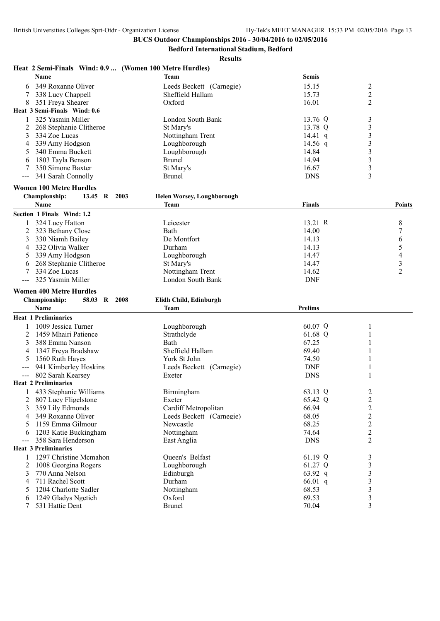**Bedford International Stadium, Bedford**

**Results**

## **Heat 2 Semi-Finals Wind: 0.9 ... (Women 100 Metre Hurdles)**

|                     | <b>Name</b>                            | <b>Team</b>                           | <b>Semis</b>   |                  |
|---------------------|----------------------------------------|---------------------------------------|----------------|------------------|
| 6                   | 349 Roxanne Oliver                     | Leeds Beckett (Carnegie)              | 15.15          | $\overline{2}$   |
| 7                   | 338 Lucy Chappell                      | Sheffield Hallam                      | 15.73          | $\overline{2}$   |
| 8                   | 351 Freya Shearer                      | Oxford                                | 16.01          | 2                |
|                     | Heat 3 Semi-Finals Wind: 0.6           |                                       |                |                  |
| 1                   | 325 Yasmin Miller                      | London South Bank                     | 13.76 Q        | 3                |
| 2                   | 268 Stephanie Clitheroe                | St Mary's                             | 13.78 Q        | 3                |
| 3                   | 334 Zoe Lucas                          | Nottingham Trent                      | 14.41 q        | 3                |
| 4                   | 339 Amy Hodgson                        | Loughborough                          | 14.56 q        | 3                |
| 5                   | 340 Emma Buckett                       | Loughborough                          | 14.84          | $\mathfrak{Z}$   |
| 6                   | 1803 Tayla Benson                      | <b>Brunel</b>                         | 14.94          | $\mathfrak{Z}$   |
|                     | 350 Simone Baxter                      | St Mary's                             | 16.67          | $\mathfrak{Z}$   |
|                     | 341 Sarah Connolly                     | <b>Brunel</b>                         | <b>DNS</b>     | 3                |
|                     | <b>Women 100 Metre Hurdles</b>         |                                       |                |                  |
|                     | Championship:<br>13.45 R<br>2003       | <b>Helen Worsey, Loughborough</b>     |                |                  |
|                     | Name                                   | <b>Team</b>                           | <b>Finals</b>  | <b>Points</b>    |
|                     | Section 1 Finals Wind: 1.2             |                                       |                |                  |
|                     | 324 Lucy Hatton                        | Leicester                             | 13.21 R        | 8                |
| 2                   | 323 Bethany Close                      | Bath                                  | 14.00          | 7                |
| 3                   | 330 Niamh Bailey                       | De Montfort                           | 14.13          | 6                |
| 4                   | 332 Olivia Walker                      | Durham                                | 14.13          | 5                |
|                     | 339 Amy Hodgson                        | Loughborough                          | 14.47          | 4                |
|                     | 268 Stephanie Clitheroe                | St Mary's                             | 14.47          | $\mathfrak{Z}$   |
|                     | 334 Zoe Lucas                          | Nottingham Trent                      | 14.62          | $\overline{2}$   |
|                     | 325 Yasmin Miller                      | London South Bank                     | <b>DNF</b>     |                  |
|                     | <b>Women 400 Metre Hurdles</b>         |                                       |                |                  |
|                     | Championship:<br>58.03 R 2008          |                                       |                |                  |
|                     | <b>Name</b>                            | Elidh Child, Edinburgh<br><b>Team</b> | <b>Prelims</b> |                  |
|                     |                                        |                                       |                |                  |
|                     |                                        |                                       |                |                  |
|                     | <b>Heat 1 Preliminaries</b>            |                                       |                |                  |
|                     | 1009 Jessica Turner                    | Loughborough                          | 60.07 Q        |                  |
| 2                   | 1459 Mhairi Patience                   | Strathclyde                           | 61.68 Q        | 1                |
| 3                   | 388 Emma Nanson                        | Bath                                  | 67.25          |                  |
| 4                   | 1347 Freya Bradshaw                    | Sheffield Hallam                      | 69.40          |                  |
| 5                   | 1560 Ruth Hayes                        | York St John                          | 74.50          |                  |
|                     | 941 Kimberley Hoskins                  | Leeds Beckett (Carnegie)              | <b>DNF</b>     |                  |
| $\qquad \qquad - -$ | 802 Sarah Kearsey                      | Exeter                                | <b>DNS</b>     | 1                |
|                     | <b>Heat 2 Preliminaries</b>            |                                       |                |                  |
|                     | 433 Stephanie Williams                 | Birmingham                            | 63.13 Q        | 2                |
| 2                   | 807 Lucy Fligelstone                   | Exeter                                | 65.42 Q        | $\overline{2}$   |
| 3                   | 359 Lily Edmonds                       | Cardiff Metropolitan                  | 66.94          | $\overline{c}$   |
| 4                   | 349 Roxanne Oliver                     | Leeds Beckett (Carnegie)              | 68.05          | $\boldsymbol{2}$ |
| 5                   | 1159 Emma Gilmour                      | Newcastle                             | 68.25          | $\overline{c}$   |
| 6                   | 1203 Katie Buckingham                  | Nottingham                            | 74.64          | $\overline{c}$   |
|                     | 358 Sara Henderson                     | East Anglia                           | <b>DNS</b>     | $\overline{2}$   |
|                     | <b>Heat 3 Preliminaries</b>            |                                       |                |                  |
| 1                   | 1297 Christine Mcmahon                 | Queen's Belfast                       | 61.19 Q        | 3                |
| 2                   | 1008 Georgina Rogers                   | Loughborough                          | 61.27 Q        | $\mathfrak{Z}$   |
| 3                   | 770 Anna Nelson                        | Edinburgh                             | 63.92 q        | 3                |
| 4                   | 711 Rachel Scott                       | Durham                                | $66.01$ q      | 3                |
| 5                   | 1204 Charlotte Sadler                  | Nottingham                            | 68.53          | 3                |
| 6<br>7              | 1249 Gladys Ngetich<br>531 Hattie Dent | Oxford<br>Brunel                      | 69.53<br>70.04 | 3<br>3           |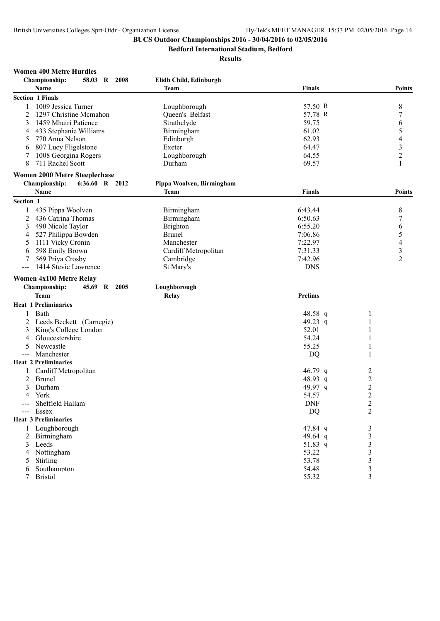**Bedford International Stadium, Bedford**

| <b>Women 400 Metre Hurdles</b>         |       |             |  |
|----------------------------------------|-------|-------------|--|
| $\alpha$ , and $\alpha$ , and $\alpha$ | E0.02 | <b>A000</b> |  |

| лтошси тоо глсас пага<br><b>Championship:</b><br>58.03 R 2008    | Elidh Child, Edinburgh    |                |                          |
|------------------------------------------------------------------|---------------------------|----------------|--------------------------|
| Name                                                             | <b>Team</b>               | <b>Finals</b>  | <b>Points</b>            |
| <b>Section 1 Finals</b>                                          |                           |                |                          |
| 1009 Jessica Turner<br>1                                         | Loughborough              | 57.50 R        | 8                        |
| 2<br>1297 Christine Mcmahon                                      | Queen's Belfast           | 57.78 R        | $\boldsymbol{7}$         |
| 1459 Mhairi Patience<br>3                                        | Strathclyde               | 59.75          | 6                        |
| 433 Stephanie Williams<br>4                                      | Birmingham                | 61.02          | 5                        |
| 770 Anna Nelson<br>5                                             | Edinburgh                 | 62.93          | $\overline{\mathcal{L}}$ |
| 807 Lucy Fligelstone<br>6                                        | Exeter                    | 64.47          | $\mathfrak{Z}$           |
| 1008 Georgina Rogers                                             | Loughborough              | 64.55          | $\boldsymbol{2}$         |
| 8<br>711 Rachel Scott                                            | Durham                    | 69.57          | 1                        |
| <b>Women 2000 Metre Steeplechase</b>                             |                           |                |                          |
| Championship:<br>6:36.60 R 2012                                  | Pippa Woolven, Birmingham |                |                          |
| Name                                                             | Team                      | <b>Finals</b>  | <b>Points</b>            |
| Section 1                                                        |                           |                |                          |
| 435 Pippa Woolven<br>1                                           | Birmingham                | 6:43.44        | 8                        |
| 2<br>436 Catrina Thomas                                          | Birmingham                | 6:50.63        | $\boldsymbol{7}$         |
| 490 Nicole Taylor<br>3                                           | <b>Brighton</b>           | 6:55.20        | 6                        |
| 527 Philippa Bowden<br>4                                         | <b>Brunel</b>             | 7:06.86        | 5                        |
| 1111 Vicky Cronin<br>5                                           | Manchester                | 7:22.97        | 4                        |
| 598 Emily Brown<br>6                                             | Cardiff Metropolitan      | 7:31.33        | $\mathfrak{Z}$           |
| 569 Priya Crosby<br>7                                            | Cambridge                 | 7:42.96        | $\overline{2}$           |
| 1414 Stevie Lawrence                                             | St Mary's                 | <b>DNS</b>     |                          |
| <b>Women 4x100 Metre Relay</b>                                   |                           |                |                          |
| Championship:<br>45.69 R 2005                                    | Loughborough              |                |                          |
| Team                                                             | Relay                     | <b>Prelims</b> |                          |
| <b>Heat 1 Preliminaries</b>                                      |                           |                |                          |
| Bath<br>1                                                        |                           | 48.58 q        | 1                        |
| Leeds Beckett (Carnegie)                                         |                           | 49.23 q        | 1                        |
| King's College London                                            |                           | 52.01          | 1                        |
| 3                                                                |                           | 54.24          | 1                        |
| Gloucestershire<br>4                                             |                           | 55.25          |                          |
| Newcastle<br>5                                                   |                           |                | 1                        |
| Manchester<br>$\qquad \qquad - -$<br><b>Heat 2 Preliminaries</b> |                           | <b>DQ</b>      | 1                        |
| Cardiff Metropolitan                                             |                           | 46.79 q        | 2                        |
| <b>Brunel</b><br>2                                               |                           | 48.93 q        | $\boldsymbol{2}$         |
| Durham<br>3                                                      |                           | 49.97 q        | $\overline{c}$           |
| York<br>4                                                        |                           | 54.57          | $\overline{2}$           |
| Sheffield Hallam                                                 |                           | <b>DNF</b>     | $\mathcal{D}$            |
| --- Essex                                                        |                           | DQ             | ∠<br>2                   |
| <b>Heat 3 Preliminaries</b>                                      |                           |                |                          |
| Loughborough                                                     |                           | 47.84 q        | 3                        |
| Birmingham<br>2                                                  |                           | 49.64 q        | 3                        |
| 3 Leeds                                                          |                           | 51.83 q        | 3                        |
| Nottingham<br>4                                                  |                           | 53.22          | 3                        |
|                                                                  |                           |                |                          |
| Stirling<br>5                                                    |                           | 53.78          | 3                        |
| Southampton<br>6                                                 |                           | 54.48          | 3                        |
| <b>Bristol</b>                                                   |                           | 55.32          | 3                        |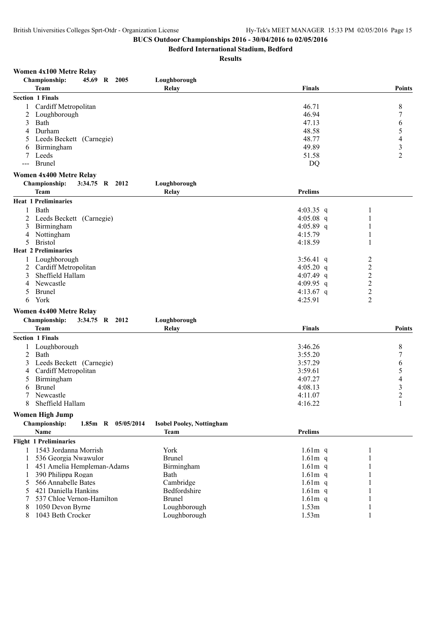**Bedford International Stadium, Bedford**

| <b>Women 4x100 Metre Relay</b> |  |  |
|--------------------------------|--|--|
|                                |  |  |

| <b>Section 1 Finals</b><br>Cardiff Metropolitan<br>46.71<br>8<br>46.94<br>7<br>2<br>Loughborough<br>47.13<br>6<br>3<br>Bath<br>5<br>Durham<br>48.58<br>4<br>$\overline{4}$<br>Leeds Beckett (Carnegie)<br>48.77<br>$\overline{\mathbf{3}}$<br>49.89<br>Birmingham<br>6<br>$\overline{2}$<br>Leeds<br>51.58<br>7<br><b>Brunel</b><br>DQ<br>$--$<br><b>Women 4x400 Metre Relay</b><br>Championship:<br>Loughborough<br>3:34.75 R 2012<br><b>Team</b><br><b>Prelims</b><br>Relay<br><b>Heat 1 Preliminaries</b><br>Bath<br>4:03.35 q<br>1<br>Leeds Beckett (Carnegie)<br>4:05.08 $q$<br>1<br>2<br>4:05.89 $q$<br>Birmingham<br>1<br>3<br>1<br>Nottingham<br>4:15.79<br>4<br><b>Bristol</b><br>4:18.59<br>1<br>5<br><b>Heat 2 Preliminaries</b><br>Loughborough<br>$\overline{\mathbf{c}}$<br>3:56.41 q<br>$\boldsymbol{2}$<br>Cardiff Metropolitan<br>4:05.20 q<br>2<br>$\overline{c}$<br>Sheffield Hallam<br>3<br>4:07.49 $q$<br>$\overline{c}$<br>Newcastle<br>4:09.95 q<br>4<br>$\overline{c}$<br><b>Brunel</b><br>4:13.67 q<br>5.<br>$\overline{2}$<br>York<br>4:25.91<br>6<br><b>Women 4x400 Metre Relay</b><br>Championship:<br>3:34.75 R 2012<br>Loughborough<br><b>Team</b><br>Finals<br><b>Points</b><br>Relay<br><b>Section 1 Finals</b><br>Loughborough<br>3:46.26<br>8<br>7<br>2<br>Bath<br>3:55.20<br>6<br>Leeds Beckett (Carnegie)<br>3:57.29<br>3<br>$\frac{5}{4}$<br>Cardiff Metropolitan<br>3:59.61<br>4<br>Birmingham<br>4:07.27<br>5<br>$\frac{3}{2}$<br><b>Brunel</b><br>4:08.13<br>6<br>Newcastle<br>4:11.07<br>$\mathbf{1}$<br>8<br>Sheffield Hallam<br>4:16.22<br><b>Women High Jump</b><br>Championship:<br>1.85m R 05/05/2014<br><b>Isobel Pooley, Nottingham</b><br>Name<br><b>Prelims</b><br><b>Team</b><br><b>Flight 1 Preliminaries</b><br>1 1543 Jordanna Morrish<br>York<br>$1.61m$ q<br>1<br><b>Brunel</b><br>536 Georgia Nwawulor<br>$1.61m$ q<br>451 Amelia Hempleman-Adams<br>Birmingham<br>$1.61m$ q<br>390 Philippa Rogan<br>Bath<br>$1.61m$ q | <b>Championship:</b> | 45.69 R 2005 |  | Loughborough |               |               |
|----------------------------------------------------------------------------------------------------------------------------------------------------------------------------------------------------------------------------------------------------------------------------------------------------------------------------------------------------------------------------------------------------------------------------------------------------------------------------------------------------------------------------------------------------------------------------------------------------------------------------------------------------------------------------------------------------------------------------------------------------------------------------------------------------------------------------------------------------------------------------------------------------------------------------------------------------------------------------------------------------------------------------------------------------------------------------------------------------------------------------------------------------------------------------------------------------------------------------------------------------------------------------------------------------------------------------------------------------------------------------------------------------------------------------------------------------------------------------------------------------------------------------------------------------------------------------------------------------------------------------------------------------------------------------------------------------------------------------------------------------------------------------------------------------------------------------------------------------------------------------------------------------------------------------------------------------------------------------------|----------------------|--------------|--|--------------|---------------|---------------|
|                                                                                                                                                                                                                                                                                                                                                                                                                                                                                                                                                                                                                                                                                                                                                                                                                                                                                                                                                                                                                                                                                                                                                                                                                                                                                                                                                                                                                                                                                                                                                                                                                                                                                                                                                                                                                                                                                                                                                                                  | <b>Team</b>          |              |  | Relay        | <b>Finals</b> | <b>Points</b> |
|                                                                                                                                                                                                                                                                                                                                                                                                                                                                                                                                                                                                                                                                                                                                                                                                                                                                                                                                                                                                                                                                                                                                                                                                                                                                                                                                                                                                                                                                                                                                                                                                                                                                                                                                                                                                                                                                                                                                                                                  |                      |              |  |              |               |               |
|                                                                                                                                                                                                                                                                                                                                                                                                                                                                                                                                                                                                                                                                                                                                                                                                                                                                                                                                                                                                                                                                                                                                                                                                                                                                                                                                                                                                                                                                                                                                                                                                                                                                                                                                                                                                                                                                                                                                                                                  |                      |              |  |              |               |               |
|                                                                                                                                                                                                                                                                                                                                                                                                                                                                                                                                                                                                                                                                                                                                                                                                                                                                                                                                                                                                                                                                                                                                                                                                                                                                                                                                                                                                                                                                                                                                                                                                                                                                                                                                                                                                                                                                                                                                                                                  |                      |              |  |              |               |               |
|                                                                                                                                                                                                                                                                                                                                                                                                                                                                                                                                                                                                                                                                                                                                                                                                                                                                                                                                                                                                                                                                                                                                                                                                                                                                                                                                                                                                                                                                                                                                                                                                                                                                                                                                                                                                                                                                                                                                                                                  |                      |              |  |              |               |               |
|                                                                                                                                                                                                                                                                                                                                                                                                                                                                                                                                                                                                                                                                                                                                                                                                                                                                                                                                                                                                                                                                                                                                                                                                                                                                                                                                                                                                                                                                                                                                                                                                                                                                                                                                                                                                                                                                                                                                                                                  |                      |              |  |              |               |               |
|                                                                                                                                                                                                                                                                                                                                                                                                                                                                                                                                                                                                                                                                                                                                                                                                                                                                                                                                                                                                                                                                                                                                                                                                                                                                                                                                                                                                                                                                                                                                                                                                                                                                                                                                                                                                                                                                                                                                                                                  |                      |              |  |              |               |               |
|                                                                                                                                                                                                                                                                                                                                                                                                                                                                                                                                                                                                                                                                                                                                                                                                                                                                                                                                                                                                                                                                                                                                                                                                                                                                                                                                                                                                                                                                                                                                                                                                                                                                                                                                                                                                                                                                                                                                                                                  |                      |              |  |              |               |               |
|                                                                                                                                                                                                                                                                                                                                                                                                                                                                                                                                                                                                                                                                                                                                                                                                                                                                                                                                                                                                                                                                                                                                                                                                                                                                                                                                                                                                                                                                                                                                                                                                                                                                                                                                                                                                                                                                                                                                                                                  |                      |              |  |              |               |               |
|                                                                                                                                                                                                                                                                                                                                                                                                                                                                                                                                                                                                                                                                                                                                                                                                                                                                                                                                                                                                                                                                                                                                                                                                                                                                                                                                                                                                                                                                                                                                                                                                                                                                                                                                                                                                                                                                                                                                                                                  |                      |              |  |              |               |               |
|                                                                                                                                                                                                                                                                                                                                                                                                                                                                                                                                                                                                                                                                                                                                                                                                                                                                                                                                                                                                                                                                                                                                                                                                                                                                                                                                                                                                                                                                                                                                                                                                                                                                                                                                                                                                                                                                                                                                                                                  |                      |              |  |              |               |               |
|                                                                                                                                                                                                                                                                                                                                                                                                                                                                                                                                                                                                                                                                                                                                                                                                                                                                                                                                                                                                                                                                                                                                                                                                                                                                                                                                                                                                                                                                                                                                                                                                                                                                                                                                                                                                                                                                                                                                                                                  |                      |              |  |              |               |               |
|                                                                                                                                                                                                                                                                                                                                                                                                                                                                                                                                                                                                                                                                                                                                                                                                                                                                                                                                                                                                                                                                                                                                                                                                                                                                                                                                                                                                                                                                                                                                                                                                                                                                                                                                                                                                                                                                                                                                                                                  |                      |              |  |              |               |               |
|                                                                                                                                                                                                                                                                                                                                                                                                                                                                                                                                                                                                                                                                                                                                                                                                                                                                                                                                                                                                                                                                                                                                                                                                                                                                                                                                                                                                                                                                                                                                                                                                                                                                                                                                                                                                                                                                                                                                                                                  |                      |              |  |              |               |               |
|                                                                                                                                                                                                                                                                                                                                                                                                                                                                                                                                                                                                                                                                                                                                                                                                                                                                                                                                                                                                                                                                                                                                                                                                                                                                                                                                                                                                                                                                                                                                                                                                                                                                                                                                                                                                                                                                                                                                                                                  |                      |              |  |              |               |               |
|                                                                                                                                                                                                                                                                                                                                                                                                                                                                                                                                                                                                                                                                                                                                                                                                                                                                                                                                                                                                                                                                                                                                                                                                                                                                                                                                                                                                                                                                                                                                                                                                                                                                                                                                                                                                                                                                                                                                                                                  |                      |              |  |              |               |               |
|                                                                                                                                                                                                                                                                                                                                                                                                                                                                                                                                                                                                                                                                                                                                                                                                                                                                                                                                                                                                                                                                                                                                                                                                                                                                                                                                                                                                                                                                                                                                                                                                                                                                                                                                                                                                                                                                                                                                                                                  |                      |              |  |              |               |               |
|                                                                                                                                                                                                                                                                                                                                                                                                                                                                                                                                                                                                                                                                                                                                                                                                                                                                                                                                                                                                                                                                                                                                                                                                                                                                                                                                                                                                                                                                                                                                                                                                                                                                                                                                                                                                                                                                                                                                                                                  |                      |              |  |              |               |               |
|                                                                                                                                                                                                                                                                                                                                                                                                                                                                                                                                                                                                                                                                                                                                                                                                                                                                                                                                                                                                                                                                                                                                                                                                                                                                                                                                                                                                                                                                                                                                                                                                                                                                                                                                                                                                                                                                                                                                                                                  |                      |              |  |              |               |               |
|                                                                                                                                                                                                                                                                                                                                                                                                                                                                                                                                                                                                                                                                                                                                                                                                                                                                                                                                                                                                                                                                                                                                                                                                                                                                                                                                                                                                                                                                                                                                                                                                                                                                                                                                                                                                                                                                                                                                                                                  |                      |              |  |              |               |               |
|                                                                                                                                                                                                                                                                                                                                                                                                                                                                                                                                                                                                                                                                                                                                                                                                                                                                                                                                                                                                                                                                                                                                                                                                                                                                                                                                                                                                                                                                                                                                                                                                                                                                                                                                                                                                                                                                                                                                                                                  |                      |              |  |              |               |               |
|                                                                                                                                                                                                                                                                                                                                                                                                                                                                                                                                                                                                                                                                                                                                                                                                                                                                                                                                                                                                                                                                                                                                                                                                                                                                                                                                                                                                                                                                                                                                                                                                                                                                                                                                                                                                                                                                                                                                                                                  |                      |              |  |              |               |               |
|                                                                                                                                                                                                                                                                                                                                                                                                                                                                                                                                                                                                                                                                                                                                                                                                                                                                                                                                                                                                                                                                                                                                                                                                                                                                                                                                                                                                                                                                                                                                                                                                                                                                                                                                                                                                                                                                                                                                                                                  |                      |              |  |              |               |               |
|                                                                                                                                                                                                                                                                                                                                                                                                                                                                                                                                                                                                                                                                                                                                                                                                                                                                                                                                                                                                                                                                                                                                                                                                                                                                                                                                                                                                                                                                                                                                                                                                                                                                                                                                                                                                                                                                                                                                                                                  |                      |              |  |              |               |               |
|                                                                                                                                                                                                                                                                                                                                                                                                                                                                                                                                                                                                                                                                                                                                                                                                                                                                                                                                                                                                                                                                                                                                                                                                                                                                                                                                                                                                                                                                                                                                                                                                                                                                                                                                                                                                                                                                                                                                                                                  |                      |              |  |              |               |               |
|                                                                                                                                                                                                                                                                                                                                                                                                                                                                                                                                                                                                                                                                                                                                                                                                                                                                                                                                                                                                                                                                                                                                                                                                                                                                                                                                                                                                                                                                                                                                                                                                                                                                                                                                                                                                                                                                                                                                                                                  |                      |              |  |              |               |               |
|                                                                                                                                                                                                                                                                                                                                                                                                                                                                                                                                                                                                                                                                                                                                                                                                                                                                                                                                                                                                                                                                                                                                                                                                                                                                                                                                                                                                                                                                                                                                                                                                                                                                                                                                                                                                                                                                                                                                                                                  |                      |              |  |              |               |               |
|                                                                                                                                                                                                                                                                                                                                                                                                                                                                                                                                                                                                                                                                                                                                                                                                                                                                                                                                                                                                                                                                                                                                                                                                                                                                                                                                                                                                                                                                                                                                                                                                                                                                                                                                                                                                                                                                                                                                                                                  |                      |              |  |              |               |               |
|                                                                                                                                                                                                                                                                                                                                                                                                                                                                                                                                                                                                                                                                                                                                                                                                                                                                                                                                                                                                                                                                                                                                                                                                                                                                                                                                                                                                                                                                                                                                                                                                                                                                                                                                                                                                                                                                                                                                                                                  |                      |              |  |              |               |               |
|                                                                                                                                                                                                                                                                                                                                                                                                                                                                                                                                                                                                                                                                                                                                                                                                                                                                                                                                                                                                                                                                                                                                                                                                                                                                                                                                                                                                                                                                                                                                                                                                                                                                                                                                                                                                                                                                                                                                                                                  |                      |              |  |              |               |               |
|                                                                                                                                                                                                                                                                                                                                                                                                                                                                                                                                                                                                                                                                                                                                                                                                                                                                                                                                                                                                                                                                                                                                                                                                                                                                                                                                                                                                                                                                                                                                                                                                                                                                                                                                                                                                                                                                                                                                                                                  |                      |              |  |              |               |               |
|                                                                                                                                                                                                                                                                                                                                                                                                                                                                                                                                                                                                                                                                                                                                                                                                                                                                                                                                                                                                                                                                                                                                                                                                                                                                                                                                                                                                                                                                                                                                                                                                                                                                                                                                                                                                                                                                                                                                                                                  |                      |              |  |              |               |               |
|                                                                                                                                                                                                                                                                                                                                                                                                                                                                                                                                                                                                                                                                                                                                                                                                                                                                                                                                                                                                                                                                                                                                                                                                                                                                                                                                                                                                                                                                                                                                                                                                                                                                                                                                                                                                                                                                                                                                                                                  |                      |              |  |              |               |               |
|                                                                                                                                                                                                                                                                                                                                                                                                                                                                                                                                                                                                                                                                                                                                                                                                                                                                                                                                                                                                                                                                                                                                                                                                                                                                                                                                                                                                                                                                                                                                                                                                                                                                                                                                                                                                                                                                                                                                                                                  |                      |              |  |              |               |               |
|                                                                                                                                                                                                                                                                                                                                                                                                                                                                                                                                                                                                                                                                                                                                                                                                                                                                                                                                                                                                                                                                                                                                                                                                                                                                                                                                                                                                                                                                                                                                                                                                                                                                                                                                                                                                                                                                                                                                                                                  |                      |              |  |              |               |               |
|                                                                                                                                                                                                                                                                                                                                                                                                                                                                                                                                                                                                                                                                                                                                                                                                                                                                                                                                                                                                                                                                                                                                                                                                                                                                                                                                                                                                                                                                                                                                                                                                                                                                                                                                                                                                                                                                                                                                                                                  |                      |              |  |              |               |               |
|                                                                                                                                                                                                                                                                                                                                                                                                                                                                                                                                                                                                                                                                                                                                                                                                                                                                                                                                                                                                                                                                                                                                                                                                                                                                                                                                                                                                                                                                                                                                                                                                                                                                                                                                                                                                                                                                                                                                                                                  |                      |              |  |              |               |               |
|                                                                                                                                                                                                                                                                                                                                                                                                                                                                                                                                                                                                                                                                                                                                                                                                                                                                                                                                                                                                                                                                                                                                                                                                                                                                                                                                                                                                                                                                                                                                                                                                                                                                                                                                                                                                                                                                                                                                                                                  |                      |              |  |              |               |               |
|                                                                                                                                                                                                                                                                                                                                                                                                                                                                                                                                                                                                                                                                                                                                                                                                                                                                                                                                                                                                                                                                                                                                                                                                                                                                                                                                                                                                                                                                                                                                                                                                                                                                                                                                                                                                                                                                                                                                                                                  |                      |              |  |              |               |               |
|                                                                                                                                                                                                                                                                                                                                                                                                                                                                                                                                                                                                                                                                                                                                                                                                                                                                                                                                                                                                                                                                                                                                                                                                                                                                                                                                                                                                                                                                                                                                                                                                                                                                                                                                                                                                                                                                                                                                                                                  |                      |              |  |              |               |               |
|                                                                                                                                                                                                                                                                                                                                                                                                                                                                                                                                                                                                                                                                                                                                                                                                                                                                                                                                                                                                                                                                                                                                                                                                                                                                                                                                                                                                                                                                                                                                                                                                                                                                                                                                                                                                                                                                                                                                                                                  |                      |              |  |              |               |               |
|                                                                                                                                                                                                                                                                                                                                                                                                                                                                                                                                                                                                                                                                                                                                                                                                                                                                                                                                                                                                                                                                                                                                                                                                                                                                                                                                                                                                                                                                                                                                                                                                                                                                                                                                                                                                                                                                                                                                                                                  |                      |              |  |              |               |               |
|                                                                                                                                                                                                                                                                                                                                                                                                                                                                                                                                                                                                                                                                                                                                                                                                                                                                                                                                                                                                                                                                                                                                                                                                                                                                                                                                                                                                                                                                                                                                                                                                                                                                                                                                                                                                                                                                                                                                                                                  |                      |              |  |              |               |               |
|                                                                                                                                                                                                                                                                                                                                                                                                                                                                                                                                                                                                                                                                                                                                                                                                                                                                                                                                                                                                                                                                                                                                                                                                                                                                                                                                                                                                                                                                                                                                                                                                                                                                                                                                                                                                                                                                                                                                                                                  |                      |              |  |              |               |               |
|                                                                                                                                                                                                                                                                                                                                                                                                                                                                                                                                                                                                                                                                                                                                                                                                                                                                                                                                                                                                                                                                                                                                                                                                                                                                                                                                                                                                                                                                                                                                                                                                                                                                                                                                                                                                                                                                                                                                                                                  |                      |              |  |              |               |               |
|                                                                                                                                                                                                                                                                                                                                                                                                                                                                                                                                                                                                                                                                                                                                                                                                                                                                                                                                                                                                                                                                                                                                                                                                                                                                                                                                                                                                                                                                                                                                                                                                                                                                                                                                                                                                                                                                                                                                                                                  |                      |              |  |              |               |               |
|                                                                                                                                                                                                                                                                                                                                                                                                                                                                                                                                                                                                                                                                                                                                                                                                                                                                                                                                                                                                                                                                                                                                                                                                                                                                                                                                                                                                                                                                                                                                                                                                                                                                                                                                                                                                                                                                                                                                                                                  |                      |              |  |              |               |               |
|                                                                                                                                                                                                                                                                                                                                                                                                                                                                                                                                                                                                                                                                                                                                                                                                                                                                                                                                                                                                                                                                                                                                                                                                                                                                                                                                                                                                                                                                                                                                                                                                                                                                                                                                                                                                                                                                                                                                                                                  |                      |              |  |              |               |               |
|                                                                                                                                                                                                                                                                                                                                                                                                                                                                                                                                                                                                                                                                                                                                                                                                                                                                                                                                                                                                                                                                                                                                                                                                                                                                                                                                                                                                                                                                                                                                                                                                                                                                                                                                                                                                                                                                                                                                                                                  |                      |              |  |              |               |               |
| 566 Annabelle Bates<br>Cambridge<br>$1.61m$ q<br>5                                                                                                                                                                                                                                                                                                                                                                                                                                                                                                                                                                                                                                                                                                                                                                                                                                                                                                                                                                                                                                                                                                                                                                                                                                                                                                                                                                                                                                                                                                                                                                                                                                                                                                                                                                                                                                                                                                                               |                      |              |  |              |               |               |
| Bedfordshire<br>421 Daniella Hankins<br>$1.61m$ q<br>5                                                                                                                                                                                                                                                                                                                                                                                                                                                                                                                                                                                                                                                                                                                                                                                                                                                                                                                                                                                                                                                                                                                                                                                                                                                                                                                                                                                                                                                                                                                                                                                                                                                                                                                                                                                                                                                                                                                           |                      |              |  |              |               |               |
| 537 Chloe Vernon-Hamilton<br><b>Brunel</b><br>$1.61m$ q<br>7                                                                                                                                                                                                                                                                                                                                                                                                                                                                                                                                                                                                                                                                                                                                                                                                                                                                                                                                                                                                                                                                                                                                                                                                                                                                                                                                                                                                                                                                                                                                                                                                                                                                                                                                                                                                                                                                                                                     |                      |              |  |              |               |               |
| Loughborough                                                                                                                                                                                                                                                                                                                                                                                                                                                                                                                                                                                                                                                                                                                                                                                                                                                                                                                                                                                                                                                                                                                                                                                                                                                                                                                                                                                                                                                                                                                                                                                                                                                                                                                                                                                                                                                                                                                                                                     |                      |              |  |              |               |               |
| 1050 Devon Byrne<br>1.53m<br>8<br>1.53m<br>8                                                                                                                                                                                                                                                                                                                                                                                                                                                                                                                                                                                                                                                                                                                                                                                                                                                                                                                                                                                                                                                                                                                                                                                                                                                                                                                                                                                                                                                                                                                                                                                                                                                                                                                                                                                                                                                                                                                                     |                      |              |  |              |               |               |
| 1043 Beth Crocker<br>Loughborough<br>1                                                                                                                                                                                                                                                                                                                                                                                                                                                                                                                                                                                                                                                                                                                                                                                                                                                                                                                                                                                                                                                                                                                                                                                                                                                                                                                                                                                                                                                                                                                                                                                                                                                                                                                                                                                                                                                                                                                                           |                      |              |  |              |               |               |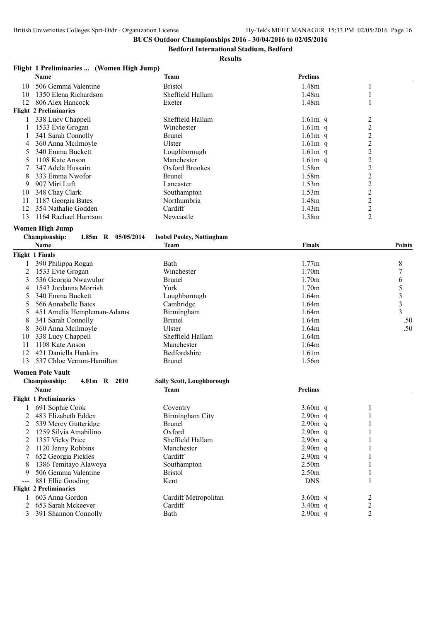**Bedford International Stadium, Bedford**

#### **Results**

## **Flight 1 Preliminaries ... (Women High Jump)**

|    | <b>Name</b>                   | Team             | <b>Prelims</b>    |   |
|----|-------------------------------|------------------|-------------------|---|
| 10 | 506 Gemma Valentine           | <b>Bristol</b>   | 1.48m             |   |
| 10 | 1350 Elena Richardson         | Sheffield Hallam | 1.48m             |   |
| 12 | 806 Alex Hancock              | Exeter           | 1.48m             |   |
|    | <b>Flight 2 Preliminaries</b> |                  |                   |   |
|    | 338 Lucy Chappell             | Sheffield Hallam | $1.61m$ q         |   |
|    | 1533 Evie Grogan              | Winchester       | $1.61m$ q         |   |
|    | 341 Sarah Connolly            | Brunel           | $1.61m$ q         |   |
| 4  | 360 Anna Meilmoyle            | Ulster           | $1.61m$ q         |   |
|    | 340 Emma Buckett              | Loughborough     | $1.61m$ q         |   |
| 5  | 1108 Kate Anson               | Manchester       | $1.61m$ q         | 2 |
|    | 347 Adela Hussain             | Oxford Brookes   | 1.58m             |   |
| 8  | 333 Emma Nwofor               | Brunel           | 1.58m             |   |
| 9  | 907 Miri Luft                 | Lancaster        | 1.53m             |   |
| 10 | 348 Chay Clark                | Southampton      | 1.53m             |   |
| 11 | 1187 Georgia Bates            | Northumbria      | 1.48m             |   |
| 12 | 354 Nathalie Godden           | Cardiff          | 1.43 <sub>m</sub> |   |
| 13 | 1164 Rachael Harrison         | Newcastle        | 1.38m             |   |

#### **Women High Jump**

| <b>Championship:</b> |  |  | 1.85m R $05/05/2014$ | <b>Isobel Pooley, Nottingham</b> |
|----------------------|--|--|----------------------|----------------------------------|
|----------------------|--|--|----------------------|----------------------------------|

|    | Name                         | <b>Team</b>      | <b>Finals</b>     | <b>Points</b> |
|----|------------------------------|------------------|-------------------|---------------|
|    | Flight 1 Finals              |                  |                   |               |
|    | 390 Philippa Rogan           | Bath             | 1.77m             | 8             |
|    | 1533 Evie Grogan             | Winchester       | 1.70 <sub>m</sub> |               |
|    | 536 Georgia Nwawulor         | <b>Brunel</b>    | 1.70 <sub>m</sub> |               |
|    | 1543 Jordanna Morrish        | York             | 1.70 <sub>m</sub> |               |
|    | 340 Emma Buckett             | Loughborough     | 1.64m             |               |
|    | 566 Annabelle Bates          | Cambridge        | 1.64m             |               |
|    | 5 451 Amelia Hempleman-Adams | Birmingham       | 1.64m             | 3             |
| 8  | 341 Sarah Connolly           | Brunel           | 1.64m             | .50           |
| 8  | 360 Anna Meilmoyle           | Ulster           | 1.64m             | .50           |
| 10 | 338 Lucy Chappell            | Sheffield Hallam | 1.64m             |               |
|    | 1108 Kate Anson              | Manchester       | 1.64m             |               |
| 12 | 421 Daniella Hankins         | Bedfordshire     | 1.61 <sub>m</sub> |               |
| 13 | 537 Chloe Vernon-Hamilton    | <b>Brunel</b>    | 1.56m             |               |

#### **Women Pole Vault**

|                                                                                                                                                                                                                                                                                                                                                                                              | 4.01m R 2010<br><b>Championship:</b> | <b>Sally Scott, Loughborough</b> |                   |   |  |
|----------------------------------------------------------------------------------------------------------------------------------------------------------------------------------------------------------------------------------------------------------------------------------------------------------------------------------------------------------------------------------------------|--------------------------------------|----------------------------------|-------------------|---|--|
|                                                                                                                                                                                                                                                                                                                                                                                              | <b>Name</b>                          | Team                             | <b>Prelims</b>    |   |  |
|                                                                                                                                                                                                                                                                                                                                                                                              | <b>Flight 1 Preliminaries</b>        |                                  |                   |   |  |
|                                                                                                                                                                                                                                                                                                                                                                                              | 691 Sophie Cook                      | Coventry                         | $3.60m$ q         |   |  |
|                                                                                                                                                                                                                                                                                                                                                                                              | 483 Elizabeth Edden                  | Birmingham City                  | $2.90m$ q         |   |  |
|                                                                                                                                                                                                                                                                                                                                                                                              | 539 Mercy Gutteridge                 | <b>Brunel</b>                    | $2.90m$ q         |   |  |
|                                                                                                                                                                                                                                                                                                                                                                                              | 1259 Silvia Amabilino                | Oxford                           | $2.90m$ q         |   |  |
|                                                                                                                                                                                                                                                                                                                                                                                              | 1357 Vicky Price                     | Sheffield Hallam                 | $2.90m$ q         |   |  |
|                                                                                                                                                                                                                                                                                                                                                                                              | 1120 Jenny Robbins                   | Manchester                       | $2.90m$ q         |   |  |
|                                                                                                                                                                                                                                                                                                                                                                                              | 652 Georgia Pickles                  | Cardiff                          | $2.90m$ q         |   |  |
| 8                                                                                                                                                                                                                                                                                                                                                                                            | 1386 Temitayo Alawoya                | Southampton                      | 2.50 <sub>m</sub> |   |  |
| 9                                                                                                                                                                                                                                                                                                                                                                                            | 506 Gemma Valentine                  | <b>Bristol</b>                   | 2.50 <sub>m</sub> |   |  |
| $\frac{1}{2} \frac{1}{2} \frac{1}{2} \frac{1}{2} \frac{1}{2} \frac{1}{2} \frac{1}{2} \frac{1}{2} \frac{1}{2} \frac{1}{2} \frac{1}{2} \frac{1}{2} \frac{1}{2} \frac{1}{2} \frac{1}{2} \frac{1}{2} \frac{1}{2} \frac{1}{2} \frac{1}{2} \frac{1}{2} \frac{1}{2} \frac{1}{2} \frac{1}{2} \frac{1}{2} \frac{1}{2} \frac{1}{2} \frac{1}{2} \frac{1}{2} \frac{1}{2} \frac{1}{2} \frac{1}{2} \frac{$ | 881 Ellie Gooding                    | Kent                             | <b>DNS</b>        |   |  |
|                                                                                                                                                                                                                                                                                                                                                                                              | <b>Flight 2 Preliminaries</b>        |                                  |                   |   |  |
|                                                                                                                                                                                                                                                                                                                                                                                              | 603 Anna Gordon                      | Cardiff Metropolitan             | $3.60m$ q         | 2 |  |
|                                                                                                                                                                                                                                                                                                                                                                                              | 653 Sarah Mckeever                   | Cardiff                          | $3.40m$ q         | ∍ |  |
| 3                                                                                                                                                                                                                                                                                                                                                                                            | 391 Shannon Connolly                 | Bath                             | $2.90m$ q         |   |  |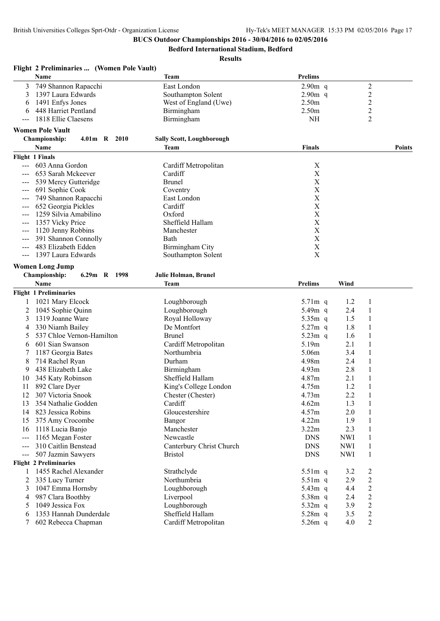**Bedford International Stadium, Bedford**

|                   | Flight 2 Preliminaries  (Women Pole Vault) |                                  |                           |            |                |        |
|-------------------|--------------------------------------------|----------------------------------|---------------------------|------------|----------------|--------|
|                   | Name                                       | <b>Team</b>                      | Prelims                   |            |                |        |
| 3                 | 749 Shannon Rapacchi                       | East London                      | $2.90m$ q                 |            | $\overline{c}$ |        |
| 3                 | 1397 Laura Edwards                         | Southampton Solent               | $2.90m$ q                 |            | $\overline{c}$ |        |
| 6                 | 1491 Enfys Jones                           | West of England (Uwe)            | 2.50m                     |            | $\overline{c}$ |        |
| 6                 | 448 Harriet Pentland                       | Birmingham                       | 2.50m                     |            | $\overline{c}$ |        |
| ---               | 1818 Ellie Claesens                        | Birmingham                       | <b>NH</b>                 |            | $\overline{c}$ |        |
|                   | <b>Women Pole Vault</b>                    |                                  |                           |            |                |        |
|                   | <b>Championship:</b><br>4.01m R 2010       | <b>Sally Scott, Loughborough</b> |                           |            |                |        |
|                   | Name                                       | <b>Team</b>                      | Finals                    |            |                | Points |
|                   | <b>Flight 1 Finals</b>                     |                                  |                           |            |                |        |
|                   | 603 Anna Gordon                            | Cardiff Metropolitan             | $\mathbf X$               |            |                |        |
|                   | 653 Sarah Mckeever                         | Cardiff                          | $\boldsymbol{\mathrm{X}}$ |            |                |        |
|                   | 539 Mercy Gutteridge                       | <b>Brunel</b>                    | $\boldsymbol{\mathrm{X}}$ |            |                |        |
| $\qquad \qquad -$ | 691 Sophie Cook                            | Coventry                         | $\boldsymbol{\mathrm{X}}$ |            |                |        |
|                   | 749 Shannon Rapacchi                       | East London                      | $\mathbf X$               |            |                |        |
|                   | 652 Georgia Pickles                        | Cardiff                          | $\mathbf X$               |            |                |        |
|                   | 1259 Silvia Amabilino                      | Oxford                           | $\mathbf X$               |            |                |        |
| ---               | 1357 Vicky Price                           | Sheffield Hallam                 | $\mathbf X$               |            |                |        |
| $---$             | 1120 Jenny Robbins                         | Manchester                       | $\boldsymbol{\mathrm{X}}$ |            |                |        |
| ---               | 391 Shannon Connolly                       | Bath                             | X                         |            |                |        |
|                   | 483 Elizabeth Edden                        | Birmingham City                  | $\mathbf X$               |            |                |        |
|                   | 1397 Laura Edwards                         | Southampton Solent               | X                         |            |                |        |
|                   | <b>Women Long Jump</b>                     |                                  |                           |            |                |        |
|                   | Championship:<br>6.29m R 1998              | Julie Holman, Brunel             |                           |            |                |        |
|                   | <b>Name</b>                                | <b>Team</b>                      | <b>Prelims</b>            | Wind       |                |        |
|                   | <b>Flight 1 Preliminaries</b>              |                                  |                           |            |                |        |
| 1                 | 1021 Mary Elcock                           | Loughborough                     | 5.71m q                   | 1.2        | 1              |        |
| 2                 | 1045 Sophie Quinn                          | Loughborough                     | 5.49m q                   | 2.4        | 1              |        |
| 3                 | 1319 Joanne Ware                           | Royal Holloway                   | $5.35m$ q                 | 1.5        | 1              |        |
| 4                 | 330 Niamh Bailey                           | De Montfort                      | $5.27m$ q                 | 1.8        | 1              |        |
|                   | 537 Chloe Vernon-Hamilton                  | <b>Brunel</b>                    | $5.23m$ q                 | 1.6        | 1              |        |
| 6                 | 601 Sian Swanson                           | Cardiff Metropolitan             | 5.19m                     | 2.1        | 1              |        |
| 7                 | 1187 Georgia Bates                         | Northumbria                      | 5.06m                     | 3.4        | 1              |        |
| 8                 | 714 Rachel Ryan                            | Durham                           | 4.98m                     | 2.4        | 1              |        |
| 9                 | 438 Elizabeth Lake                         | Birmingham                       | 4.93m                     | 2.8        |                |        |
| 10                | 345 Katy Robinson                          | Sheffield Hallam                 | 4.87m                     | 2.1        |                |        |
| 11                | 892 Clare Dyer                             | King's College London            | 4.75m                     | 1.2        | 1              |        |
| 12                | 307 Victoria Snook                         | Chester (Chester)                | 4.73m                     | 2.2        | 1              |        |
| 13                | 354 Nathalie Godden                        | Cardiff                          | 4.62m                     | 1.3        | 1              |        |
|                   | 14 823 Jessica Robins                      | Gloucestershire                  | 4.57m                     | 2.0        |                |        |
| 15                | 375 Amy Crocombe                           | Bangor                           | 4.22m                     | 1.9        |                |        |
| 16                | 1118 Lucia Banjo                           | Manchester                       | 3.22m                     | 2.3        |                |        |
| $---$             | 1165 Megan Foster                          | Newcastle                        | <b>DNS</b>                | <b>NWI</b> |                |        |
| $---$             | 310 Caitlin Benstead                       | Canterbury Christ Church         | <b>DNS</b>                | <b>NWI</b> | 1              |        |
|                   | 507 Jazmin Sawyers                         | <b>Bristol</b>                   | <b>DNS</b>                | <b>NWI</b> | 1              |        |
|                   | <b>Flight 2 Preliminaries</b>              |                                  |                           |            |                |        |
|                   | 1455 Rachel Alexander                      | Strathclyde                      | $5.51m$ q                 | 3.2        | 2              |        |
| 2                 | 335 Lucy Turner                            | Northumbria                      | 5.51m q                   | 2.9        | $\overline{c}$ |        |
| 3                 | 1047 Emma Hornsby                          | Loughborough                     | 5.43m q                   | 4.4        | $\overline{c}$ |        |
| 4                 | 987 Clara Boothby                          | Liverpool                        | 5.38m q                   | 2.4        | 2              |        |
| 5                 | 1049 Jessica Fox                           | Loughborough                     | 5.32m q                   | 3.9        | $\overline{c}$ |        |
| 6                 | 1353 Hannah Dunderdale                     | Sheffield Hallam                 | 5.28m q                   | 3.5        | $\overline{c}$ |        |
| 7                 | 602 Rebecca Chapman                        | Cardiff Metropolitan             | 5.26m q                   | 4.0        | 2              |        |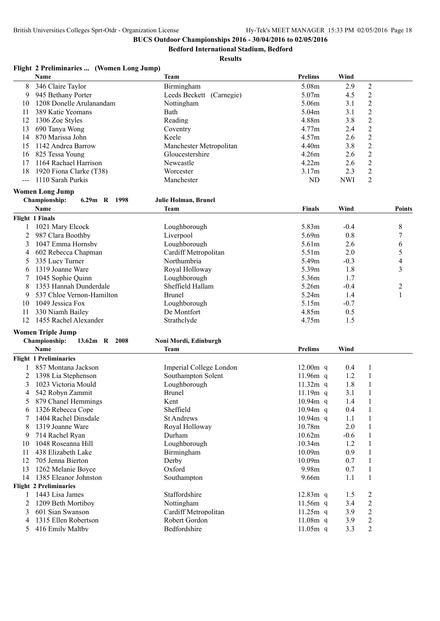**Bedford International Stadium, Bedford**

| Flight 2 Preliminaries  (Women Long Jump) |  |
|-------------------------------------------|--|
|-------------------------------------------|--|

|                | Name                           | <b>Team</b>              | Prelims        | Wind       |                  |                |
|----------------|--------------------------------|--------------------------|----------------|------------|------------------|----------------|
| 8              | 346 Claire Taylor              | Birmingham               | 5.08m          | 2.9        | $\boldsymbol{2}$ |                |
| 9              | 945 Bethany Porter             | Leeds Beckett (Carnegie) | 5.07m          | 4.5        | $\overline{2}$   |                |
| 10             | 1208 Donelle Arulanandam       | Nottingham               | 5.06m          | 3.1        | $\overline{2}$   |                |
| 11             | 389 Katie Yeomans              | Bath                     | 5.04m          | 3.1        | $\overline{2}$   |                |
| 12             | 1306 Zoe Styles                | Reading                  | 4.88m          | 3.8        | $\overline{c}$   |                |
| 13             | 690 Tanya Wong                 | Coventry                 | 4.77m          | 2.4        | $\overline{c}$   |                |
| 14             | 870 Marissa John               | Keele                    | 4.57m          | 2.6        | $\overline{2}$   |                |
| 15             | 1142 Andrea Barrow             | Manchester Metropolitan  | 4.40m          | 3.8        | $\overline{2}$   |                |
| 16             | 825 Tessa Young                | Gloucestershire          | 4.26m          | 2.6        | $\overline{2}$   |                |
| 17             | 1164 Rachael Harrison          | Newcastle                | 4.22m          | 2.6        | $\overline{2}$   |                |
| 18             | 1920 Fiona Clarke (T38)        | Worcester                | 3.17m          | 2.3        | $\overline{2}$   |                |
| $\overline{a}$ | 1110 Sarah Purkis              | Manchester               | ND             | <b>NWI</b> | $\overline{2}$   |                |
|                |                                |                          |                |            |                  |                |
|                | <b>Women Long Jump</b>         |                          |                |            |                  |                |
|                | 6.29m R 1998<br>Championship:  | Julie Holman, Brunel     |                |            |                  |                |
|                | Name                           | Team                     | Finals         | Wind       |                  | <b>Points</b>  |
|                | <b>Flight 1 Finals</b>         |                          |                |            |                  |                |
| 1              | 1021 Mary Elcock               | Loughborough             | 5.83m          | $-0.4$     |                  | 8              |
| 2              | 987 Clara Boothby              | Liverpool                | 5.69m          | 0.8        |                  | 7              |
| 3              | 1047 Emma Hornsby              | Loughborough             | 5.61m          | 2.6        |                  | 6              |
| 4              | 602 Rebecca Chapman            | Cardiff Metropolitan     | 5.51m          | 2.0        |                  | 5              |
| 5              | 335 Lucy Turner                | Northumbria              | 5.49m          | $-0.3$     |                  | $\overline{4}$ |
|                |                                |                          |                |            |                  | $\overline{3}$ |
| 6              | 1319 Joanne Ware               | Royal Holloway           | 5.39m          | 1.8        |                  |                |
| 7              | 1045 Sophie Quinn              | Loughborough             | 5.36m          | 1.7        |                  |                |
| 8              | 1353 Hannah Dunderdale         | Sheffield Hallam         | 5.26m          | $-0.4$     |                  | $\overline{c}$ |
| 9              | 537 Chloe Vernon-Hamilton      | <b>Brunel</b>            | 5.24m          | 1.4        |                  | $\mathbf{1}$   |
| 10             | 1049 Jessica Fox               | Loughborough             | 5.15m          | $-0.7$     |                  |                |
| 11             | 330 Niamh Bailey               | De Montfort              | 4.85m          | 0.5        |                  |                |
| 12             | 1455 Rachel Alexander          | Strathclyde              | 4.75m          | 1.5        |                  |                |
|                | <b>Women Triple Jump</b>       |                          |                |            |                  |                |
|                | Championship:<br>13.62m R 2008 | Noni Mordi, Edinburgh    |                |            |                  |                |
|                | Name                           | <b>Team</b>              | <b>Prelims</b> | Wind       |                  |                |
|                | <b>Flight 1 Preliminaries</b>  |                          |                |            |                  |                |
|                | 857 Montana Jackson            | Imperial College London  | $12.00m$ q     | 0.4        | 1                |                |
|                |                                | Southampton Solent       | $11.96m$ q     |            | 1                |                |
| 2              | 1398 Lia Stephenson            |                          |                | 1.2        |                  |                |
| 3              | 1023 Victoria Mould            | Loughborough             | $11.32m$ q     | 1.8        | $\mathbf{1}$     |                |
| 4              | 542 Robyn Zammit               | <b>Brunel</b>            | $11.19m$ q     | 3.1        | $\mathbf{1}$     |                |
| 5              | 879 Chanel Hemmings            | Kent                     | $10.94m$ q     | 1.4        | $\mathbf{1}$     |                |
| 6              | 1326 Rebecca Cope              | Sheffield                | 10.94m q       | 0.4        | 1                |                |
| 7              | 1404 Rachel Dinsdale           | <b>St Andrews</b>        | 10.94m q       | 1.1        | 1                |                |
| 8              | 1319 Joanne Ware               | Royal Holloway           | 10.78m         | 2.0        | 1                |                |
| 9              | 714 Rachel Ryan                | Durham                   | 10.62m         | $-0.6$     | 1                |                |
| 10             | 1048 Roseanna Hill             | Loughborough             | 10.34m         | 1.2        | 1                |                |
| 11             | 438 Elizabeth Lake             | Birmingham               | 10.09m         | 0.9        | 1                |                |
| 12             | 705 Jenna Bierton              | Derby                    | 10.09m         | 0.7        | 1                |                |
| 13             | 1262 Melanie Boyce             | Oxford                   | 9.98m          | 0.7        | 1                |                |
| 14             | 1385 Eleanor Johnston          | Southampton              | 9.66m          | 1.1        | 1                |                |
|                | <b>Flight 2 Preliminaries</b>  |                          |                |            |                  |                |
| 1              | 1443 Lisa James                | Staffordshire            | 12.83m q       | 1.5        | $\overline{c}$   |                |
| 2              | 1209 Beth Mortiboy             | Nottingham               | 11.56m q       | 3.4        | $\overline{c}$   |                |
| 3              | 601 Sian Swanson               | Cardiff Metropolitan     | $11.25m$ q     | 3.9        | $\overline{c}$   |                |
| 4              | 1315 Ellen Robertson           | Robert Gordon            | 11.08m q       | 3.9        | $\overline{c}$   |                |
| 5              | 416 Emily Maltby               | Bedfordshire             | 11.05m q       | 3.3        | $\boldsymbol{2}$ |                |
|                |                                |                          |                |            |                  |                |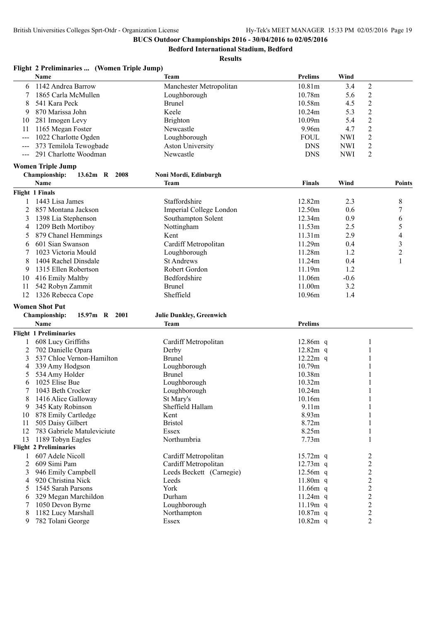**Bedford International Stadium, Bedford**

|              | Flight 2 Preliminaries  (Women Triple Jump) |                                 |                |            |                         |                |
|--------------|---------------------------------------------|---------------------------------|----------------|------------|-------------------------|----------------|
|              | Name                                        | Team                            | <b>Prelims</b> | Wind       |                         |                |
| 6            | 1142 Andrea Barrow                          | Manchester Metropolitan         | 10.81m         | 3.4        | 2                       |                |
|              | 1865 Carla McMullen                         | Loughborough                    | 10.78m         | 5.6        | $\overline{c}$          |                |
| 8            | 541 Kara Peck                               | <b>Brunel</b>                   | 10.58m         | 4.5        | $\overline{c}$          |                |
| 9            | 870 Marissa John                            | Keele                           | 10.24m         | 5.3        | $\overline{2}$          |                |
| 10           | 281 Imogen Levy                             | <b>Brighton</b>                 | 10.09m         | 5.4        | $\overline{2}$          |                |
| 11           | 1165 Megan Foster                           | Newcastle                       | 9.96m          | 4.7        | $\overline{2}$          |                |
|              | 1022 Charlotte Ogden                        | Loughborough                    | <b>FOUL</b>    | <b>NWI</b> | $\overline{2}$          |                |
|              | 373 Temilola Tewogbade                      | <b>Aston University</b>         | <b>DNS</b>     | <b>NWI</b> | $\overline{c}$          |                |
| $---$        | 291 Charlotte Woodman                       | Newcastle                       | <b>DNS</b>     | <b>NWI</b> | $\overline{2}$          |                |
|              | <b>Women Triple Jump</b>                    |                                 |                |            |                         |                |
|              | Championship:<br>13.62m R 2008              | Noni Mordi, Edinburgh           |                |            |                         |                |
|              | Name                                        | Team                            | <b>Finals</b>  | Wind       |                         | <b>Points</b>  |
|              | Flight 1 Finals                             |                                 |                |            |                         |                |
| 1            | 1443 Lisa James                             | Staffordshire                   | 12.82m         | 2.3        |                         | 8              |
| 2            | 857 Montana Jackson                         | Imperial College London         | 12.50m         | 0.6        |                         | 7              |
| 3            | 1398 Lia Stephenson                         | Southampton Solent              | 12.34m         | 0.9        |                         | 6              |
| 4            | 1209 Beth Mortiboy                          | Nottingham                      | 11.53m         | 2.5        |                         | 5              |
| 5            | 879 Chanel Hemmings                         | Kent                            | 11.31m         | 2.9        |                         | 4              |
| 6            | 601 Sian Swanson                            | Cardiff Metropolitan            | 11.29m         | 0.4        |                         | $\mathfrak{Z}$ |
| 7            | 1023 Victoria Mould                         | Loughborough                    | 11.28m         | 1.2        |                         | $\overline{c}$ |
| 8            | 1404 Rachel Dinsdale                        | <b>St Andrews</b>               | 11.24m         | 0.4        |                         | 1              |
|              | 1315 Ellen Robertson                        | Robert Gordon                   | 11.19m         | 1.2        |                         |                |
| 9            |                                             |                                 |                |            |                         |                |
| 10           | 416 Emily Maltby                            | Bedfordshire                    | 11.06m         | $-0.6$     |                         |                |
| 11           | 542 Robyn Zammit                            | <b>Brunel</b>                   | 11.00m         | 3.2        |                         |                |
| 12           | 1326 Rebecca Cope                           | Sheffield                       | 10.96m         | 1.4        |                         |                |
|              | <b>Women Shot Put</b>                       |                                 |                |            |                         |                |
|              | Championship:<br>15.97m R 2001              | <b>Julie Dunkley, Greenwich</b> |                |            |                         |                |
|              | Name                                        | Team                            | <b>Prelims</b> |            |                         |                |
|              | <b>Flight 1 Preliminaries</b>               |                                 |                |            |                         |                |
| 1            | 608 Lucy Griffiths                          | Cardiff Metropolitan            | $12.86m$ q     |            | 1                       |                |
| 2            | 702 Danielle Opara                          | Derby                           | $12.82m$ q     |            | 1                       |                |
| 3            | 537 Chloe Vernon-Hamilton                   | <b>Brunel</b>                   | $12.22m$ q     |            | 1                       |                |
| 4            | 339 Amy Hodgson                             | Loughborough                    | 10.79m         |            |                         |                |
| 5            | 534 Amy Holder                              | <b>Brunel</b>                   | 10.38m         |            |                         |                |
| 6            | 1025 Elise Bue                              | Loughborough                    | 10.32m         |            | 1                       |                |
| 7            | 1043 Beth Crocker                           | Loughborough                    | 10.24m         |            | 1                       |                |
| 8            | 1416 Alice Galloway                         | St Mary's                       | 10.16m         |            | $\mathbf{1}$            |                |
| 9            | 345 Katy Robinson                           | Sheffield Hallam                | 9.11m          |            | 1                       |                |
| 10           | 878 Emily Cartledge                         | Kent                            | 8.93m          |            |                         |                |
| 11           | 505 Daisy Gilbert                           | <b>Bristol</b>                  | 8.72m          |            |                         |                |
| 12           | 783 Gabriele Matuleviciute                  | Essex                           | 8.25m          |            | 1                       |                |
| 13           | 1189 Tobyn Eagles                           | Northumbria                     | 7.73m          |            | 1                       |                |
|              | <b>Flight 2 Preliminaries</b>               |                                 |                |            |                         |                |
| $\mathbf{1}$ | 607 Adele Nicoll                            | Cardiff Metropolitan            | $15.72m$ q     |            | $\overline{\mathbf{c}}$ |                |
| 2            | 609 Simi Pam                                | Cardiff Metropolitan            | $12.73m$ q     |            | $\overline{c}$          |                |
| 3            | 946 Emily Campbell                          | Leeds Beckett (Carnegie)        | $12.56m$ q     |            | $\overline{c}$          |                |
| 4            | 920 Christina Nick                          | Leeds                           | $11.80m$ q     |            | $\overline{c}$          |                |
| 5            | 1545 Sarah Parsons                          | York                            | 11.66 $m$ q    |            | $\overline{2}$          |                |
| 6            | 329 Megan Marchildon                        | Durham                          | 11.24m q       |            | $\overline{2}$          |                |
| 7            | 1050 Devon Byrne                            | Loughborough                    | 11.19m q       |            | $\overline{c}$          |                |
| 8            | 1182 Lucy Marshall                          | Northampton                     | $10.87m$ q     |            | $\overline{c}$          |                |
| 9            | 782 Tolani George                           | Essex                           | 10.82m q       |            | $\overline{2}$          |                |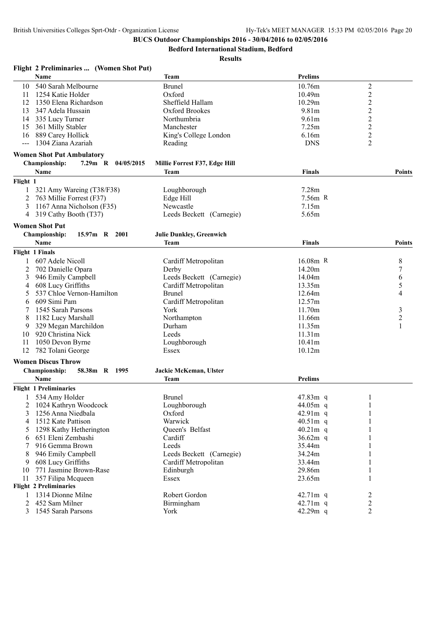**Flight 2 Preliminaries ... (Women Shot Put)**

# **BUCS Outdoor Championships 2016 - 30/04/2016 to 02/05/2016**

**Bedford International Stadium, Bedford**

|          | Name                                  | <b>Team</b>                     | <b>Prelims</b>    |                  |                |
|----------|---------------------------------------|---------------------------------|-------------------|------------------|----------------|
| 10       | 540 Sarah Melbourne                   | <b>Brunel</b>                   | 10.76m            | $\boldsymbol{2}$ |                |
| 11       | 1254 Katie Holder                     | Oxford                          | 10.49m            | $\overline{2}$   |                |
| 12       | 1350 Elena Richardson                 | Sheffield Hallam                | 10.29m            | $\overline{c}$   |                |
| 13       | 347 Adela Hussain                     | <b>Oxford Brookes</b>           | 9.81m             | $\overline{c}$   |                |
| 14       | 335 Lucy Turner                       | Northumbria                     | 9.61 <sub>m</sub> | $\overline{2}$   |                |
| 15       | 361 Milly Stabler                     | Manchester                      | 7.25m             | $\overline{c}$   |                |
| 16       | 889 Carey Hollick                     | King's College London           | 6.16m             | $\sqrt{2}$       |                |
| $---$    | 1304 Ziana Azariah                    | Reading                         | <b>DNS</b>        | $\overline{2}$   |                |
|          | <b>Women Shot Put Ambulatory</b>      |                                 |                   |                  |                |
|          | Championship:<br>7.29m R 04/05/2015   | Millie Forrest F37, Edge Hill   |                   |                  |                |
|          | Name                                  | Team                            | <b>Finals</b>     |                  | <b>Points</b>  |
|          |                                       |                                 |                   |                  |                |
| Flight 1 |                                       |                                 |                   |                  |                |
|          | 321 Amy Wareing (T38/F38)             | Loughborough                    | 7.28m             |                  |                |
| 2        | 763 Millie Forrest (F37)              | Edge Hill                       | 7.56m R           |                  |                |
| 3        | 1167 Anna Nicholson (F35)             | Newcastle                       | 7.15m             |                  |                |
| 4        | 319 Cathy Booth (T37)                 | Leeds Beckett (Carnegie)        | 5.65m             |                  |                |
|          | <b>Women Shot Put</b>                 |                                 |                   |                  |                |
|          | 15.97m R 2001<br><b>Championship:</b> | <b>Julie Dunkley, Greenwich</b> |                   |                  |                |
|          | Name                                  | <b>Team</b>                     | <b>Finals</b>     |                  | <b>Points</b>  |
|          | Flight 1 Finals                       |                                 |                   |                  |                |
|          | 607 Adele Nicoll                      | Cardiff Metropolitan            | $16.08m$ R        |                  | 8              |
| 2        | 702 Danielle Opara                    | Derby                           | 14.20m            |                  | $\overline{7}$ |
| 3        | 946 Emily Campbell                    | Leeds Beckett (Carnegie)        | 14.04m            |                  | 6              |
| 4        | 608 Lucy Griffiths                    | Cardiff Metropolitan            | 13.35m            |                  | 5              |
| 5        | 537 Chloe Vernon-Hamilton             | <b>Brunel</b>                   | 12.64m            |                  | $\overline{4}$ |
| 6        | 609 Simi Pam                          | Cardiff Metropolitan            | 12.57m            |                  |                |
|          | 1545 Sarah Parsons                    | York                            | 11.70m            |                  | 3              |
|          | 1182 Lucy Marshall                    | Northampton                     | 11.66m            |                  | $\overline{c}$ |
| 9        | 329 Megan Marchildon                  | Durham                          | 11.35m            |                  | 1              |
| 10       | 920 Christina Nick                    | Leeds                           | 11.31m            |                  |                |
| 11       | 1050 Devon Byrne                      | Loughborough                    | 10.41m            |                  |                |
| 12       | 782 Tolani George                     | Essex                           | 10.12m            |                  |                |
|          |                                       |                                 |                   |                  |                |
|          | <b>Women Discus Throw</b>             |                                 |                   |                  |                |
|          | Championship:<br>58.38m R 1995        | Jackie McKeman, Ulster          |                   |                  |                |
|          | <b>Name</b>                           | Team                            | <b>Prelims</b>    |                  |                |
|          | <b>Flight 1 Preliminaries</b>         |                                 |                   |                  |                |
|          | 534 Amy Holder                        | <b>Brunel</b>                   | 47.83m q          | 1                |                |
|          | 2 1024 Kathryn Woodcock               | Loughborough                    | 44.05m q          | $\mathbf{1}$     |                |
| 3        | 1256 Anna Niedbala                    | Oxford                          | 42.91m q          | 1                |                |
| 4        | 1512 Kate Pattison                    | Warwick                         | 40.51m q          |                  |                |
| 5        | 1298 Kathy Hetherington               | Queen's Belfast                 | $40.21m$ q        |                  |                |
|          | 651 Eleni Zembashi                    | Cardiff                         | 36.62 $m$ q       |                  |                |
|          | 916 Gemma Brown                       | Leeds                           | 35.44m            |                  |                |
|          | 946 Emily Campbell                    | Leeds Beckett (Carnegie)        | 34.24m            |                  |                |
| 9        | 608 Lucy Griffiths                    | Cardiff Metropolitan            | 33.44m            |                  |                |
| 10       | 771 Jasmine Brown-Rase                | Edinburgh                       | 29.86m            |                  |                |
| 11       | 357 Filipa Mcqueen                    | Essex                           | 23.65m            |                  |                |
|          | <b>Flight 2 Preliminaries</b>         |                                 |                   |                  |                |
| 1        | 1314 Dionne Milne                     | Robert Gordon                   | 42.71m q          | 2                |                |
| 2        | 452 Sam Milner                        | Birmingham                      | 42.71m q          | $\overline{c}$   |                |
| 3        | 1545 Sarah Parsons                    | York                            | 42.29m q          | $\overline{2}$   |                |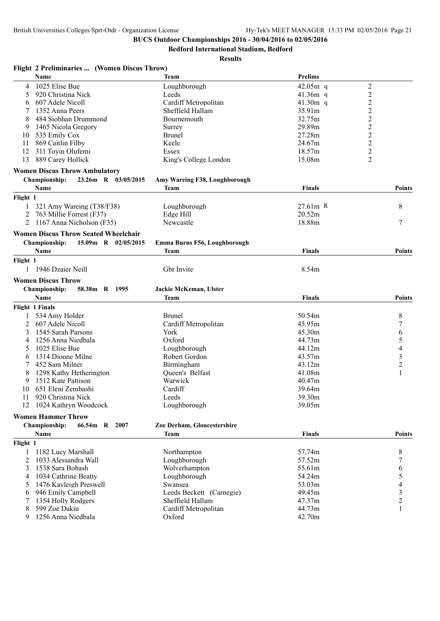**Bedford International Stadium, Bedford**

#### **Results**

## **Flight 2 Preliminaries ... (Women Discus Throw)**

|          | Name                                        | <b>Team</b>                   | <b>Prelims</b> |                         |
|----------|---------------------------------------------|-------------------------------|----------------|-------------------------|
| 4        | 1025 Elise Bue                              | Loughborough                  | $42.05m$ q     | $\overline{c}$          |
| 5        | 920 Christina Nick                          | Leeds                         | 41.36 $m$ q    | $\overline{c}$          |
| 6        | 607 Adele Nicoll                            | Cardiff Metropolitan          | 41.30 $m$ q    | $\overline{c}$          |
|          | 1352 Anna Peers                             | Sheffield Hallam              | 35.91m         | $\frac{2}{2}$           |
| 8        | 484 Siobhan Drummond                        | Bournemouth                   | 32.75m         |                         |
| 9        | 1465 Nicola Gregory                         | Surrey                        | 29.89m         | $\overline{c}$          |
| 10       | 535 Emily Cox                               | <b>Brunel</b>                 | 27.28m         | $\overline{c}$          |
| 11       | 869 Caitlin Filby                           | Keele                         | 24.67m         | $\overline{\mathbf{c}}$ |
| 12       | 311 Toyin Olufemi                           | Essex                         | 18.57m         | $\overline{c}$          |
| 13       | 889 Carey Hollick                           | King's College London         | 15.08m         | $\overline{2}$          |
|          | <b>Women Discus Throw Ambulatory</b>        |                               |                |                         |
|          | 23.26m R 03/05/2015<br><b>Championship:</b> | Amy Wareing F38, Loughborough |                |                         |
|          | Name                                        | <b>Team</b>                   | Finals         | <b>Points</b>           |
| Flight 1 |                                             |                               |                |                         |
|          |                                             |                               |                |                         |
|          | 321 Amy Wareing (T38/F38)                   | Loughborough                  | 27.61m R       | 8                       |
| 2        | 763 Millie Forrest (F37)                    | Edge Hill                     | 20.52m         |                         |
| 2        | 1167 Anna Nicholson (F35)                   | Newcastle                     | 18.88m         | 7                       |
|          | <b>Women Discus Throw Seated Wheelchair</b> |                               |                |                         |
|          | 15.09m R 02/05/2015<br><b>Championship:</b> | Emma Burns F56, Loughborough  |                |                         |
|          | Name                                        | <b>Team</b>                   | Finals         | <b>Points</b>           |
| Flight 1 |                                             |                               |                |                         |
|          | 1 1946 Dzaier Neill                         | Gbr Invite                    | 8.54m          |                         |
|          |                                             |                               |                |                         |
|          | <b>Women Discus Throw</b>                   |                               |                |                         |
|          | <b>Championship:</b><br>58.38m R 1995       | Jackie McKeman, Ulster        |                |                         |
|          | Name                                        | <b>Team</b>                   | Finals         | <b>Points</b>           |
|          | <b>Flight 1 Finals</b>                      |                               |                |                         |
|          | 534 Amy Holder                              | Brunel                        | 50.54m         | 8                       |
| 2        | 607 Adele Nicoll                            | Cardiff Metropolitan          | 45.95m         | 7                       |
| 3        | 1545 Sarah Parsons                          | York                          | 45.30m         | 6                       |
| 4        | 1256 Anna Niedbala                          | Oxford                        | 44.73m         | 5                       |
| 5        | 1025 Elise Bue                              | Loughborough                  | 44.12m         | $\overline{4}$          |
| 6        | 1314 Dionne Milne                           | Robert Gordon                 | 43.57m         | $\mathfrak{Z}$          |
| 7        | 452 Sam Milner                              | Birmingham                    | 43.12m         | $\overline{c}$          |
| 8        | 1298 Kathy Hetherington                     | Queen's Belfast               | 41.08m         | $\mathbf{1}$            |
| 9        | 1512 Kate Pattison                          | Warwick                       | 40.47m         |                         |
| 10       | 651 Eleni Zembashi                          | Cardiff                       | 39.64m         |                         |
| 11       | 920 Christina Nick                          | Leeds                         | 39.30m         |                         |
|          | 12 1024 Kathryn Woodcock                    | Loughborough                  | 39.05m         |                         |
|          |                                             |                               |                |                         |
|          | <b>Women Hammer Throw</b>                   |                               |                |                         |
|          | <b>Championship:</b><br>66.54m R 2007       | Zoe Derham, Gloucestershire   |                |                         |
|          | Name                                        | <b>Team</b>                   | <b>Finals</b>  | Points                  |
| Flight 1 |                                             |                               |                |                         |
| 1        | 1182 Lucy Marshall                          | Northampton                   | 57.74m         | 8                       |
| 2        | 1033 Alessandra Wall                        | Loughborough                  | 57.52m         | 7                       |
| 3        | 1538 Sara Bobash                            | Wolverhampton                 | 55.61m         | 6                       |
| 4        | 1034 Cathrine Beatty                        | Loughborough                  | 54.24m         | 5                       |
| 5        | 1476 Kayleigh Preswell                      | Swansea                       | 53.03m         | $\overline{4}$          |
| 6        | 946 Emily Campbell                          | Leeds Beckett (Carnegie)      | 49.45m         | $\mathfrak{Z}$          |
| 7        | 1354 Holly Rodgers                          | Sheffield Hallam              | 47.37m         | $\overline{c}$          |
|          | 599 Zoe Dakin                               |                               | 44.73m         | $\mathbf{1}$            |
| 8        |                                             | Cardiff Metropolitan          |                |                         |
| 9        | 1256 Anna Niedbala                          | Oxford                        | 42.70m         |                         |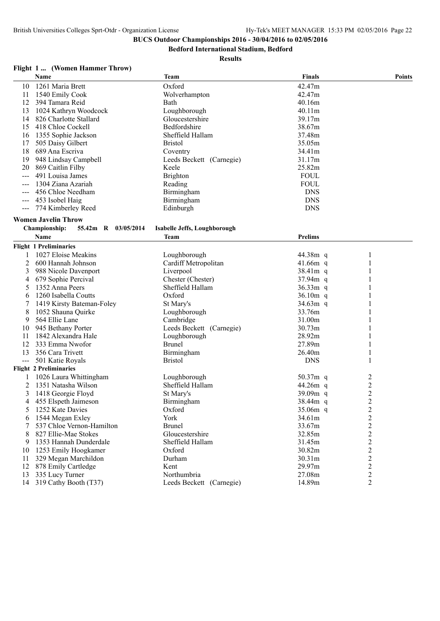**Bedford International Stadium, Bedford**

**Results**

## **Flight 1 ... (Women Hammer Throw)**

l,

|    | <b>Name</b>            | <b>Team</b>              | <b>Finals</b> | <b>Points</b> |
|----|------------------------|--------------------------|---------------|---------------|
| 10 | 1261 Maria Brett       | Oxford                   | 42.47m        |               |
|    | 1540 Emily Cook        | Wolverhampton            | 42.47m        |               |
| 12 | 394 Tamara Reid        | Bath                     | 40.16m        |               |
| 13 | 1024 Kathryn Woodcock  | Loughborough             | 40.11m        |               |
| 14 | 826 Charlotte Stallard | Gloucestershire          | 39.17m        |               |
| 15 | 418 Chloe Cockell      | Bedfordshire             | 38.67m        |               |
| 16 | 1355 Sophie Jackson    | Sheffield Hallam         | 37.48m        |               |
|    | 505 Daisy Gilbert      | <b>Bristol</b>           | 35.05m        |               |
| 18 | 689 Ana Escriva        | Coventry                 | 34.41m        |               |
| 19 | 948 Lindsay Campbell   | Leeds Beckett (Carnegie) | 31.17m        |               |
| 20 | 869 Caitlin Filby      | Keele                    | 25.82m        |               |
|    | 491 Louisa James       | <b>Brighton</b>          | <b>FOUL</b>   |               |
|    | 1304 Ziana Azariah     | Reading                  | <b>FOUL</b>   |               |
|    | 456 Chloe Needham      | Birmingham               | <b>DNS</b>    |               |
|    | 453 Isobel Haig        | <b>Birmingham</b>        | <b>DNS</b>    |               |
|    | 774 Kimberley Reed     | Edinburgh                | <b>DNS</b>    |               |
|    |                        |                          |               |               |

### **Women Javelin Throw**

### **Championship: 55.42m R 03/05/2014 Isabelle Jeffs, Loughborough**

|     | <b>Name</b>                   | Team                     | <b>Prelims</b> |                                                   |
|-----|-------------------------------|--------------------------|----------------|---------------------------------------------------|
|     | <b>Flight 1 Preliminaries</b> |                          |                |                                                   |
|     | 1027 Eloise Meakins           | Loughborough             | 44.38m q       |                                                   |
| 2   | 600 Hannah Johnson            | Cardiff Metropolitan     | $41.66m$ q     |                                                   |
|     | 988 Nicole Davenport          | Liverpool                | $38.41m$ q     |                                                   |
| 4   | 679 Sophie Percival           | Chester (Chester)        | $37.94m$ q     |                                                   |
| 5   | 1352 Anna Peers               | Sheffield Hallam         | $36.33m$ q     |                                                   |
| 6   | 1260 Isabella Coutts          | Oxford                   | $36.10m$ q     |                                                   |
|     | 1419 Kirsty Bateman-Foley     | St Mary's                | $34.63m$ q     |                                                   |
| 8   | 1052 Shauna Quirke            | Loughborough             | 33.76m         |                                                   |
| 9   | 564 Ellie Lane                | Cambridge                | 31.00m         |                                                   |
| 10  | 945 Bethany Porter            | Leeds Beckett (Carnegie) | 30.73m         |                                                   |
| 11  | 1842 Alexandra Hale           | Loughborough             | 28.92m         |                                                   |
| 12  | 333 Emma Nwofor               | <b>Brunel</b>            | 27.89m         |                                                   |
| 13  | 356 Cara Trivett              | Birmingham               | 26.40m         |                                                   |
| --- | 501 Katie Royals              | <b>Bristol</b>           | <b>DNS</b>     |                                                   |
|     | <b>Flight 2 Preliminaries</b> |                          |                |                                                   |
|     | 1026 Laura Whittingham        | Loughborough             | $50.37m$ q     | $\overline{\mathbf{c}}$                           |
| 2   | 1351 Natasha Wilson           | Sheffield Hallam         | $44.26m$ q     | $\overline{c}$                                    |
| 3   | 1418 Georgie Floyd            | St Mary's                | $39.09m$ q     |                                                   |
| 4   | 455 Elspeth Jaimeson          | Birmingham               | $38.44m$ q     |                                                   |
| 5   | 1252 Kate Davies              | Oxford                   | $35.06m$ q     | $\begin{array}{c}\n2 \\ 2 \\ 2 \\ 2\n\end{array}$ |
| 6   | 1544 Megan Exlev              | York                     | 34.61m         |                                                   |
|     | 537 Chloe Vernon-Hamilton     | <b>Brunel</b>            | 33.67m         |                                                   |
| 8   | 827 Ellie-Mae Stokes          | Gloucestershire          | 32.85m         |                                                   |
| 9   | 1353 Hannah Dunderdale        | Sheffield Hallam         | 31.45m         |                                                   |
| 10  | 1253 Emily Hoogkamer          | Oxford                   | 30.82m         |                                                   |
| 11  | 329 Megan Marchildon          | Durham                   | 30.31m         |                                                   |
| 12  | 878 Emily Cartledge           | Kent                     | 29.97m         | $2222$<br>$222$                                   |
| 13  | 335 Lucy Turner               | Northumbria              | 27.08m         |                                                   |
| 14  | 319 Cathy Booth (T37)         | Leeds Beckett (Carnegie) | 14.89m         | $\overline{2}$                                    |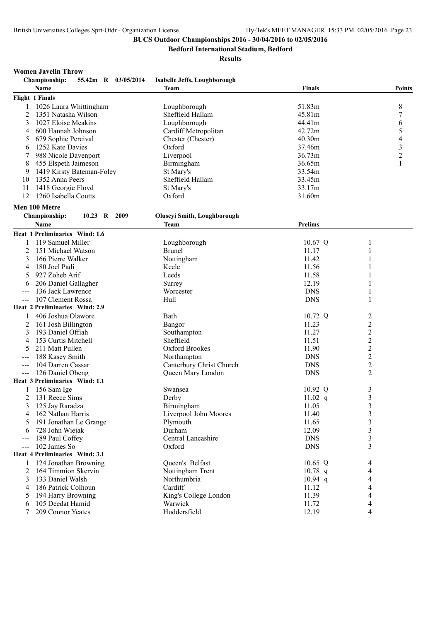**Bedford International Stadium, Bedford**

#### **Results**

#### **Women Javelin Throw**

| <b>Championship:</b><br>55.42m R 03/05/2014 | Isabelle Jeffs, Loughborough       |                |                          |
|---------------------------------------------|------------------------------------|----------------|--------------------------|
| Name                                        | Team                               | <b>Finals</b>  | <b>Points</b>            |
| Flight 1 Finals                             |                                    |                |                          |
| 1026 Laura Whittingham<br>1                 | Loughborough                       | 51.83m         | 8                        |
| 2<br>1351 Natasha Wilson                    | Sheffield Hallam                   | 45.81m         | 7                        |
| 3<br>1027 Eloise Meakins                    | Loughborough                       | 44.41m         | 6                        |
| 600 Hannah Johnson<br>4                     | Cardiff Metropolitan               | 42.72m         | 5                        |
| 679 Sophie Percival<br>5                    | Chester (Chester)                  | 40.30m         | $\overline{\mathcal{L}}$ |
| 1252 Kate Davies<br>6                       | Oxford                             | 37.46m         | 3                        |
| 7<br>988 Nicole Davenport                   | Liverpool                          | 36.73m         | $\overline{c}$           |
| 8<br>455 Elspeth Jaimeson                   | Birmingham                         | 36.65m         | 1                        |
| 1419 Kirsty Bateman-Foley<br>9              | St Mary's                          | 33.54m         |                          |
| 1352 Anna Peers<br>10                       | Sheffield Hallam                   | 33.45m         |                          |
| 11<br>1418 Georgie Floyd                    | St Mary's                          | 33.17m         |                          |
| 12<br>1260 Isabella Coutts                  | Oxford                             | 31.60m         |                          |
|                                             |                                    |                |                          |
| Men 100 Metre                               |                                    |                |                          |
| Championship:<br>10.23 R 2009               | <b>Oluseyi Smith, Loughborough</b> |                |                          |
| Name                                        | <b>Team</b>                        | <b>Prelims</b> |                          |
| Heat 1 Preliminaries Wind: 1.6              |                                    |                |                          |
| 119 Samuel Miller                           | Loughborough                       | $10.67$ Q      | 1                        |
| 151 Michael Watson<br>2                     | <b>Brunel</b>                      | 11.17          | 1                        |
| 3<br>166 Pierre Walker                      | Nottingham                         | 11.42          | 1                        |
| 180 Joel Padi<br>4                          | Keele                              | 11.56          | 1                        |
| 927 Zoheb Arif<br>5                         | Leeds                              | 11.58          |                          |
| 206 Daniel Gallagher<br>6                   | Surrey                             | 12.19          |                          |
| 136 Jack Lawrence<br>$---$                  | Worcester                          | <b>DNS</b>     | 1                        |
| 107 Clement Rossa                           | Hull                               | <b>DNS</b>     | 1                        |
| Heat 2 Preliminaries Wind: 2.9              |                                    |                |                          |
| 406 Joshua Olawore                          | Bath                               | 10.72 Q        | $\overline{c}$           |
| 2<br>161 Josh Billington                    | Bangor                             | 11.23          | $\boldsymbol{2}$         |
| 3<br>193 Daniel Offiah                      | Southampton                        | 11.27          | $\overline{c}$           |
| 153 Curtis Mitchell<br>4                    | Sheffield                          | 11.51          | $\overline{c}$           |
| 5<br>211 Matt Pullen                        | Oxford Brookes                     | 11.90          | $\overline{c}$           |
| 188 Kasey Smith                             | Northampton                        | <b>DNS</b>     | $\overline{2}$           |
| 104 Darren Cassar<br>$\qquad \qquad -$      | Canterbury Christ Church           | <b>DNS</b>     | $\sqrt{2}$               |
| 126 Daniel Obeng<br>$\sim$ $\sim$ $\sim$    | Queen Mary London                  | <b>DNS</b>     | 2                        |
| Heat 3 Preliminaries Wind: 1.1              |                                    |                |                          |
| 156 Sam Ige<br>1                            | Swansea                            | 10.92 Q        | 3                        |
| 131 Reece Sims<br>2                         | Derby                              | 11.02 $q$      | 3                        |
| 3<br>125 Jay Raradza                        | Birmingham                         | 11.05          | 3                        |
| 162 Nathan Harris<br>4                      | Liverpool John Moores              | 11.40          | $\mathfrak{Z}$           |
| 191 Jonathan Le Grange<br>5                 | Plymouth                           | 11.65          | 3                        |
| 728 John Wiejak<br>6                        | Durham                             | 12.09          | 3                        |
| 189 Paul Coffey                             | Central Lancashire                 | <b>DNS</b>     | 3                        |
| 102 James So<br>$\qquad \qquad - -$         | Oxford                             | <b>DNS</b>     | 3                        |
| Heat 4 Preliminaries Wind: 3.1              |                                    |                |                          |
| 124 Jonathan Browning<br>1                  | Queen's Belfast                    | 10.65 Q        | 4                        |
| 2<br>164 Timmion Skervin                    | Nottingham Trent                   | $10.78$ q      | 4                        |
| 133 Daniel Walsh<br>3                       | Northumbria                        | $10.94$ q      | 4                        |
| 186 Patrick Colhoun<br>4                    | Cardiff                            | 11.12          | 4                        |
| 194 Harry Browning<br>5                     | King's College London              | 11.39          | 4                        |
| 105 Deedat Hamid<br>6                       | Warwick                            | 11.72          | 4                        |
| 209 Connor Yeates<br>7                      | Huddersfield                       | 12.19          | 4                        |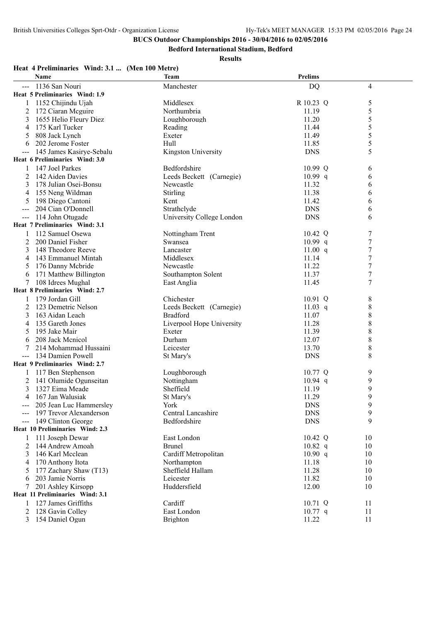**Bedford International Stadium, Bedford**

**Results**

## **Heat 4 Preliminaries Wind: 3.1 ... (Men 100 Metre)**

| <b>Name</b>                                   | <b>Team</b>                         | <b>Prelims</b>    |        |
|-----------------------------------------------|-------------------------------------|-------------------|--------|
| 1136 San Nouri                                | Manchester                          | <b>DQ</b>         | 4      |
| Heat 5 Preliminaries Wind: 1.9                |                                     |                   |        |
| 1152 Chijindu Ujah                            | Middlesex                           | R 10.23 Q         | 5      |
| 172 Ciaran Mcguire<br>2                       | Northumbria                         | 11.19             | 5      |
| 3<br>1655 Helio Fleury Diez                   | Loughborough                        | 11.20             | 5      |
| 175 Karl Tucker<br>4                          | Reading                             | 11.44             | 5      |
| 808 Jack Lynch<br>5                           | Exeter                              | 11.49             | 5      |
| 202 Jerome Foster<br>6                        | Hull                                | 11.85             | 5      |
| 145 James Kasirye-Sebalu                      | Kingston University                 | <b>DNS</b>        | 5      |
| Heat 6 Preliminaries Wind: 3.0                |                                     |                   |        |
| 147 Joel Parkes                               | Bedfordshire                        | 10.99 Q           | 6      |
| 2<br>142 Aiden Davies                         | Leeds Beckett (Carnegie)            | 10.99 q           | 6      |
| 178 Julian Osei-Bonsu<br>3                    | Newcastle                           | 11.32             | 6      |
| 155 Neng Wildman<br>4                         | Stirling                            | 11.38             | 6      |
| 198 Diego Cantoni<br>5                        | Kent                                | 11.42             | 6      |
| 204 Cian O'Donnell                            | Strathclyde                         | <b>DNS</b>        | 6      |
| 114 John Otugade                              | University College London           | <b>DNS</b>        | 6      |
| Heat 7 Preliminaries Wind: 3.1                |                                     |                   |        |
| 112 Samuel Osewa                              | Nottingham Trent                    | $10.42 \text{ Q}$ | 7      |
| 200 Daniel Fisher<br>2                        | Swansea                             | 10.99 q           | 7      |
| 148 Theodore Reeve<br>3                       | Lancaster                           | 11.00 $q$         | 7      |
| 143 Emmanuel Mintah<br>4                      | Middlesex                           | 11.14             | 7      |
| 176 Danny Mcbride<br>5                        | Newcastle                           | 11.22             | 7      |
| 171 Matthew Billington<br>6                   | Southampton Solent                  | 11.37             | 7      |
| 108 Idrees Mughal<br>7                        | East Anglia                         | 11.45             | 7      |
| <b>Heat 8 Preliminaries Wind: 2.7</b>         |                                     |                   |        |
| 179 Jordan Gill<br>123 Demetric Nelson        | Chichester                          | $10.91$ Q         | 8      |
| 2                                             | Leeds Beckett (Carnegie)            | 11.03 $q$         | 8      |
| 163 Aidan Leach<br>3<br>135 Gareth Jones<br>4 | <b>Bradford</b>                     | 11.07<br>11.28    | 8<br>8 |
| 195 Jake Mair<br>5                            | Liverpool Hope University<br>Exeter | 11.39             | 8      |
| 208 Jack Menicol                              | Durham                              | 12.07             | 8      |
| 6<br>214 Mohammad Hussaini                    | Leicester                           | 13.70             | 8      |
| 134 Damien Powell                             | St Mary's                           | <b>DNS</b>        | 8      |
| Heat 9 Preliminaries Wind: 2.7                |                                     |                   |        |
| 117 Ben Stephenson                            | Loughborough                        | 10.77 Q           | 9      |
| 141 Olumide Ogunseitan<br>2                   | Nottingham                          | $10.94$ q         | 9      |
| 3<br>1327 Eima Meade                          | Sheffield                           | 11.19             | 9      |
| 167 Jan Walusiak<br>4                         | St Mary's                           | 11.29             | 9      |
| 205 Jean Luc Hammersley                       | York                                | <b>DNS</b>        | 9      |
| 197 Trevor Alexanderson                       | Central Lancashire                  | <b>DNS</b>        | 9      |
| 149 Clinton George                            | Bedfordshire                        | <b>DNS</b>        | 9      |
| Heat 10 Preliminaries Wind: 2.3               |                                     |                   |        |
| 111 Joseph Dewar<br>1                         | East London                         | 10.42 Q           | 10     |
| 2<br>144 Andrew Amoah                         | <b>Brunel</b>                       | $10.82$ q         | 10     |
| 146 Karl Mcclean<br>3                         | Cardiff Metropolitan                | 10.90 q           | 10     |
| 170 Anthony Itota                             | Northampton                         | 11.18             | 10     |
| 177 Zachary Shaw (T13)<br>5                   | Sheffield Hallam                    | 11.28             | 10     |
| 203 Jamie Norris<br>6                         | Leicester                           | 11.82             | 10     |
| 201 Ashley Kirsopp<br>7                       | Huddersfield                        | 12.00             | 10     |
| Heat 11 Preliminaries Wind: 3.1               |                                     |                   |        |
| 127 James Griffiths                           | Cardiff                             | 10.71 Q           | 11     |
| 128 Gavin Colley<br>2                         | East London                         | $10.77$ q         | 11     |
| 154 Daniel Ogun<br>3                          | Brighton                            | 11.22             | 11     |
|                                               |                                     |                   |        |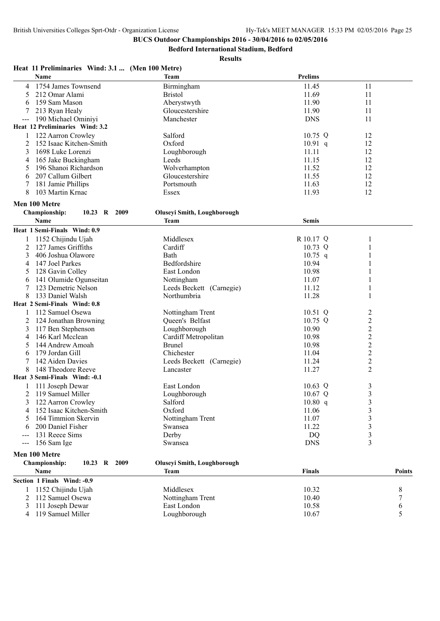**Bedford International Stadium, Bedford**

| Heat 11 Preliminaries Wind: 3.1  (Men 100 Metre) |                                    |                |                         |
|--------------------------------------------------|------------------------------------|----------------|-------------------------|
| <b>Name</b>                                      | <b>Team</b>                        | <b>Prelims</b> |                         |
| 4 1754 James Townsend                            | Birmingham                         | 11.45          | 11                      |
| 212 Omar Alami<br>5                              | <b>Bristol</b>                     | 11.69          | 11                      |
| 159 Sam Mason<br>6                               | Aberystwyth                        | 11.90          | 11                      |
| 213 Ryan Healy                                   | Gloucestershire                    | 11.90          | 11                      |
| 190 Michael Ominiyi                              | Manchester                         | <b>DNS</b>     | 11                      |
| Heat 12 Preliminaries Wind: 3.2                  |                                    |                |                         |
| 122 Aarron Crowley<br>1                          | Salford                            | 10.75 Q        | 12                      |
| 152 Isaac Kitchen-Smith<br>2                     | Oxford                             | $10.91$ q      | 12                      |
| 1698 Luke Lorenzi<br>3                           | Loughborough                       | 11.11          | 12                      |
| 165 Jake Buckingham<br>4                         | Leeds                              | 11.15          | 12                      |
| 196 Shanoi Richardson<br>5                       | Wolverhampton                      | 11.52          | 12                      |
| 207 Callum Gilbert<br>6                          | Gloucestershire                    | 11.55          | 12                      |
| 181 Jamie Phillips<br>7                          | Portsmouth                         | 11.63          | 12                      |
| 103 Martin Krnac<br>8                            | Essex                              | 11.93          | 12                      |
| Men 100 Metre                                    |                                    |                |                         |
| Championship:<br>10.23 R 2009                    | <b>Oluseyi Smith, Loughborough</b> |                |                         |
| Name                                             | <b>Team</b>                        | <b>Semis</b>   |                         |
| Heat 1 Semi-Finals Wind: 0.9                     |                                    |                |                         |
| 1 1152 Chijindu Ujah                             | Middlesex                          | R 10.17 Q      | 1                       |
| 127 James Griffiths<br>2                         | Cardiff                            | 10.73 Q        | $\mathbf{1}$            |
| 3<br>406 Joshua Olawore                          | Bath                               | $10.75$ q      | 1                       |
| 147 Joel Parkes<br>4                             | Bedfordshire                       | 10.94          | 1                       |
| 128 Gavin Colley<br>5                            | East London                        | 10.98          | 1                       |
| 141 Olumide Ogunseitan<br>6                      | Nottingham                         | 11.07          | 1                       |
| 123 Demetric Nelson                              | Leeds Beckett (Carnegie)           | 11.12          | 1                       |
| 8<br>133 Daniel Walsh                            | Northumbria                        | 11.28          | 1                       |
| Heat 2 Semi-Finals Wind: 0.8                     |                                    |                |                         |
| 112 Samuel Osewa<br>1                            | Nottingham Trent                   | $10.51$ Q      | 2                       |
| 124 Jonathan Browning<br>2                       | Queen's Belfast                    | 10.75 Q        | $\overline{c}$          |
| 117 Ben Stephenson<br>3                          | Loughborough                       | 10.90          | $\overline{2}$          |
| 146 Karl Mcclean<br>4                            | Cardiff Metropolitan               | 10.98          | $\overline{c}$          |
| 144 Andrew Amoah<br>5                            | <b>Brunel</b>                      | 10.98          | $\overline{c}$          |
| 179 Jordan Gill<br>6                             | Chichester                         | 11.04          | $\boldsymbol{2}$        |
| 7<br>142 Aiden Davies                            | Leeds Beckett (Carnegie)           | 11.24          | $\overline{c}$          |
| 8<br>148 Theodore Reeve                          | Lancaster                          | 11.27          | $\overline{2}$          |
| Heat 3 Semi-Finals Wind: -0.1                    |                                    |                |                         |
| 111 Joseph Dewar                                 | East London                        | $10.63$ Q      | 3                       |
| 2 119 Samuel Miller                              | Loughborough                       | 10.67 Q        | $\mathfrak{Z}$          |
| 3<br>122 Aarron Crowley                          | Salford                            | 10.80 q        | $\mathfrak{Z}$          |
| 152 Isaac Kitchen-Smith<br>4                     | Oxford                             | 11.06          | 3                       |
| 164 Timmion Skervin<br>5                         | Nottingham Trent                   | 11.07          | $\overline{\mathbf{3}}$ |
| 200 Daniel Fisher<br>6                           | Swansea                            | 11.22          | $\mathfrak{Z}$          |
| 131 Reece Sims                                   | Derby                              | <b>DQ</b>      | $\mathfrak{Z}$          |
| 156 Sam Ige                                      | Swansea                            | <b>DNS</b>     | $\overline{3}$          |
| Men 100 Metre                                    |                                    |                |                         |
| <b>Championship:</b><br>10.23 R 2009             |                                    |                |                         |
|                                                  | <b>Oluseyi Smith, Loughborough</b> |                |                         |
| Name                                             | <b>Team</b>                        | <b>Finals</b>  | Points                  |
| Section 1 Finals Wind: -0.9                      |                                    |                |                         |
| 1152 Chijindu Ujah<br>1                          | Middlesex                          | 10.32          | 8                       |
| 112 Samuel Osewa<br>2<br>111 Joseph Dewar<br>3   | Nottingham Trent<br>East London    | 10.40<br>10.58 | 7                       |
| 4 119 Samuel Miller                              | Loughborough                       | 10.67          | 6<br>5                  |
|                                                  |                                    |                |                         |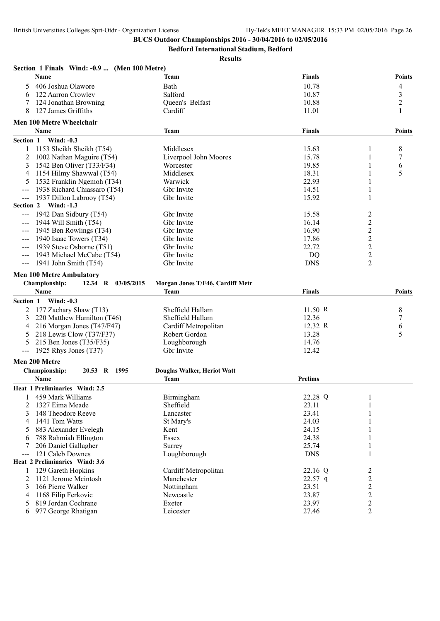**Section 1 Finals Wind: -0.9 ... (Men 100 Metre)**

# **BUCS Outdoor Championships 2016 - 30/04/2016 to 02/05/2016**

**Bedford International Stadium, Bedford**

|                                          | Name                                | <b>Team</b>                      | <b>Finals</b>  |                  | <b>Points</b>  |
|------------------------------------------|-------------------------------------|----------------------------------|----------------|------------------|----------------|
| 5                                        | 406 Joshua Olawore                  | Bath                             | 10.78          |                  | 4              |
| 6                                        | 122 Aarron Crowley                  | Salford                          | 10.87          |                  | $\mathfrak{Z}$ |
| 7                                        | 124 Jonathan Browning               | Queen's Belfast                  | 10.88          |                  | $\overline{2}$ |
| 8                                        | 127 James Griffiths                 | Cardiff                          | 11.01          |                  | 1              |
|                                          | Men 100 Metre Wheelchair            |                                  |                |                  |                |
|                                          | <b>Name</b>                         | <b>Team</b>                      | <b>Finals</b>  |                  | <b>Points</b>  |
| Section 1                                | <b>Wind: -0.3</b>                   |                                  |                |                  |                |
|                                          | 1153 Sheikh Sheikh (T54)            | Middlesex                        | 15.63          | 1                | 8              |
| 2                                        | 1002 Nathan Maguire (T54)           | Liverpool John Moores            | 15.78          | 1                | 7              |
| 3                                        | 1542 Ben Oliver (T33/F34)           | Worcester                        | 19.85          | 1                | 6              |
| 4                                        | 1154 Hilmy Shawwal (T54)            | Middlesex                        | 18.31          |                  | 5              |
| 5                                        | 1532 Franklin Ngemoh (T34)          | Warwick                          | 22.93          | 1                |                |
|                                          | 1938 Richard Chiassaro (T54)        | Gbr Invite                       | 14.51          | 1                |                |
| $--$                                     | 1937 Dillon Labrooy (T54)           | Gbr Invite                       | 15.92          | 1                |                |
|                                          | Section 2 Wind: -1.3                |                                  |                |                  |                |
|                                          | 1942 Dan Sidbury (T54)              | Gbr Invite                       | 15.58          | 2                |                |
|                                          | 1944 Will Smith (T54)               | Gbr Invite                       | 16.14          | $\sqrt{2}$       |                |
| $\qquad \qquad - -$                      | 1945 Ben Rowlings (T34)             | Gbr Invite                       | 16.90          | $\boldsymbol{2}$ |                |
|                                          | 1940 Isaac Towers (T34)             | Gbr Invite                       | 17.86          | $\overline{2}$   |                |
|                                          | 1939 Steve Osborne (T51)            | Gbr Invite                       | 22.72          | $\sqrt{2}$       |                |
|                                          | 1943 Michael McCabe (T54)           | Gbr Invite                       | <b>DQ</b>      | $\boldsymbol{2}$ |                |
| $\hspace{0.05cm} \ldots \hspace{0.05cm}$ | 1941 John Smith $(T54)$             | Gbr Invite                       | <b>DNS</b>     | 2                |                |
|                                          | <b>Men 100 Metre Ambulatory</b>     |                                  |                |                  |                |
|                                          | Championship:<br>12.34 R 03/05/2015 | Morgan Jones T/F46, Cardiff Metr |                |                  |                |
|                                          | <b>Name</b>                         | <b>Team</b>                      | <b>Finals</b>  |                  | <b>Points</b>  |
|                                          |                                     |                                  |                |                  |                |
| <b>Section 1</b>                         | Wind: $-0.3$                        |                                  |                |                  |                |
| 2                                        | 177 Zachary Shaw (T13)              | Sheffield Hallam                 | 11.50 R        |                  | 8              |
| 3                                        | 220 Matthew Hamilton (T46)          | Sheffield Hallam                 | 12.36          |                  | 7              |
| 4                                        | 216 Morgan Jones (T47/F47)          | Cardiff Metropolitan             | 12.32 R        |                  | 6              |
| 5                                        | 218 Lewis Clow (T37/F37)            | Robert Gordon                    | 13.28          |                  | 5              |
| 5                                        | 215 Ben Jones (T35/F35)             | Loughborough                     | 14.76          |                  |                |
| $\qquad \qquad -$                        | 1925 Rhys Jones (T37)               | Gbr Invite                       | 12.42          |                  |                |
|                                          | Men 200 Metre                       |                                  |                |                  |                |
|                                          | Championship:<br>20.53 R 1995       | Douglas Walker, Heriot Watt      |                |                  |                |
|                                          | <b>Name</b>                         | Team                             | <b>Prelims</b> |                  |                |
|                                          | Heat 1 Preliminaries Wind: 2.5      |                                  |                |                  |                |
|                                          | 1 459 Mark Williams                 | Birmingham                       | 22.28 Q        | 1                |                |
|                                          | 2 1327 Eima Meade                   | Sheffield                        | 23.11          | $\mathbf{1}$     |                |
| 3                                        | 148 Theodore Reeve                  | Lancaster                        | 23.41          | 1                |                |
| 4                                        | 1441 Tom Watts                      | St Mary's                        | 24.03          |                  |                |
| 5                                        | 883 Alexander Evelegh               | Kent                             | 24.15          |                  |                |
|                                          | 788 Rahmiah Ellington               | Essex                            | 24.38          |                  |                |
|                                          | 206 Daniel Gallagher                | Surrey                           | 25.74          |                  |                |
|                                          | 121 Caleb Downes                    | Loughborough                     | <b>DNS</b>     |                  |                |
|                                          | Heat 2 Preliminaries Wind: 3.6      |                                  |                |                  |                |
|                                          | 129 Gareth Hopkins                  | Cardiff Metropolitan             | 22.16 Q        | 2                |                |
| 2                                        | 1121 Jerome Mcintosh                | Manchester                       | $22.57$ q      | 2                |                |
| 3                                        | 166 Pierre Walker                   | Nottingham                       | 23.51          | $\overline{2}$   |                |
| 4                                        | 1168 Filip Ferkovic                 | Newcastle                        | 23.87          | $\overline{2}$   |                |
| 5                                        | 819 Jordan Cochrane                 | Exeter                           | 23.97          | $\overline{c}$   |                |
|                                          | 6 977 George Rhatigan               | Leicester                        | 27.46          | $\overline{2}$   |                |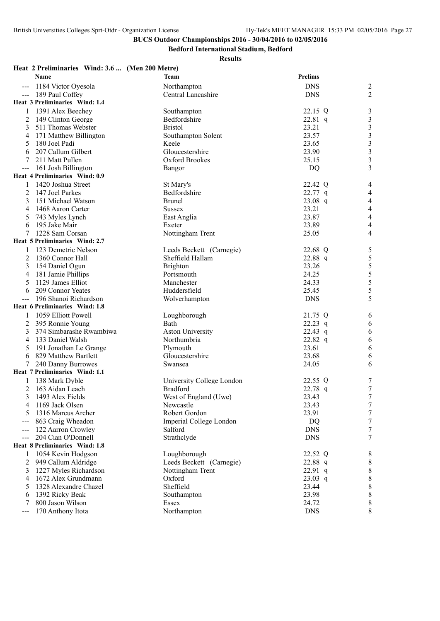**Bedford International Stadium, Bedford**

**Results**

### **Heat 2 Preliminaries Wind: 3.6 ... (Men 200 Metre)**

|               | Name                                    | Team                                     | <b>Prelims</b>          |                  |
|---------------|-----------------------------------------|------------------------------------------|-------------------------|------------------|
|               | 1184 Victor Oyesola                     | Northampton                              | <b>DNS</b>              | $\boldsymbol{2}$ |
|               | 189 Paul Coffey                         | Central Lancashire                       | <b>DNS</b>              | $\overline{2}$   |
|               | Heat 3 Preliminaries Wind: 1.4          |                                          |                         |                  |
|               | 1391 Alex Beechey                       | Southampton                              | 22.15 Q                 | 3                |
| 2             | 149 Clinton George                      | Bedfordshire                             | 22.81 q                 | 3                |
| 3             | 511 Thomas Webster                      | <b>Bristol</b>                           | 23.21                   | 3                |
| 4             | 171 Matthew Billington                  | Southampton Solent                       | 23.57                   | 3                |
| 5             | 180 Joel Padi                           | Keele                                    | 23.65                   | 3                |
| 6             | 207 Callum Gilbert                      | Gloucestershire                          | 23.90                   | 3                |
| 7             | 211 Matt Pullen                         | Oxford Brookes                           | 25.15                   | 3                |
| $---$         | 161 Josh Billington                     | Bangor                                   | DQ                      | 3                |
|               | <b>Heat 4 Preliminaries Wind: 0.9</b>   |                                          |                         |                  |
|               | 1420 Joshua Street                      | St Mary's                                | 22.42 Q                 | 4                |
| 2             | 147 Joel Parkes                         | Bedfordshire                             | $22.77$ q               | 4                |
| 3             | 151 Michael Watson                      | <b>Brunel</b>                            | $23.08$ q               | $\overline{4}$   |
| 4             | 1468 Aaron Carter                       | <b>Sussex</b>                            | 23.21                   | 4                |
| 5             | 743 Myles Lynch                         | East Anglia                              | 23.87                   | 4                |
| 6             | 195 Jake Mair                           | Exeter                                   | 23.89                   | 4                |
| 7             | 1228 Sam Corsan                         | Nottingham Trent                         | 25.05                   | 4                |
|               | <b>Heat 5 Preliminaries Wind: 2.7</b>   |                                          |                         |                  |
|               | 123 Demetric Nelson                     | Leeds Beckett (Carnegie)                 | 22.68 Q                 | 5                |
| 2             | 1360 Connor Hall                        | Sheffield Hallam                         | 22.88 q                 | 5                |
| 3             | 154 Daniel Ogun                         | <b>Brighton</b>                          | 23.26                   | 5                |
| 4             | 181 Jamie Phillips                      | Portsmouth                               | 24.25                   | 5                |
| 5             | 1129 James Elliot                       | Manchester                               | 24.33                   | 5                |
| 6             | 209 Connor Yeates                       | Huddersfield                             | 25.45                   | 5                |
|               | 196 Shanoi Richardson                   | Wolverhampton                            | <b>DNS</b>              | 5                |
|               | Heat 6 Preliminaries Wind: 1.8          |                                          |                         |                  |
|               | 1059 Elliott Powell                     | Loughborough                             | 21.75 Q                 | 6                |
| 2             | 395 Ronnie Young                        | Bath                                     | $22.23$ q               | 6                |
| 3             | 374 Simbarashe Rwambiwa                 | <b>Aston University</b>                  | 22.43 $q$               | 6                |
| 4             | 133 Daniel Walsh                        | Northumbria                              | $22.82$ q               | 6                |
| 5             | 191 Jonathan Le Grange                  | Plymouth                                 | 23.61                   | 6                |
| 6             | 829 Matthew Bartlett                    | Gloucestershire                          | 23.68                   | 6                |
| 7             | 240 Danny Burrowes                      | Swansea                                  | 24.05                   | 6                |
|               | Heat 7 Preliminaries Wind: 1.1          |                                          |                         |                  |
|               | 138 Mark Dyble                          | University College London                | 22.55 Q                 | 7                |
| 2             | 163 Aidan Leach                         | <b>Bradford</b>                          | 22.78 q                 | $\overline{7}$   |
| 3             | 1493 Alex Fields                        | West of England (Uwe)                    | 23.43                   | 7                |
| 4             | 1169 Jack Olsen                         | Newcastle                                | 23.43                   |                  |
| 5             | 1316 Marcus Archer                      | Robert Gordon<br>Imperial College London | 23.91                   | 7<br>7           |
|               | 863 Craig Wheadon<br>122 Aarron Crowley | Salford                                  | <b>DQ</b><br><b>DNS</b> | 7                |
| $\frac{1}{2}$ | 204 Cian O'Donnell                      | Strathclyde                              | <b>DNS</b>              | 7                |
|               | Heat 8 Preliminaries Wind: 1.8          |                                          |                         |                  |
|               | 1054 Kevin Hodgson                      | Loughborough                             | 22.52 Q                 | 8                |
| 2             | 949 Callum Aldridge                     | Leeds Beckett (Carnegie)                 | 22.88 q                 | 8                |
| 3             | 1227 Myles Richardson                   | Nottingham Trent                         | $22.91$ q               | $\,8$            |
| 4             | 1672 Alex Grundmann                     | Oxford                                   | $23.03$ q               | $\,$ 8 $\,$      |
| 5             | 1328 Alexandre Chazel                   | Sheffield                                | 23.44                   | 8                |
| 6             | 1392 Ricky Beak                         | Southampton                              | 23.98                   | 8                |
|               | 800 Jason Wilson                        | Essex                                    | 24.72                   | 8                |
| $---$         | 170 Anthony Itota                       | Northampton                              | <b>DNS</b>              | 8                |
|               |                                         |                                          |                         |                  |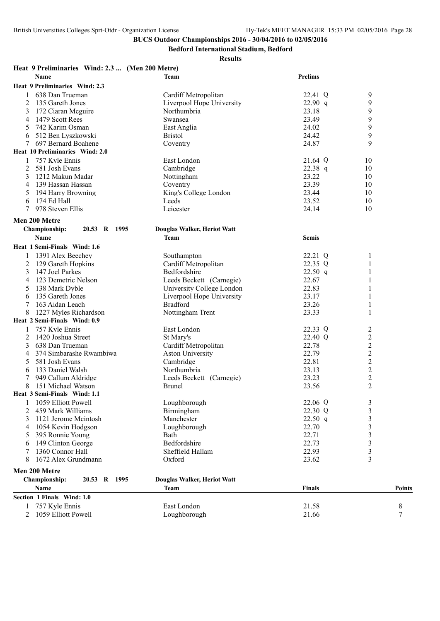**Bedford International Stadium, Bedford**

| <b>Name</b><br><b>Prelims</b><br><b>Team</b><br>Heat 9 Preliminaries Wind: 2.3<br>9<br>638 Dan Trueman<br>Cardiff Metropolitan<br>22.41 Q<br>9<br>2<br>135 Gareth Jones<br>Liverpool Hope University<br>22.90 q<br>23.18<br>9<br>172 Ciaran Meguire<br>Northumbria<br>3<br>9<br>1479 Scott Rees<br>23.49<br>Swansea<br>4<br>9<br>742 Karim Osman<br>East Anglia<br>24.02<br>5<br>9<br><b>Bristol</b><br>24.42<br>512 Ben Lyszkowski<br>6<br>9<br>697 Bernard Boahene<br>24.87<br>Coventry<br>7<br>Heat 10 Preliminaries Wind: 2.0<br>757 Kyle Ennis<br>East London<br>21.64 Q<br>10<br>1<br>Cambridge<br>$22.38$ q<br>2<br>581 Josh Evans<br>10<br>23.22<br>1212 Makun Madar<br>Nottingham<br>3<br>10<br>23.39<br>139 Hassan Hassan<br>Coventry<br>10<br>4<br>23.44<br>194 Harry Browning<br>King's College London<br>10<br>5<br>174 Ed Hall<br>23.52<br>Leeds<br>10<br>6<br>978 Steven Ellis<br>Leicester<br>7<br>24.14<br>10<br>Men 200 Metre<br>Championship:<br>20.53 R 1995<br>Douglas Walker, Heriot Watt<br><b>Name</b><br>Team<br><b>Semis</b><br>Heat 1 Semi-Finals Wind: 1.6<br>1391 Alex Beechey<br>22.21 Q<br>Southampton<br>Cardiff Metropolitan<br>22.35 Q<br>129 Gareth Hopkins<br>1<br>2<br>147 Joel Parkes<br>Bedfordshire<br>3<br>$22.50$ q<br>123 Demetric Nelson<br>Leeds Beckett (Carnegie)<br>22.67<br>4<br>University College London<br>22.83<br>138 Mark Dyble<br>5<br>23.17<br>135 Gareth Jones<br>Liverpool Hope University<br>6<br><b>Bradford</b><br>163 Aidan Leach<br>23.26<br>7<br>Nottingham Trent<br>23.33<br>1227 Myles Richardson<br>1<br>Heat 2 Semi-Finals Wind: 0.9<br>East London<br>757 Kyle Ennis<br>22.33 Q<br>2<br>$\overline{c}$<br>2<br>1420 Joshua Street<br>St Mary's<br>22.40 Q<br>$\overline{c}$<br>638 Dan Trueman<br>Cardiff Metropolitan<br>22.78<br>3<br>$\overline{c}$<br>22.79<br>374 Simbarashe Rwambiwa<br><b>Aston University</b><br>4<br>$\overline{c}$<br>581 Josh Evans<br>Cambridge<br>22.81<br>5<br>$\overline{c}$<br>23.13<br>133 Daniel Walsh<br>Northumbria<br>6<br>$\overline{c}$<br>23.23<br>949 Callum Aldridge<br>Leeds Beckett (Carnegie)<br>$\overline{c}$<br>23.56<br>151 Michael Watson<br><b>Brunel</b><br>8<br>Heat 3 Semi-Finals Wind: 1.1<br>1059 Elliott Powell<br>Loughborough<br>22.06 Q<br>3<br>3<br>459 Mark Williams<br>Birmingham<br>22.30 Q<br>2<br>1121 Jerome Mcintosh<br>Manchester<br>3<br>$22.50$ q<br>3<br>22.70<br>3<br>1054 Kevin Hodgson<br>Loughborough<br>4<br>22.71<br>3<br>395 Ronnie Young<br>Bath<br>5<br>Bedfordshire<br>22.73<br>149 Clinton George<br>3<br>6<br>1360 Connor Hall<br>22.93<br>Sheffield Hallam<br>3<br>7<br>3<br>1672 Alex Grundmann<br>Oxford<br>23.62<br>8<br>Men 200 Metre<br>20.53 R 1995<br><b>Championship:</b><br>Douglas Walker, Heriot Watt<br>Name<br><b>Finals</b><br>Team<br><b>Points</b><br>Section 1 Finals Wind: 1.0<br>757 Kyle Ennis<br>8<br>East London<br>21.58<br>1059 Elliott Powell<br>21.66<br>7<br>2<br>Loughborough | Heat 9 Preliminaries Wind: 2.3  (Men 200 Metre) |  |  |
|----------------------------------------------------------------------------------------------------------------------------------------------------------------------------------------------------------------------------------------------------------------------------------------------------------------------------------------------------------------------------------------------------------------------------------------------------------------------------------------------------------------------------------------------------------------------------------------------------------------------------------------------------------------------------------------------------------------------------------------------------------------------------------------------------------------------------------------------------------------------------------------------------------------------------------------------------------------------------------------------------------------------------------------------------------------------------------------------------------------------------------------------------------------------------------------------------------------------------------------------------------------------------------------------------------------------------------------------------------------------------------------------------------------------------------------------------------------------------------------------------------------------------------------------------------------------------------------------------------------------------------------------------------------------------------------------------------------------------------------------------------------------------------------------------------------------------------------------------------------------------------------------------------------------------------------------------------------------------------------------------------------------------------------------------------------------------------------------------------------------------------------------------------------------------------------------------------------------------------------------------------------------------------------------------------------------------------------------------------------------------------------------------------------------------------------------------------------------------------------------------------------------------------------------------------------------------------------------------------------------------------------------------------------------------------------------------------------------------------------------------------------------------------------------------------------------------------------------------------------------------------------------------------------------------------------------------------------------|-------------------------------------------------|--|--|
|                                                                                                                                                                                                                                                                                                                                                                                                                                                                                                                                                                                                                                                                                                                                                                                                                                                                                                                                                                                                                                                                                                                                                                                                                                                                                                                                                                                                                                                                                                                                                                                                                                                                                                                                                                                                                                                                                                                                                                                                                                                                                                                                                                                                                                                                                                                                                                                                                                                                                                                                                                                                                                                                                                                                                                                                                                                                                                                                                                      |                                                 |  |  |
|                                                                                                                                                                                                                                                                                                                                                                                                                                                                                                                                                                                                                                                                                                                                                                                                                                                                                                                                                                                                                                                                                                                                                                                                                                                                                                                                                                                                                                                                                                                                                                                                                                                                                                                                                                                                                                                                                                                                                                                                                                                                                                                                                                                                                                                                                                                                                                                                                                                                                                                                                                                                                                                                                                                                                                                                                                                                                                                                                                      |                                                 |  |  |
|                                                                                                                                                                                                                                                                                                                                                                                                                                                                                                                                                                                                                                                                                                                                                                                                                                                                                                                                                                                                                                                                                                                                                                                                                                                                                                                                                                                                                                                                                                                                                                                                                                                                                                                                                                                                                                                                                                                                                                                                                                                                                                                                                                                                                                                                                                                                                                                                                                                                                                                                                                                                                                                                                                                                                                                                                                                                                                                                                                      |                                                 |  |  |
|                                                                                                                                                                                                                                                                                                                                                                                                                                                                                                                                                                                                                                                                                                                                                                                                                                                                                                                                                                                                                                                                                                                                                                                                                                                                                                                                                                                                                                                                                                                                                                                                                                                                                                                                                                                                                                                                                                                                                                                                                                                                                                                                                                                                                                                                                                                                                                                                                                                                                                                                                                                                                                                                                                                                                                                                                                                                                                                                                                      |                                                 |  |  |
|                                                                                                                                                                                                                                                                                                                                                                                                                                                                                                                                                                                                                                                                                                                                                                                                                                                                                                                                                                                                                                                                                                                                                                                                                                                                                                                                                                                                                                                                                                                                                                                                                                                                                                                                                                                                                                                                                                                                                                                                                                                                                                                                                                                                                                                                                                                                                                                                                                                                                                                                                                                                                                                                                                                                                                                                                                                                                                                                                                      |                                                 |  |  |
|                                                                                                                                                                                                                                                                                                                                                                                                                                                                                                                                                                                                                                                                                                                                                                                                                                                                                                                                                                                                                                                                                                                                                                                                                                                                                                                                                                                                                                                                                                                                                                                                                                                                                                                                                                                                                                                                                                                                                                                                                                                                                                                                                                                                                                                                                                                                                                                                                                                                                                                                                                                                                                                                                                                                                                                                                                                                                                                                                                      |                                                 |  |  |
|                                                                                                                                                                                                                                                                                                                                                                                                                                                                                                                                                                                                                                                                                                                                                                                                                                                                                                                                                                                                                                                                                                                                                                                                                                                                                                                                                                                                                                                                                                                                                                                                                                                                                                                                                                                                                                                                                                                                                                                                                                                                                                                                                                                                                                                                                                                                                                                                                                                                                                                                                                                                                                                                                                                                                                                                                                                                                                                                                                      |                                                 |  |  |
|                                                                                                                                                                                                                                                                                                                                                                                                                                                                                                                                                                                                                                                                                                                                                                                                                                                                                                                                                                                                                                                                                                                                                                                                                                                                                                                                                                                                                                                                                                                                                                                                                                                                                                                                                                                                                                                                                                                                                                                                                                                                                                                                                                                                                                                                                                                                                                                                                                                                                                                                                                                                                                                                                                                                                                                                                                                                                                                                                                      |                                                 |  |  |
|                                                                                                                                                                                                                                                                                                                                                                                                                                                                                                                                                                                                                                                                                                                                                                                                                                                                                                                                                                                                                                                                                                                                                                                                                                                                                                                                                                                                                                                                                                                                                                                                                                                                                                                                                                                                                                                                                                                                                                                                                                                                                                                                                                                                                                                                                                                                                                                                                                                                                                                                                                                                                                                                                                                                                                                                                                                                                                                                                                      |                                                 |  |  |
|                                                                                                                                                                                                                                                                                                                                                                                                                                                                                                                                                                                                                                                                                                                                                                                                                                                                                                                                                                                                                                                                                                                                                                                                                                                                                                                                                                                                                                                                                                                                                                                                                                                                                                                                                                                                                                                                                                                                                                                                                                                                                                                                                                                                                                                                                                                                                                                                                                                                                                                                                                                                                                                                                                                                                                                                                                                                                                                                                                      |                                                 |  |  |
|                                                                                                                                                                                                                                                                                                                                                                                                                                                                                                                                                                                                                                                                                                                                                                                                                                                                                                                                                                                                                                                                                                                                                                                                                                                                                                                                                                                                                                                                                                                                                                                                                                                                                                                                                                                                                                                                                                                                                                                                                                                                                                                                                                                                                                                                                                                                                                                                                                                                                                                                                                                                                                                                                                                                                                                                                                                                                                                                                                      |                                                 |  |  |
|                                                                                                                                                                                                                                                                                                                                                                                                                                                                                                                                                                                                                                                                                                                                                                                                                                                                                                                                                                                                                                                                                                                                                                                                                                                                                                                                                                                                                                                                                                                                                                                                                                                                                                                                                                                                                                                                                                                                                                                                                                                                                                                                                                                                                                                                                                                                                                                                                                                                                                                                                                                                                                                                                                                                                                                                                                                                                                                                                                      |                                                 |  |  |
|                                                                                                                                                                                                                                                                                                                                                                                                                                                                                                                                                                                                                                                                                                                                                                                                                                                                                                                                                                                                                                                                                                                                                                                                                                                                                                                                                                                                                                                                                                                                                                                                                                                                                                                                                                                                                                                                                                                                                                                                                                                                                                                                                                                                                                                                                                                                                                                                                                                                                                                                                                                                                                                                                                                                                                                                                                                                                                                                                                      |                                                 |  |  |
|                                                                                                                                                                                                                                                                                                                                                                                                                                                                                                                                                                                                                                                                                                                                                                                                                                                                                                                                                                                                                                                                                                                                                                                                                                                                                                                                                                                                                                                                                                                                                                                                                                                                                                                                                                                                                                                                                                                                                                                                                                                                                                                                                                                                                                                                                                                                                                                                                                                                                                                                                                                                                                                                                                                                                                                                                                                                                                                                                                      |                                                 |  |  |
|                                                                                                                                                                                                                                                                                                                                                                                                                                                                                                                                                                                                                                                                                                                                                                                                                                                                                                                                                                                                                                                                                                                                                                                                                                                                                                                                                                                                                                                                                                                                                                                                                                                                                                                                                                                                                                                                                                                                                                                                                                                                                                                                                                                                                                                                                                                                                                                                                                                                                                                                                                                                                                                                                                                                                                                                                                                                                                                                                                      |                                                 |  |  |
|                                                                                                                                                                                                                                                                                                                                                                                                                                                                                                                                                                                                                                                                                                                                                                                                                                                                                                                                                                                                                                                                                                                                                                                                                                                                                                                                                                                                                                                                                                                                                                                                                                                                                                                                                                                                                                                                                                                                                                                                                                                                                                                                                                                                                                                                                                                                                                                                                                                                                                                                                                                                                                                                                                                                                                                                                                                                                                                                                                      |                                                 |  |  |
|                                                                                                                                                                                                                                                                                                                                                                                                                                                                                                                                                                                                                                                                                                                                                                                                                                                                                                                                                                                                                                                                                                                                                                                                                                                                                                                                                                                                                                                                                                                                                                                                                                                                                                                                                                                                                                                                                                                                                                                                                                                                                                                                                                                                                                                                                                                                                                                                                                                                                                                                                                                                                                                                                                                                                                                                                                                                                                                                                                      |                                                 |  |  |
|                                                                                                                                                                                                                                                                                                                                                                                                                                                                                                                                                                                                                                                                                                                                                                                                                                                                                                                                                                                                                                                                                                                                                                                                                                                                                                                                                                                                                                                                                                                                                                                                                                                                                                                                                                                                                                                                                                                                                                                                                                                                                                                                                                                                                                                                                                                                                                                                                                                                                                                                                                                                                                                                                                                                                                                                                                                                                                                                                                      |                                                 |  |  |
|                                                                                                                                                                                                                                                                                                                                                                                                                                                                                                                                                                                                                                                                                                                                                                                                                                                                                                                                                                                                                                                                                                                                                                                                                                                                                                                                                                                                                                                                                                                                                                                                                                                                                                                                                                                                                                                                                                                                                                                                                                                                                                                                                                                                                                                                                                                                                                                                                                                                                                                                                                                                                                                                                                                                                                                                                                                                                                                                                                      |                                                 |  |  |
|                                                                                                                                                                                                                                                                                                                                                                                                                                                                                                                                                                                                                                                                                                                                                                                                                                                                                                                                                                                                                                                                                                                                                                                                                                                                                                                                                                                                                                                                                                                                                                                                                                                                                                                                                                                                                                                                                                                                                                                                                                                                                                                                                                                                                                                                                                                                                                                                                                                                                                                                                                                                                                                                                                                                                                                                                                                                                                                                                                      |                                                 |  |  |
|                                                                                                                                                                                                                                                                                                                                                                                                                                                                                                                                                                                                                                                                                                                                                                                                                                                                                                                                                                                                                                                                                                                                                                                                                                                                                                                                                                                                                                                                                                                                                                                                                                                                                                                                                                                                                                                                                                                                                                                                                                                                                                                                                                                                                                                                                                                                                                                                                                                                                                                                                                                                                                                                                                                                                                                                                                                                                                                                                                      |                                                 |  |  |
|                                                                                                                                                                                                                                                                                                                                                                                                                                                                                                                                                                                                                                                                                                                                                                                                                                                                                                                                                                                                                                                                                                                                                                                                                                                                                                                                                                                                                                                                                                                                                                                                                                                                                                                                                                                                                                                                                                                                                                                                                                                                                                                                                                                                                                                                                                                                                                                                                                                                                                                                                                                                                                                                                                                                                                                                                                                                                                                                                                      |                                                 |  |  |
|                                                                                                                                                                                                                                                                                                                                                                                                                                                                                                                                                                                                                                                                                                                                                                                                                                                                                                                                                                                                                                                                                                                                                                                                                                                                                                                                                                                                                                                                                                                                                                                                                                                                                                                                                                                                                                                                                                                                                                                                                                                                                                                                                                                                                                                                                                                                                                                                                                                                                                                                                                                                                                                                                                                                                                                                                                                                                                                                                                      |                                                 |  |  |
|                                                                                                                                                                                                                                                                                                                                                                                                                                                                                                                                                                                                                                                                                                                                                                                                                                                                                                                                                                                                                                                                                                                                                                                                                                                                                                                                                                                                                                                                                                                                                                                                                                                                                                                                                                                                                                                                                                                                                                                                                                                                                                                                                                                                                                                                                                                                                                                                                                                                                                                                                                                                                                                                                                                                                                                                                                                                                                                                                                      |                                                 |  |  |
|                                                                                                                                                                                                                                                                                                                                                                                                                                                                                                                                                                                                                                                                                                                                                                                                                                                                                                                                                                                                                                                                                                                                                                                                                                                                                                                                                                                                                                                                                                                                                                                                                                                                                                                                                                                                                                                                                                                                                                                                                                                                                                                                                                                                                                                                                                                                                                                                                                                                                                                                                                                                                                                                                                                                                                                                                                                                                                                                                                      |                                                 |  |  |
|                                                                                                                                                                                                                                                                                                                                                                                                                                                                                                                                                                                                                                                                                                                                                                                                                                                                                                                                                                                                                                                                                                                                                                                                                                                                                                                                                                                                                                                                                                                                                                                                                                                                                                                                                                                                                                                                                                                                                                                                                                                                                                                                                                                                                                                                                                                                                                                                                                                                                                                                                                                                                                                                                                                                                                                                                                                                                                                                                                      |                                                 |  |  |
|                                                                                                                                                                                                                                                                                                                                                                                                                                                                                                                                                                                                                                                                                                                                                                                                                                                                                                                                                                                                                                                                                                                                                                                                                                                                                                                                                                                                                                                                                                                                                                                                                                                                                                                                                                                                                                                                                                                                                                                                                                                                                                                                                                                                                                                                                                                                                                                                                                                                                                                                                                                                                                                                                                                                                                                                                                                                                                                                                                      |                                                 |  |  |
|                                                                                                                                                                                                                                                                                                                                                                                                                                                                                                                                                                                                                                                                                                                                                                                                                                                                                                                                                                                                                                                                                                                                                                                                                                                                                                                                                                                                                                                                                                                                                                                                                                                                                                                                                                                                                                                                                                                                                                                                                                                                                                                                                                                                                                                                                                                                                                                                                                                                                                                                                                                                                                                                                                                                                                                                                                                                                                                                                                      |                                                 |  |  |
|                                                                                                                                                                                                                                                                                                                                                                                                                                                                                                                                                                                                                                                                                                                                                                                                                                                                                                                                                                                                                                                                                                                                                                                                                                                                                                                                                                                                                                                                                                                                                                                                                                                                                                                                                                                                                                                                                                                                                                                                                                                                                                                                                                                                                                                                                                                                                                                                                                                                                                                                                                                                                                                                                                                                                                                                                                                                                                                                                                      |                                                 |  |  |
|                                                                                                                                                                                                                                                                                                                                                                                                                                                                                                                                                                                                                                                                                                                                                                                                                                                                                                                                                                                                                                                                                                                                                                                                                                                                                                                                                                                                                                                                                                                                                                                                                                                                                                                                                                                                                                                                                                                                                                                                                                                                                                                                                                                                                                                                                                                                                                                                                                                                                                                                                                                                                                                                                                                                                                                                                                                                                                                                                                      |                                                 |  |  |
|                                                                                                                                                                                                                                                                                                                                                                                                                                                                                                                                                                                                                                                                                                                                                                                                                                                                                                                                                                                                                                                                                                                                                                                                                                                                                                                                                                                                                                                                                                                                                                                                                                                                                                                                                                                                                                                                                                                                                                                                                                                                                                                                                                                                                                                                                                                                                                                                                                                                                                                                                                                                                                                                                                                                                                                                                                                                                                                                                                      |                                                 |  |  |
|                                                                                                                                                                                                                                                                                                                                                                                                                                                                                                                                                                                                                                                                                                                                                                                                                                                                                                                                                                                                                                                                                                                                                                                                                                                                                                                                                                                                                                                                                                                                                                                                                                                                                                                                                                                                                                                                                                                                                                                                                                                                                                                                                                                                                                                                                                                                                                                                                                                                                                                                                                                                                                                                                                                                                                                                                                                                                                                                                                      |                                                 |  |  |
|                                                                                                                                                                                                                                                                                                                                                                                                                                                                                                                                                                                                                                                                                                                                                                                                                                                                                                                                                                                                                                                                                                                                                                                                                                                                                                                                                                                                                                                                                                                                                                                                                                                                                                                                                                                                                                                                                                                                                                                                                                                                                                                                                                                                                                                                                                                                                                                                                                                                                                                                                                                                                                                                                                                                                                                                                                                                                                                                                                      |                                                 |  |  |
|                                                                                                                                                                                                                                                                                                                                                                                                                                                                                                                                                                                                                                                                                                                                                                                                                                                                                                                                                                                                                                                                                                                                                                                                                                                                                                                                                                                                                                                                                                                                                                                                                                                                                                                                                                                                                                                                                                                                                                                                                                                                                                                                                                                                                                                                                                                                                                                                                                                                                                                                                                                                                                                                                                                                                                                                                                                                                                                                                                      |                                                 |  |  |
|                                                                                                                                                                                                                                                                                                                                                                                                                                                                                                                                                                                                                                                                                                                                                                                                                                                                                                                                                                                                                                                                                                                                                                                                                                                                                                                                                                                                                                                                                                                                                                                                                                                                                                                                                                                                                                                                                                                                                                                                                                                                                                                                                                                                                                                                                                                                                                                                                                                                                                                                                                                                                                                                                                                                                                                                                                                                                                                                                                      |                                                 |  |  |
|                                                                                                                                                                                                                                                                                                                                                                                                                                                                                                                                                                                                                                                                                                                                                                                                                                                                                                                                                                                                                                                                                                                                                                                                                                                                                                                                                                                                                                                                                                                                                                                                                                                                                                                                                                                                                                                                                                                                                                                                                                                                                                                                                                                                                                                                                                                                                                                                                                                                                                                                                                                                                                                                                                                                                                                                                                                                                                                                                                      |                                                 |  |  |
|                                                                                                                                                                                                                                                                                                                                                                                                                                                                                                                                                                                                                                                                                                                                                                                                                                                                                                                                                                                                                                                                                                                                                                                                                                                                                                                                                                                                                                                                                                                                                                                                                                                                                                                                                                                                                                                                                                                                                                                                                                                                                                                                                                                                                                                                                                                                                                                                                                                                                                                                                                                                                                                                                                                                                                                                                                                                                                                                                                      |                                                 |  |  |
|                                                                                                                                                                                                                                                                                                                                                                                                                                                                                                                                                                                                                                                                                                                                                                                                                                                                                                                                                                                                                                                                                                                                                                                                                                                                                                                                                                                                                                                                                                                                                                                                                                                                                                                                                                                                                                                                                                                                                                                                                                                                                                                                                                                                                                                                                                                                                                                                                                                                                                                                                                                                                                                                                                                                                                                                                                                                                                                                                                      |                                                 |  |  |
|                                                                                                                                                                                                                                                                                                                                                                                                                                                                                                                                                                                                                                                                                                                                                                                                                                                                                                                                                                                                                                                                                                                                                                                                                                                                                                                                                                                                                                                                                                                                                                                                                                                                                                                                                                                                                                                                                                                                                                                                                                                                                                                                                                                                                                                                                                                                                                                                                                                                                                                                                                                                                                                                                                                                                                                                                                                                                                                                                                      |                                                 |  |  |
|                                                                                                                                                                                                                                                                                                                                                                                                                                                                                                                                                                                                                                                                                                                                                                                                                                                                                                                                                                                                                                                                                                                                                                                                                                                                                                                                                                                                                                                                                                                                                                                                                                                                                                                                                                                                                                                                                                                                                                                                                                                                                                                                                                                                                                                                                                                                                                                                                                                                                                                                                                                                                                                                                                                                                                                                                                                                                                                                                                      |                                                 |  |  |
|                                                                                                                                                                                                                                                                                                                                                                                                                                                                                                                                                                                                                                                                                                                                                                                                                                                                                                                                                                                                                                                                                                                                                                                                                                                                                                                                                                                                                                                                                                                                                                                                                                                                                                                                                                                                                                                                                                                                                                                                                                                                                                                                                                                                                                                                                                                                                                                                                                                                                                                                                                                                                                                                                                                                                                                                                                                                                                                                                                      |                                                 |  |  |
|                                                                                                                                                                                                                                                                                                                                                                                                                                                                                                                                                                                                                                                                                                                                                                                                                                                                                                                                                                                                                                                                                                                                                                                                                                                                                                                                                                                                                                                                                                                                                                                                                                                                                                                                                                                                                                                                                                                                                                                                                                                                                                                                                                                                                                                                                                                                                                                                                                                                                                                                                                                                                                                                                                                                                                                                                                                                                                                                                                      |                                                 |  |  |
|                                                                                                                                                                                                                                                                                                                                                                                                                                                                                                                                                                                                                                                                                                                                                                                                                                                                                                                                                                                                                                                                                                                                                                                                                                                                                                                                                                                                                                                                                                                                                                                                                                                                                                                                                                                                                                                                                                                                                                                                                                                                                                                                                                                                                                                                                                                                                                                                                                                                                                                                                                                                                                                                                                                                                                                                                                                                                                                                                                      |                                                 |  |  |
|                                                                                                                                                                                                                                                                                                                                                                                                                                                                                                                                                                                                                                                                                                                                                                                                                                                                                                                                                                                                                                                                                                                                                                                                                                                                                                                                                                                                                                                                                                                                                                                                                                                                                                                                                                                                                                                                                                                                                                                                                                                                                                                                                                                                                                                                                                                                                                                                                                                                                                                                                                                                                                                                                                                                                                                                                                                                                                                                                                      |                                                 |  |  |
|                                                                                                                                                                                                                                                                                                                                                                                                                                                                                                                                                                                                                                                                                                                                                                                                                                                                                                                                                                                                                                                                                                                                                                                                                                                                                                                                                                                                                                                                                                                                                                                                                                                                                                                                                                                                                                                                                                                                                                                                                                                                                                                                                                                                                                                                                                                                                                                                                                                                                                                                                                                                                                                                                                                                                                                                                                                                                                                                                                      |                                                 |  |  |
|                                                                                                                                                                                                                                                                                                                                                                                                                                                                                                                                                                                                                                                                                                                                                                                                                                                                                                                                                                                                                                                                                                                                                                                                                                                                                                                                                                                                                                                                                                                                                                                                                                                                                                                                                                                                                                                                                                                                                                                                                                                                                                                                                                                                                                                                                                                                                                                                                                                                                                                                                                                                                                                                                                                                                                                                                                                                                                                                                                      |                                                 |  |  |
|                                                                                                                                                                                                                                                                                                                                                                                                                                                                                                                                                                                                                                                                                                                                                                                                                                                                                                                                                                                                                                                                                                                                                                                                                                                                                                                                                                                                                                                                                                                                                                                                                                                                                                                                                                                                                                                                                                                                                                                                                                                                                                                                                                                                                                                                                                                                                                                                                                                                                                                                                                                                                                                                                                                                                                                                                                                                                                                                                                      |                                                 |  |  |
|                                                                                                                                                                                                                                                                                                                                                                                                                                                                                                                                                                                                                                                                                                                                                                                                                                                                                                                                                                                                                                                                                                                                                                                                                                                                                                                                                                                                                                                                                                                                                                                                                                                                                                                                                                                                                                                                                                                                                                                                                                                                                                                                                                                                                                                                                                                                                                                                                                                                                                                                                                                                                                                                                                                                                                                                                                                                                                                                                                      |                                                 |  |  |
|                                                                                                                                                                                                                                                                                                                                                                                                                                                                                                                                                                                                                                                                                                                                                                                                                                                                                                                                                                                                                                                                                                                                                                                                                                                                                                                                                                                                                                                                                                                                                                                                                                                                                                                                                                                                                                                                                                                                                                                                                                                                                                                                                                                                                                                                                                                                                                                                                                                                                                                                                                                                                                                                                                                                                                                                                                                                                                                                                                      |                                                 |  |  |
|                                                                                                                                                                                                                                                                                                                                                                                                                                                                                                                                                                                                                                                                                                                                                                                                                                                                                                                                                                                                                                                                                                                                                                                                                                                                                                                                                                                                                                                                                                                                                                                                                                                                                                                                                                                                                                                                                                                                                                                                                                                                                                                                                                                                                                                                                                                                                                                                                                                                                                                                                                                                                                                                                                                                                                                                                                                                                                                                                                      |                                                 |  |  |
|                                                                                                                                                                                                                                                                                                                                                                                                                                                                                                                                                                                                                                                                                                                                                                                                                                                                                                                                                                                                                                                                                                                                                                                                                                                                                                                                                                                                                                                                                                                                                                                                                                                                                                                                                                                                                                                                                                                                                                                                                                                                                                                                                                                                                                                                                                                                                                                                                                                                                                                                                                                                                                                                                                                                                                                                                                                                                                                                                                      |                                                 |  |  |
|                                                                                                                                                                                                                                                                                                                                                                                                                                                                                                                                                                                                                                                                                                                                                                                                                                                                                                                                                                                                                                                                                                                                                                                                                                                                                                                                                                                                                                                                                                                                                                                                                                                                                                                                                                                                                                                                                                                                                                                                                                                                                                                                                                                                                                                                                                                                                                                                                                                                                                                                                                                                                                                                                                                                                                                                                                                                                                                                                                      |                                                 |  |  |
|                                                                                                                                                                                                                                                                                                                                                                                                                                                                                                                                                                                                                                                                                                                                                                                                                                                                                                                                                                                                                                                                                                                                                                                                                                                                                                                                                                                                                                                                                                                                                                                                                                                                                                                                                                                                                                                                                                                                                                                                                                                                                                                                                                                                                                                                                                                                                                                                                                                                                                                                                                                                                                                                                                                                                                                                                                                                                                                                                                      |                                                 |  |  |
|                                                                                                                                                                                                                                                                                                                                                                                                                                                                                                                                                                                                                                                                                                                                                                                                                                                                                                                                                                                                                                                                                                                                                                                                                                                                                                                                                                                                                                                                                                                                                                                                                                                                                                                                                                                                                                                                                                                                                                                                                                                                                                                                                                                                                                                                                                                                                                                                                                                                                                                                                                                                                                                                                                                                                                                                                                                                                                                                                                      |                                                 |  |  |
|                                                                                                                                                                                                                                                                                                                                                                                                                                                                                                                                                                                                                                                                                                                                                                                                                                                                                                                                                                                                                                                                                                                                                                                                                                                                                                                                                                                                                                                                                                                                                                                                                                                                                                                                                                                                                                                                                                                                                                                                                                                                                                                                                                                                                                                                                                                                                                                                                                                                                                                                                                                                                                                                                                                                                                                                                                                                                                                                                                      |                                                 |  |  |
|                                                                                                                                                                                                                                                                                                                                                                                                                                                                                                                                                                                                                                                                                                                                                                                                                                                                                                                                                                                                                                                                                                                                                                                                                                                                                                                                                                                                                                                                                                                                                                                                                                                                                                                                                                                                                                                                                                                                                                                                                                                                                                                                                                                                                                                                                                                                                                                                                                                                                                                                                                                                                                                                                                                                                                                                                                                                                                                                                                      |                                                 |  |  |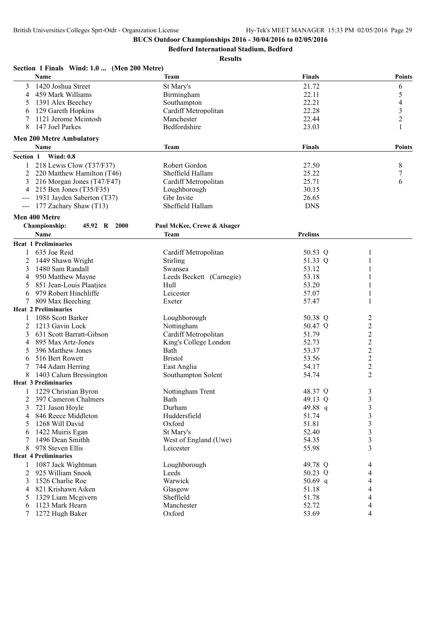**Bedford International Stadium, Bedford**

| Section 1 Finals Wind: 1.0  (Men 200 Metre)<br><b>Name</b>                                                                                                                                  |                             | <b>Finals</b>  |                |
|---------------------------------------------------------------------------------------------------------------------------------------------------------------------------------------------|-----------------------------|----------------|----------------|
|                                                                                                                                                                                             | Team                        |                | <b>Points</b>  |
| 1420 Joshua Street<br>3                                                                                                                                                                     | St Mary's                   | 21.72          | 6              |
| 459 Mark Williams<br>4                                                                                                                                                                      | Birmingham                  | 22.11          | 5              |
| 1391 Alex Beechey<br>5                                                                                                                                                                      | Southampton                 | 22.21          | 4              |
| 129 Gareth Hopkins<br>6                                                                                                                                                                     | Cardiff Metropolitan        | 22.28          | $\mathfrak{Z}$ |
| 1121 Jerome Mcintosh                                                                                                                                                                        | Manchester                  | 22.44          | $\overline{c}$ |
| 8<br>147 Joel Parkes                                                                                                                                                                        | Bedfordshire                | 23.03          | 1              |
| <b>Men 200 Metre Ambulatory</b>                                                                                                                                                             |                             |                |                |
| Name                                                                                                                                                                                        | Team                        | <b>Finals</b>  | Points         |
| <b>Wind: 0.8</b><br>Section 1                                                                                                                                                               |                             |                |                |
| 218 Lewis Clow (T37/F37)<br>1                                                                                                                                                               | Robert Gordon               | 27.50          | 8              |
| 2<br>220 Matthew Hamilton (T46)                                                                                                                                                             | Sheffield Hallam            | 25.22          | 7              |
| 216 Morgan Jones (T47/F47)<br>3                                                                                                                                                             | Cardiff Metropolitan        | 25.71          | 6              |
| 215 Ben Jones (T35/F35)<br>4                                                                                                                                                                | Loughborough                | 30.15          |                |
| 1931 Jayden Saberton (T37)                                                                                                                                                                  | Gbr Invite                  | 26.65          |                |
| 177 Zachary Shaw (T13)<br>$\hspace{0.05cm} \hspace{0.02cm} \hspace{0.02cm} \hspace{0.02cm} \hspace{0.02cm} \hspace{0.02cm} \hspace{0.02cm} \hspace{0.02cm} \hspace{0.02cm} \hspace{0.02cm}$ | Sheffield Hallam            | <b>DNS</b>     |                |
| Men 400 Metre                                                                                                                                                                               |                             |                |                |
| Championship:<br>45.92 R 2000                                                                                                                                                               | Paul McKee, Crewe & Alsager |                |                |
| Name                                                                                                                                                                                        | Team                        | <b>Prelims</b> |                |
| <b>Heat 1 Preliminaries</b>                                                                                                                                                                 |                             |                |                |
| 635 Joe Reid<br>1                                                                                                                                                                           | Cardiff Metropolitan        | 50.53 Q        | 1              |
| 1449 Shawn Wright<br>2                                                                                                                                                                      | Stirling                    | 51.33 Q        |                |
| 1480 Sam Randall<br>3                                                                                                                                                                       | Swansea                     | 53.12          |                |
| 950 Matthew Mayne<br>4                                                                                                                                                                      | Leeds Beckett (Carnegie)    | 53.18          |                |
| 851 Jean-Louis Plaatjies<br>5                                                                                                                                                               | Hull                        | 53.20          |                |
| 979 Robert Hinchliffe<br>6                                                                                                                                                                  | Leicester                   | 57.07          | 1              |
| 7<br>809 Max Beeching                                                                                                                                                                       | Exeter                      | 57.47          |                |
| <b>Heat 2 Preliminaries</b>                                                                                                                                                                 |                             |                |                |
| 1086 Scott Barker                                                                                                                                                                           | Loughborough                | 50.38 Q        | 2              |
| 1213 Gavin Lock<br>2                                                                                                                                                                        | Nottingham                  | 50.47 Q        | $\overline{c}$ |
| 3<br>631 Scott Barratt-Gibson                                                                                                                                                               | Cardiff Metropolitan        | 51.79          | $\overline{c}$ |
| 895 Max Artz-Jones<br>4                                                                                                                                                                     | King's College London       | 52.73          | $\overline{c}$ |
| 396 Matthew Jones<br>5                                                                                                                                                                      | Bath                        | 53.37          | $\overline{c}$ |
| 516 Bert Rowett<br>6                                                                                                                                                                        | <b>Bristol</b>              | 53.56          | $\overline{c}$ |
| 744 Adam Herring                                                                                                                                                                            | East Anglia                 | 54.17          | $\overline{c}$ |
| 1403 Calum Bressington<br>8                                                                                                                                                                 | Southampton Solent          | 54.74          | $\overline{2}$ |
| <b>Heat 3 Preliminaries</b>                                                                                                                                                                 |                             |                |                |
| 1229 Christian Byron<br>$\mathbf{1}$                                                                                                                                                        | Nottingham Trent            | 48.37 Q        | 3              |
| 397 Cameron Chalmers<br>2                                                                                                                                                                   | Bath                        | 49.13 Q        | 3              |
| 721 Jason Hoyle<br>3                                                                                                                                                                        | Durham                      | 49.88 q        | 3              |
| 846 Reece Middleton<br>4                                                                                                                                                                    | Huddersfield                | 51.74          | 3              |
| 1268 Will David<br>5                                                                                                                                                                        |                             | 51.81          | 3              |
|                                                                                                                                                                                             | Oxford                      |                |                |
| 1422 Muiris Egan<br>6                                                                                                                                                                       | St Mary's                   | 52.40          | 3              |
| 1496 Dean Smithh<br>7                                                                                                                                                                       | West of England (Uwe)       | 54.35          | 3              |
| 978 Steven Ellis<br>8                                                                                                                                                                       | Leicester                   | 55.98          | 3              |
| <b>Heat 4 Preliminaries</b>                                                                                                                                                                 |                             |                |                |
| 1087 Jack Wightman<br>1                                                                                                                                                                     | Loughborough                | 49.78 Q        | 4              |
| 2<br>925 William Snook                                                                                                                                                                      | Leeds                       | 50.23 Q        | 4              |
| 1526 Charlie Roe<br>3                                                                                                                                                                       | Warwick                     | 50.69 $q$      | 4              |
| 821 Krishawn Aiken<br>4                                                                                                                                                                     | Glasgow                     | 51.18          | 4              |
| 1329 Liam Megivern<br>5                                                                                                                                                                     | Sheffield                   | 51.78          | 4              |
| 1123 Mark Hearn<br>6                                                                                                                                                                        | Manchester                  | 52.72          | 4              |
| 7<br>1272 Hugh Baker                                                                                                                                                                        | Oxford                      | 53.69          | 4              |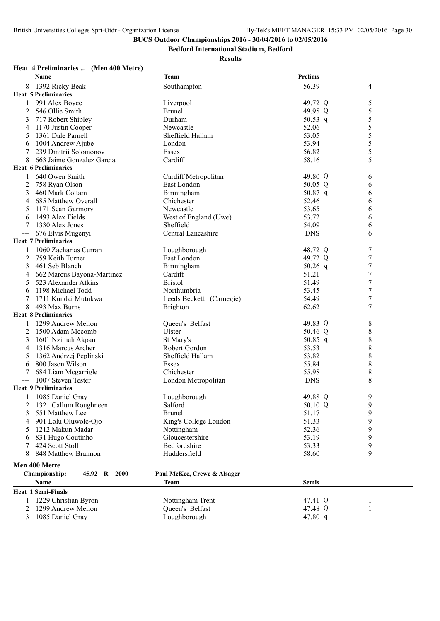**Bedford International Stadium, Bedford**

**Results**

## **Heat 4 Preliminaries ... (Men 400 Metre)**

| <b>Name</b>                          | <b>Team</b>                 | <b>Prelims</b> |                  |
|--------------------------------------|-----------------------------|----------------|------------------|
| 8 1392 Ricky Beak                    | Southampton                 | 56.39          | $\overline{4}$   |
| <b>Heat 5 Preliminaries</b>          |                             |                |                  |
| 991 Alex Boyce<br>$\mathbf{1}$       | Liverpool                   | 49.72 Q        | 5                |
| 2<br>546 Ollie Smith                 | <b>Brunel</b>               | 49.95 Q        | 5                |
| 717 Robert Shipley<br>3              | Durham                      | 50.53 q        | 5                |
| 1170 Justin Cooper<br>4              | Newcastle                   | 52.06          | 5                |
| 1361 Dale Parnell<br>5               | Sheffield Hallam            | 53.05          | 5                |
| 1004 Andrew Ajube<br>6               | London                      | 53.94          | 5                |
| 239 Dmitrii Solomonov                | Essex                       | 56.82          | 5                |
| 8<br>663 Jaime Gonzalez Garcia       | Cardiff                     | 58.16          | 5                |
| <b>Heat 6 Preliminaries</b>          |                             |                |                  |
| 1 640 Owen Smith                     | Cardiff Metropolitan        | 49.80 Q        | 6                |
| 758 Ryan Olson<br>2                  | East London                 | 50.05 Q        | 6                |
| 3<br>460 Mark Cottam                 | Birmingham                  | 50.87 q        | 6                |
| 685 Matthew Overall<br>4             | Chichester                  | 52.46          | 6                |
| 1171 Sean Garmory<br>5               | Newcastle                   | 53.65          | 6                |
| 1493 Alex Fields<br>6                | West of England (Uwe)       | 53.72          | 6                |
| 1330 Alex Jones                      | Sheffield                   | 54.09          | 6                |
| 676 Elvis Mugenyi                    | Central Lancashire          | <b>DNS</b>     | 6                |
| <b>Heat 7 Preliminaries</b>          |                             |                |                  |
| 1060 Zacharias Curran                | Loughborough                | 48.72 Q        | 7                |
| 2<br>759 Keith Turner                | East London                 | 49.72 Q        | $\boldsymbol{7}$ |
| 3<br>461 Seb Blanch                  | Birmingham                  | 50.26 $q$      | $\boldsymbol{7}$ |
| 662 Marcus Bayona-Martinez<br>4      | Cardiff                     | 51.21          | 7                |
| 523 Alexander Atkins<br>5            | <b>Bristol</b>              | 51.49          | 7                |
| 1198 Michael Todd<br>6               | Northumbria                 | 53.45          | 7                |
| 1711 Kundai Mutukwa                  | Leeds Beckett (Carnegie)    | 54.49          | 7                |
| 8<br>493 Max Burns                   | <b>Brighton</b>             | 62.62          | 7                |
| <b>Heat 8 Preliminaries</b>          |                             |                |                  |
| 1299 Andrew Mellon                   | Queen's Belfast             | 49.83 Q        | 8                |
| 1500 Adam Mccomb<br>2                | Ulster                      | 50.46 Q        | 8                |
| 1601 Nzimah Akpan<br>3               | St Mary's                   | 50.85 q        | $\,$ 8 $\,$      |
| 1316 Marcus Archer<br>4              | Robert Gordon               | 53.53          | $\,$ 8 $\,$      |
| 1362 Andrzej Peplinski<br>5          | Sheffield Hallam            | 53.82          | 8                |
| 800 Jason Wilson<br>6                | Essex                       | 55.84          | 8                |
| 684 Liam Mcgarrigle                  | Chichester                  | 55.98          | 8                |
| 1007 Steven Tester<br>$\frac{1}{2}$  | London Metropolitan         | <b>DNS</b>     | 8                |
| <b>Heat 9 Preliminaries</b>          |                             |                |                  |
| 1085 Daniel Gray                     | Loughborough                | 49.88 Q        | 9                |
| 2 1321 Callum Roughneen              | Salford                     | 50.10 Q        | $\overline{9}$   |
| 3<br>551 Matthew Lee                 | <b>Brunel</b>               | 51.17          | 9                |
| 901 Lolu Oluwole-Ojo<br>4            | King's College London       | 51.33          | 9                |
| 1212 Makun Madar<br>5                | Nottingham                  | 52.36          | 9                |
| 831 Hugo Coutinho<br>6               | Gloucestershire             | 53.19          | 9                |
| 424 Scott Stoll<br>7                 | Bedfordshire                | 53.33          | 9                |
| 848 Matthew Brannon<br>8             | Huddersfield                | 58.60          | 9                |
| Men 400 Metre                        |                             |                |                  |
|                                      |                             |                |                  |
| <b>Championship:</b><br>45.92 R 2000 | Paul McKee, Crewe & Alsager |                |                  |
| Name                                 | Team                        | <b>Semis</b>   |                  |
| <b>Heat 1 Semi-Finals</b>            |                             |                |                  |
| 1229 Christian Byron                 | Nottingham Trent            | 47.41 Q        |                  |
| 1299 Andrew Mellon<br>2              | Queen's Belfast             | 47.48 Q        |                  |
| 1085 Daniel Gray<br>3                | Loughborough                | 47.80 q        |                  |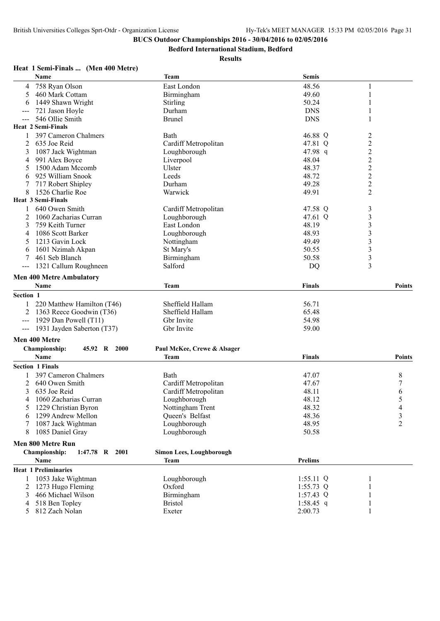**Bedford International Stadium, Bedford**

## **Results**

## **Heat 1 Semi-Finals ... (Men 400 Metre)**

|                     | Name                                 | <b>Team</b>                     | <b>Semis</b>   |                                                   |
|---------------------|--------------------------------------|---------------------------------|----------------|---------------------------------------------------|
| 4                   | 758 Ryan Olson                       | East London                     | 48.56          | 1                                                 |
| 5                   | 460 Mark Cottam                      | Birmingham                      | 49.60          | $\mathbf{1}$                                      |
| 6                   | 1449 Shawn Wright                    | Stirling                        | 50.24          | 1                                                 |
| $---$               | 721 Jason Hoyle                      | Durham                          | <b>DNS</b>     | 1                                                 |
| $\qquad \qquad - -$ | 546 Ollie Smith                      | <b>Brunel</b>                   | <b>DNS</b>     | 1                                                 |
|                     | <b>Heat 2 Semi-Finals</b>            |                                 |                |                                                   |
|                     | 397 Cameron Chalmers                 | Bath                            | 46.88 Q        | 2                                                 |
| 2                   | 635 Joe Reid                         | Cardiff Metropolitan            | 47.81 Q        | $\overline{c}$                                    |
| 3                   | 1087 Jack Wightman                   | Loughborough                    | 47.98 q        |                                                   |
| 4                   | 991 Alex Boyce                       | Liverpool                       | 48.04          | $\begin{array}{c}\n2 \\ 2 \\ 2 \\ 2\n\end{array}$ |
| 5                   | 1500 Adam Mccomb                     | Ulster                          | 48.37          |                                                   |
| 6                   | 925 William Snook                    | Leeds                           | 48.72          |                                                   |
| 7                   | 717 Robert Shipley                   | Durham                          | 49.28          |                                                   |
| 8                   | 1526 Charlie Roe                     | Warwick                         | 49.91          | $\overline{2}$                                    |
|                     | <b>Heat 3 Semi-Finals</b>            |                                 |                |                                                   |
| 1                   | 640 Owen Smith                       | Cardiff Metropolitan            | 47.58 Q        | 3                                                 |
| 2                   | 1060 Zacharias Curran                | Loughborough                    | 47.61 Q        | 3                                                 |
| 3                   | 759 Keith Turner                     | East London                     | 48.19          | 3                                                 |
| 4                   | 1086 Scott Barker                    | Loughborough                    | 48.93          | $\mathfrak{Z}$                                    |
| 5                   | 1213 Gavin Lock                      | Nottingham                      | 49.49          | $\overline{\mathbf{3}}$                           |
| 6                   | 1601 Nzimah Akpan                    | St Mary's                       | 50.55          | 3                                                 |
|                     | 461 Seb Blanch                       | Birmingham                      | 50.58          | 3                                                 |
| $---$               | 1321 Callum Roughneen                | Salford                         | DQ             | 3                                                 |
|                     | <b>Men 400 Metre Ambulatory</b>      |                                 |                |                                                   |
|                     | Name                                 | Team                            | Finals         | <b>Points</b>                                     |
| Section 1           |                                      |                                 |                |                                                   |
|                     | 220 Matthew Hamilton (T46)           | Sheffield Hallam                | 56.71          |                                                   |
|                     | 1363 Reece Goodwin (T36)             | Sheffield Hallam                | 65.48          |                                                   |
|                     | --- 1929 Dan Powell $(T11)$          | Gbr Invite                      | 54.98          |                                                   |
|                     | --- 1931 Jayden Saberton (T37)       | Gbr Invite                      | 59.00          |                                                   |
|                     |                                      |                                 |                |                                                   |
|                     | Men 400 Metre                        |                                 |                |                                                   |
|                     | <b>Championship:</b><br>45.92 R 2000 | Paul McKee, Crewe & Alsager     |                |                                                   |
|                     | Name                                 | <b>Team</b>                     | <b>Finals</b>  | <b>Points</b>                                     |
|                     | <b>Section 1 Finals</b>              |                                 |                |                                                   |
|                     | 397 Cameron Chalmers                 | Bath                            | 47.07          | 8                                                 |
| 2                   | 640 Owen Smith                       | Cardiff Metropolitan            | 47.67          | 7                                                 |
| 3                   | 635 Joe Reid                         | Cardiff Metropolitan            | 48.11          | 6                                                 |
| 4                   | 1060 Zacharias Curran                | Loughborough                    | 48.12          | 5                                                 |
| 5                   | 1229 Christian Byron                 | Nottingham Trent                | 48.32          | 4                                                 |
| 6                   | 1299 Andrew Mellon                   | Queen's Belfast                 | 48.36          | 3                                                 |
|                     | 1087 Jack Wightman                   | Loughborough                    | 48.95          | $\overline{2}$                                    |
| 8                   | 1085 Daniel Gray                     | Loughborough                    | 50.58          |                                                   |
|                     | Men 800 Metre Run                    |                                 |                |                                                   |
|                     | Championship:<br>$1:47.78$ R<br>2001 | <b>Simon Lees, Loughborough</b> |                |                                                   |
|                     | Name                                 | <b>Team</b>                     | <b>Prelims</b> |                                                   |
|                     | <b>Heat 1 Preliminaries</b>          |                                 |                |                                                   |
| 1                   | 1053 Jake Wightman                   | Loughborough                    | $1:55.11$ Q    | 1                                                 |
| 2                   | 1273 Hugo Fleming                    | Oxford                          | $1:55.73$ Q    |                                                   |
| 3                   | 466 Michael Wilson                   | Birmingham                      | $1:57.43$ Q    |                                                   |
|                     | 518 Ben Topley                       | <b>Bristol</b>                  | 1:58.45 q      | 1                                                 |
| 5                   | 812 Zach Nolan                       | Exeter                          | 2:00.73        | 1                                                 |
|                     |                                      |                                 |                |                                                   |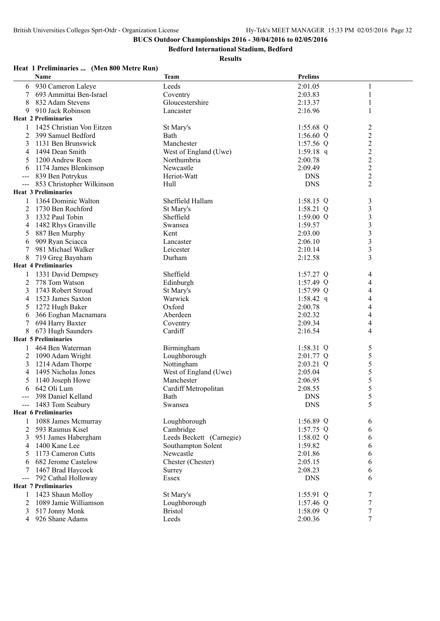**Bedford International Stadium, Bedford**

#### **Results**

|       | Name                        | <b>Team</b>              | <b>Prelims</b> |                          |
|-------|-----------------------------|--------------------------|----------------|--------------------------|
| 6     | 930 Cameron Laleye          | Leeds                    | 2:01.05        | 1                        |
|       | 693 Ammittai Ben-Israel     | Coventry                 | 2:03.83        | 1                        |
| 8     | 832 Adam Stevens            | Gloucestershire          | 2:13.37        | 1                        |
| 9     | 910 Jack Robinson           | Lancaster                | 2:16.96        | 1                        |
|       | <b>Heat 2 Preliminaries</b> |                          |                |                          |
|       | 1425 Christian Von Eitzen   |                          |                |                          |
|       |                             | St Mary's                | 1:55.68 $Q$    | $\overline{c}$           |
| 2     | 399 Samuel Bedford          | Bath                     | 1:56.60 $Q$    | $\overline{c}$           |
| 3     | 1131 Ben Brunswick          | Manchester               | 1:57.56 $Q$    | $\overline{c}$           |
| 4     | 1494 Dean Smith             | West of England (Uwe)    | 1:59.18 q      | $\overline{2}$           |
|       | 1200 Andrew Roen            | Northumbria              | 2:00.78        | $\overline{2}$           |
| 6     | 1174 James Blenkinsop       | Newcastle                | 2:09.49        | $\overline{c}$           |
|       | 839 Ben Potrykus            | Heriot-Watt              | <b>DNS</b>     | $\overline{2}$           |
| $---$ | 853 Christopher Wilkinson   | Hull                     | <b>DNS</b>     | $\overline{c}$           |
|       | <b>Heat 3 Preliminaries</b> |                          |                |                          |
|       | 1364 Dominic Walton         | Sheffield Hallam         | $1:58.15$ Q    | 3                        |
| 2     | 1730 Ben Rochford           | St Mary's                | 1:58.21 $Q$    | 3                        |
| 3     | 1332 Paul Tobin             | Sheffield                | 1:59.00 $Q$    | $\overline{\mathbf{3}}$  |
| 4     | 1482 Rhys Granville         | Swansea                  | 1:59.57        | $\overline{\mathbf{3}}$  |
| 5     | 887 Ben Murphy              | Kent                     | 2:03.00        | 3                        |
|       | 909 Ryan Sciacca            |                          |                | $\overline{\mathbf{3}}$  |
| 6     |                             | Lancaster                | 2:06.10        | $\overline{\mathbf{3}}$  |
|       | 981 Michael Walker          | Leicester                | 2:10.14        |                          |
| 8     | 719 Greg Baynham            | Durham                   | 2:12.58        | $\overline{3}$           |
|       | <b>Heat 4 Preliminaries</b> |                          |                |                          |
|       | 1331 David Dempsey          | Sheffield                | $1:57.27$ Q    | 4                        |
| 2     | 778 Tom Watson              | Edinburgh                | $1:57.49$ Q    | 4                        |
| 3     | 1743 Robert Stroud          | St Mary's                | $1:57.99$ Q    | 4                        |
| 4     | 1523 James Saxton           | Warwick                  | 1:58.42 q      | 4                        |
| 5     | 1272 Hugh Baker             | Oxford                   | 2:00.78        | 4                        |
| 6     | 366 Eoghan Macnamara        | Aberdeen                 | 2:02.32        | 4                        |
| 7     | 694 Harry Baxter            | Coventry                 | 2:09.34        | $\overline{\mathcal{L}}$ |
| 8     | 673 Hugh Saunders           | Cardiff                  | 2:16.54        | 4                        |
|       | <b>Heat 5 Preliminaries</b> |                          |                |                          |
| 1     | 464 Ben Waterman            | Birmingham               | $1:58.31$ Q    | 5                        |
| 2     | 1090 Adam Wright            | Loughborough             | 2:01.77 Q      | 5                        |
| 3     | 1214 Adam Thorpe            | Nottingham               | 2:03.21 Q      | 5                        |
| 4     | 1495 Nicholas Jones         | West of England (Uwe)    | 2:05.04        | 5                        |
|       |                             | Manchester               |                | 5                        |
| 5     | 1140 Joseph Howe            |                          | 2:06.95        |                          |
| 6     | 642 Oli Lum                 | Cardiff Metropolitan     | 2:08.55        | 5                        |
|       | 398 Daniel Kelland          | Bath                     | <b>DNS</b>     | 5                        |
|       | 1483 Tom Seabury            | Swansea                  | <b>DNS</b>     | 5                        |
|       | <b>Heat 6 Preliminaries</b> |                          |                |                          |
|       | 1088 James Mcmurray         | Loughborough             | 1:56.89 Q      | 6                        |
| 2     | 593 Rasmus Kisel            | Cambridge                | $1:57.75$ Q    | 6                        |
| 3     | 951 James Habergham         | Leeds Beckett (Carnegie) | 1:58.02 $Q$    | 6                        |
| 4     | 1400 Kane Lee               | Southampton Solent       | 1:59.82        | 6                        |
| 5     | 1173 Cameron Cutts          | Newcastle                | 2:01.86        | 6                        |
| 6     | 682 Jerome Castelow         | Chester (Chester)        | 2:05.15        | 6                        |
|       | 1467 Brad Haycock           | Surrey                   | 2:08.23        | 6                        |
| $---$ | 792 Cathal Holloway         | Essex                    | <b>DNS</b>     | 6                        |
|       | <b>Heat 7 Preliminaries</b> |                          |                |                          |
| 1     | 1423 Shaun Molloy           | St Mary's                | $1:55.91$ Q    | 7                        |
| 2     | 1089 Jamie Williamson       | Loughborough             | 1:57.46 $Q$    | 7                        |
| 3     | 517 Jonny Monk              | <b>Bristol</b>           | 1:58.09 $Q$    | 7                        |
|       |                             |                          |                | 7                        |
| 4     | 926 Shane Adams             | Leeds                    | 2:00.36        |                          |

## **Heat 1 Preliminaries ... (Men 800 Metre Run)**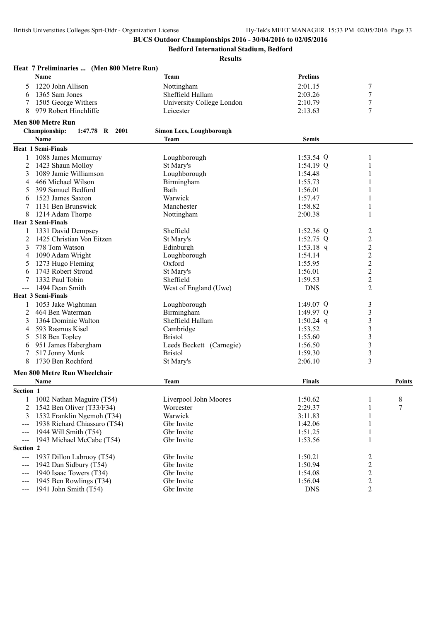**Bedford International Stadium, Bedford**

| Name<br><b>Prelims</b><br>Team<br>1220 John Allison<br>7<br>Nottingham<br>2:01.15<br>5<br>1365 Sam Jones<br>Sheffield Hallam<br>7<br>2:03.26<br>6<br>7<br>1505 George Withers<br>University College London<br>2:10.79<br>979 Robert Hinchliffe<br>7<br>8<br>Leicester<br>2:13.63<br>Men 800 Metre Run<br><b>Championship:</b><br>1:47.78 R 2001<br>Simon Lees, Loughborough<br>Name<br><b>Team</b><br><b>Semis</b><br><b>Heat 1 Semi-Finals</b><br>1088 James Mcmurray<br>1:53.54 $Q$<br>Loughborough<br>1<br>St Mary's<br>$1:54.19$ Q<br>1423 Shaun Molloy<br>1<br>2<br>1089 Jamie Williamson<br>Loughborough<br>1:54.48<br>3<br>1<br>1:55.73<br>466 Michael Wilson<br>Birmingham<br>4<br>399 Samuel Bedford<br>Bath<br>1:56.01<br>5<br>1523 James Saxton<br>Warwick<br>1:57.47<br>6<br>1131 Ben Brunswick<br>Manchester<br>1:58.82<br>1<br>8<br>1214 Adam Thorpe<br>Nottingham<br>2:00.38<br>1<br><b>Heat 2 Semi-Finals</b><br>Sheffield<br>1331 David Dempsey<br>1:52.36 $Q$<br>2<br>$\overline{c}$<br>2<br>1425 Christian Von Eitzen<br>St Mary's<br>$1:52.75$ Q<br>778 Tom Watson<br>2<br>Edinburgh<br>1:53.18 q<br>3<br>$\overline{c}$<br>1090 Adam Wright<br>Loughborough<br>1:54.14<br>4<br>$\overline{c}$<br>Oxford<br>1273 Hugo Fleming<br>1:55.95<br>5<br>$\overline{c}$<br>1743 Robert Stroud<br>St Mary's<br>1:56.01<br>6<br>$\overline{c}$<br>1332 Paul Tobin<br>Sheffield<br>1:59.53<br>2<br>1494 Dean Smith<br>West of England (Uwe)<br><b>DNS</b><br><b>Heat 3 Semi-Finals</b><br>1053 Jake Wightman<br>Loughborough<br>1:49.07 Q<br>3<br>3<br>Birmingham<br>2<br>464 Ben Waterman<br>1:49.97 $Q$<br>$\mathfrak{Z}$<br>1364 Dominic Walton<br>Sheffield Hallam<br>1:50.24 q<br>3<br>3<br>593 Rasmus Kisel<br>Cambridge<br>1:53.52<br>4<br>3<br>518 Ben Topley<br><b>Bristol</b><br>1:55.60<br>5<br>3<br>951 James Habergham<br>Leeds Beckett (Carnegie)<br>1:56.50<br>6<br>3<br>517 Jonny Monk<br><b>Bristol</b><br>1:59.30<br>3<br>1730 Ben Rochford<br>8<br>St Mary's<br>2:06.10<br>Men 800 Metre Run Wheelchair<br>Finals<br>Name<br>Team<br>Points<br>Section 1<br>8<br>1002 Nathan Maguire (T54)<br>Liverpool John Moores<br>1:50.62<br>$\mathbf{1}$<br>2:29.37<br>7<br>1542 Ben Oliver (T33/F34)<br>Worcester<br>2<br>1<br>1532 Franklin Ngemoh (T34)<br>Warwick<br>3:11.83<br>3<br>1938 Richard Chiassaro (T54)<br>Gbr Invite<br>1:42.06<br>---<br>1944 Will Smith (T54)<br>Gbr Invite<br>1:51.25<br>1<br>1943 Michael McCabe (T54)<br>Gbr Invite<br>1:53.56<br>1<br>---<br>Section 2<br>1937 Dillon Labrooy (T54)<br>Gbr Invite<br>1:50.21<br>2<br>$---$<br>$\overline{c}$<br>1942 Dan Sidbury (T54)<br>Gbr Invite<br>1:50.94<br>$\overline{c}$<br>1940 Isaac Towers (T34)<br>Gbr Invite<br>1:54.08<br>$\qquad \qquad - -$<br>2<br>1945 Ben Rowlings (T34)<br>Gbr Invite<br>1:56.04<br>$\overline{2}$<br>1941 John Smith (T54)<br>Gbr Invite<br><b>DNS</b> | Heat 7 Preliminaries  (Men 800 Metre Run) |  |  |
|-------------------------------------------------------------------------------------------------------------------------------------------------------------------------------------------------------------------------------------------------------------------------------------------------------------------------------------------------------------------------------------------------------------------------------------------------------------------------------------------------------------------------------------------------------------------------------------------------------------------------------------------------------------------------------------------------------------------------------------------------------------------------------------------------------------------------------------------------------------------------------------------------------------------------------------------------------------------------------------------------------------------------------------------------------------------------------------------------------------------------------------------------------------------------------------------------------------------------------------------------------------------------------------------------------------------------------------------------------------------------------------------------------------------------------------------------------------------------------------------------------------------------------------------------------------------------------------------------------------------------------------------------------------------------------------------------------------------------------------------------------------------------------------------------------------------------------------------------------------------------------------------------------------------------------------------------------------------------------------------------------------------------------------------------------------------------------------------------------------------------------------------------------------------------------------------------------------------------------------------------------------------------------------------------------------------------------------------------------------------------------------------------------------------------------------------------------------------------------------------------------------------------------------------------------------------------------------------------------------------------------------------------------------------------------------------------------------------------------------------------------------------------------------------------------------------------------------------------------------------------------------|-------------------------------------------|--|--|
|                                                                                                                                                                                                                                                                                                                                                                                                                                                                                                                                                                                                                                                                                                                                                                                                                                                                                                                                                                                                                                                                                                                                                                                                                                                                                                                                                                                                                                                                                                                                                                                                                                                                                                                                                                                                                                                                                                                                                                                                                                                                                                                                                                                                                                                                                                                                                                                                                                                                                                                                                                                                                                                                                                                                                                                                                                                                                     |                                           |  |  |
|                                                                                                                                                                                                                                                                                                                                                                                                                                                                                                                                                                                                                                                                                                                                                                                                                                                                                                                                                                                                                                                                                                                                                                                                                                                                                                                                                                                                                                                                                                                                                                                                                                                                                                                                                                                                                                                                                                                                                                                                                                                                                                                                                                                                                                                                                                                                                                                                                                                                                                                                                                                                                                                                                                                                                                                                                                                                                     |                                           |  |  |
|                                                                                                                                                                                                                                                                                                                                                                                                                                                                                                                                                                                                                                                                                                                                                                                                                                                                                                                                                                                                                                                                                                                                                                                                                                                                                                                                                                                                                                                                                                                                                                                                                                                                                                                                                                                                                                                                                                                                                                                                                                                                                                                                                                                                                                                                                                                                                                                                                                                                                                                                                                                                                                                                                                                                                                                                                                                                                     |                                           |  |  |
|                                                                                                                                                                                                                                                                                                                                                                                                                                                                                                                                                                                                                                                                                                                                                                                                                                                                                                                                                                                                                                                                                                                                                                                                                                                                                                                                                                                                                                                                                                                                                                                                                                                                                                                                                                                                                                                                                                                                                                                                                                                                                                                                                                                                                                                                                                                                                                                                                                                                                                                                                                                                                                                                                                                                                                                                                                                                                     |                                           |  |  |
|                                                                                                                                                                                                                                                                                                                                                                                                                                                                                                                                                                                                                                                                                                                                                                                                                                                                                                                                                                                                                                                                                                                                                                                                                                                                                                                                                                                                                                                                                                                                                                                                                                                                                                                                                                                                                                                                                                                                                                                                                                                                                                                                                                                                                                                                                                                                                                                                                                                                                                                                                                                                                                                                                                                                                                                                                                                                                     |                                           |  |  |
|                                                                                                                                                                                                                                                                                                                                                                                                                                                                                                                                                                                                                                                                                                                                                                                                                                                                                                                                                                                                                                                                                                                                                                                                                                                                                                                                                                                                                                                                                                                                                                                                                                                                                                                                                                                                                                                                                                                                                                                                                                                                                                                                                                                                                                                                                                                                                                                                                                                                                                                                                                                                                                                                                                                                                                                                                                                                                     |                                           |  |  |
|                                                                                                                                                                                                                                                                                                                                                                                                                                                                                                                                                                                                                                                                                                                                                                                                                                                                                                                                                                                                                                                                                                                                                                                                                                                                                                                                                                                                                                                                                                                                                                                                                                                                                                                                                                                                                                                                                                                                                                                                                                                                                                                                                                                                                                                                                                                                                                                                                                                                                                                                                                                                                                                                                                                                                                                                                                                                                     |                                           |  |  |
|                                                                                                                                                                                                                                                                                                                                                                                                                                                                                                                                                                                                                                                                                                                                                                                                                                                                                                                                                                                                                                                                                                                                                                                                                                                                                                                                                                                                                                                                                                                                                                                                                                                                                                                                                                                                                                                                                                                                                                                                                                                                                                                                                                                                                                                                                                                                                                                                                                                                                                                                                                                                                                                                                                                                                                                                                                                                                     |                                           |  |  |
|                                                                                                                                                                                                                                                                                                                                                                                                                                                                                                                                                                                                                                                                                                                                                                                                                                                                                                                                                                                                                                                                                                                                                                                                                                                                                                                                                                                                                                                                                                                                                                                                                                                                                                                                                                                                                                                                                                                                                                                                                                                                                                                                                                                                                                                                                                                                                                                                                                                                                                                                                                                                                                                                                                                                                                                                                                                                                     |                                           |  |  |
|                                                                                                                                                                                                                                                                                                                                                                                                                                                                                                                                                                                                                                                                                                                                                                                                                                                                                                                                                                                                                                                                                                                                                                                                                                                                                                                                                                                                                                                                                                                                                                                                                                                                                                                                                                                                                                                                                                                                                                                                                                                                                                                                                                                                                                                                                                                                                                                                                                                                                                                                                                                                                                                                                                                                                                                                                                                                                     |                                           |  |  |
|                                                                                                                                                                                                                                                                                                                                                                                                                                                                                                                                                                                                                                                                                                                                                                                                                                                                                                                                                                                                                                                                                                                                                                                                                                                                                                                                                                                                                                                                                                                                                                                                                                                                                                                                                                                                                                                                                                                                                                                                                                                                                                                                                                                                                                                                                                                                                                                                                                                                                                                                                                                                                                                                                                                                                                                                                                                                                     |                                           |  |  |
|                                                                                                                                                                                                                                                                                                                                                                                                                                                                                                                                                                                                                                                                                                                                                                                                                                                                                                                                                                                                                                                                                                                                                                                                                                                                                                                                                                                                                                                                                                                                                                                                                                                                                                                                                                                                                                                                                                                                                                                                                                                                                                                                                                                                                                                                                                                                                                                                                                                                                                                                                                                                                                                                                                                                                                                                                                                                                     |                                           |  |  |
|                                                                                                                                                                                                                                                                                                                                                                                                                                                                                                                                                                                                                                                                                                                                                                                                                                                                                                                                                                                                                                                                                                                                                                                                                                                                                                                                                                                                                                                                                                                                                                                                                                                                                                                                                                                                                                                                                                                                                                                                                                                                                                                                                                                                                                                                                                                                                                                                                                                                                                                                                                                                                                                                                                                                                                                                                                                                                     |                                           |  |  |
|                                                                                                                                                                                                                                                                                                                                                                                                                                                                                                                                                                                                                                                                                                                                                                                                                                                                                                                                                                                                                                                                                                                                                                                                                                                                                                                                                                                                                                                                                                                                                                                                                                                                                                                                                                                                                                                                                                                                                                                                                                                                                                                                                                                                                                                                                                                                                                                                                                                                                                                                                                                                                                                                                                                                                                                                                                                                                     |                                           |  |  |
|                                                                                                                                                                                                                                                                                                                                                                                                                                                                                                                                                                                                                                                                                                                                                                                                                                                                                                                                                                                                                                                                                                                                                                                                                                                                                                                                                                                                                                                                                                                                                                                                                                                                                                                                                                                                                                                                                                                                                                                                                                                                                                                                                                                                                                                                                                                                                                                                                                                                                                                                                                                                                                                                                                                                                                                                                                                                                     |                                           |  |  |
|                                                                                                                                                                                                                                                                                                                                                                                                                                                                                                                                                                                                                                                                                                                                                                                                                                                                                                                                                                                                                                                                                                                                                                                                                                                                                                                                                                                                                                                                                                                                                                                                                                                                                                                                                                                                                                                                                                                                                                                                                                                                                                                                                                                                                                                                                                                                                                                                                                                                                                                                                                                                                                                                                                                                                                                                                                                                                     |                                           |  |  |
|                                                                                                                                                                                                                                                                                                                                                                                                                                                                                                                                                                                                                                                                                                                                                                                                                                                                                                                                                                                                                                                                                                                                                                                                                                                                                                                                                                                                                                                                                                                                                                                                                                                                                                                                                                                                                                                                                                                                                                                                                                                                                                                                                                                                                                                                                                                                                                                                                                                                                                                                                                                                                                                                                                                                                                                                                                                                                     |                                           |  |  |
|                                                                                                                                                                                                                                                                                                                                                                                                                                                                                                                                                                                                                                                                                                                                                                                                                                                                                                                                                                                                                                                                                                                                                                                                                                                                                                                                                                                                                                                                                                                                                                                                                                                                                                                                                                                                                                                                                                                                                                                                                                                                                                                                                                                                                                                                                                                                                                                                                                                                                                                                                                                                                                                                                                                                                                                                                                                                                     |                                           |  |  |
|                                                                                                                                                                                                                                                                                                                                                                                                                                                                                                                                                                                                                                                                                                                                                                                                                                                                                                                                                                                                                                                                                                                                                                                                                                                                                                                                                                                                                                                                                                                                                                                                                                                                                                                                                                                                                                                                                                                                                                                                                                                                                                                                                                                                                                                                                                                                                                                                                                                                                                                                                                                                                                                                                                                                                                                                                                                                                     |                                           |  |  |
|                                                                                                                                                                                                                                                                                                                                                                                                                                                                                                                                                                                                                                                                                                                                                                                                                                                                                                                                                                                                                                                                                                                                                                                                                                                                                                                                                                                                                                                                                                                                                                                                                                                                                                                                                                                                                                                                                                                                                                                                                                                                                                                                                                                                                                                                                                                                                                                                                                                                                                                                                                                                                                                                                                                                                                                                                                                                                     |                                           |  |  |
|                                                                                                                                                                                                                                                                                                                                                                                                                                                                                                                                                                                                                                                                                                                                                                                                                                                                                                                                                                                                                                                                                                                                                                                                                                                                                                                                                                                                                                                                                                                                                                                                                                                                                                                                                                                                                                                                                                                                                                                                                                                                                                                                                                                                                                                                                                                                                                                                                                                                                                                                                                                                                                                                                                                                                                                                                                                                                     |                                           |  |  |
|                                                                                                                                                                                                                                                                                                                                                                                                                                                                                                                                                                                                                                                                                                                                                                                                                                                                                                                                                                                                                                                                                                                                                                                                                                                                                                                                                                                                                                                                                                                                                                                                                                                                                                                                                                                                                                                                                                                                                                                                                                                                                                                                                                                                                                                                                                                                                                                                                                                                                                                                                                                                                                                                                                                                                                                                                                                                                     |                                           |  |  |
|                                                                                                                                                                                                                                                                                                                                                                                                                                                                                                                                                                                                                                                                                                                                                                                                                                                                                                                                                                                                                                                                                                                                                                                                                                                                                                                                                                                                                                                                                                                                                                                                                                                                                                                                                                                                                                                                                                                                                                                                                                                                                                                                                                                                                                                                                                                                                                                                                                                                                                                                                                                                                                                                                                                                                                                                                                                                                     |                                           |  |  |
|                                                                                                                                                                                                                                                                                                                                                                                                                                                                                                                                                                                                                                                                                                                                                                                                                                                                                                                                                                                                                                                                                                                                                                                                                                                                                                                                                                                                                                                                                                                                                                                                                                                                                                                                                                                                                                                                                                                                                                                                                                                                                                                                                                                                                                                                                                                                                                                                                                                                                                                                                                                                                                                                                                                                                                                                                                                                                     |                                           |  |  |
|                                                                                                                                                                                                                                                                                                                                                                                                                                                                                                                                                                                                                                                                                                                                                                                                                                                                                                                                                                                                                                                                                                                                                                                                                                                                                                                                                                                                                                                                                                                                                                                                                                                                                                                                                                                                                                                                                                                                                                                                                                                                                                                                                                                                                                                                                                                                                                                                                                                                                                                                                                                                                                                                                                                                                                                                                                                                                     |                                           |  |  |
|                                                                                                                                                                                                                                                                                                                                                                                                                                                                                                                                                                                                                                                                                                                                                                                                                                                                                                                                                                                                                                                                                                                                                                                                                                                                                                                                                                                                                                                                                                                                                                                                                                                                                                                                                                                                                                                                                                                                                                                                                                                                                                                                                                                                                                                                                                                                                                                                                                                                                                                                                                                                                                                                                                                                                                                                                                                                                     |                                           |  |  |
|                                                                                                                                                                                                                                                                                                                                                                                                                                                                                                                                                                                                                                                                                                                                                                                                                                                                                                                                                                                                                                                                                                                                                                                                                                                                                                                                                                                                                                                                                                                                                                                                                                                                                                                                                                                                                                                                                                                                                                                                                                                                                                                                                                                                                                                                                                                                                                                                                                                                                                                                                                                                                                                                                                                                                                                                                                                                                     |                                           |  |  |
|                                                                                                                                                                                                                                                                                                                                                                                                                                                                                                                                                                                                                                                                                                                                                                                                                                                                                                                                                                                                                                                                                                                                                                                                                                                                                                                                                                                                                                                                                                                                                                                                                                                                                                                                                                                                                                                                                                                                                                                                                                                                                                                                                                                                                                                                                                                                                                                                                                                                                                                                                                                                                                                                                                                                                                                                                                                                                     |                                           |  |  |
|                                                                                                                                                                                                                                                                                                                                                                                                                                                                                                                                                                                                                                                                                                                                                                                                                                                                                                                                                                                                                                                                                                                                                                                                                                                                                                                                                                                                                                                                                                                                                                                                                                                                                                                                                                                                                                                                                                                                                                                                                                                                                                                                                                                                                                                                                                                                                                                                                                                                                                                                                                                                                                                                                                                                                                                                                                                                                     |                                           |  |  |
|                                                                                                                                                                                                                                                                                                                                                                                                                                                                                                                                                                                                                                                                                                                                                                                                                                                                                                                                                                                                                                                                                                                                                                                                                                                                                                                                                                                                                                                                                                                                                                                                                                                                                                                                                                                                                                                                                                                                                                                                                                                                                                                                                                                                                                                                                                                                                                                                                                                                                                                                                                                                                                                                                                                                                                                                                                                                                     |                                           |  |  |
|                                                                                                                                                                                                                                                                                                                                                                                                                                                                                                                                                                                                                                                                                                                                                                                                                                                                                                                                                                                                                                                                                                                                                                                                                                                                                                                                                                                                                                                                                                                                                                                                                                                                                                                                                                                                                                                                                                                                                                                                                                                                                                                                                                                                                                                                                                                                                                                                                                                                                                                                                                                                                                                                                                                                                                                                                                                                                     |                                           |  |  |
|                                                                                                                                                                                                                                                                                                                                                                                                                                                                                                                                                                                                                                                                                                                                                                                                                                                                                                                                                                                                                                                                                                                                                                                                                                                                                                                                                                                                                                                                                                                                                                                                                                                                                                                                                                                                                                                                                                                                                                                                                                                                                                                                                                                                                                                                                                                                                                                                                                                                                                                                                                                                                                                                                                                                                                                                                                                                                     |                                           |  |  |
|                                                                                                                                                                                                                                                                                                                                                                                                                                                                                                                                                                                                                                                                                                                                                                                                                                                                                                                                                                                                                                                                                                                                                                                                                                                                                                                                                                                                                                                                                                                                                                                                                                                                                                                                                                                                                                                                                                                                                                                                                                                                                                                                                                                                                                                                                                                                                                                                                                                                                                                                                                                                                                                                                                                                                                                                                                                                                     |                                           |  |  |
|                                                                                                                                                                                                                                                                                                                                                                                                                                                                                                                                                                                                                                                                                                                                                                                                                                                                                                                                                                                                                                                                                                                                                                                                                                                                                                                                                                                                                                                                                                                                                                                                                                                                                                                                                                                                                                                                                                                                                                                                                                                                                                                                                                                                                                                                                                                                                                                                                                                                                                                                                                                                                                                                                                                                                                                                                                                                                     |                                           |  |  |
|                                                                                                                                                                                                                                                                                                                                                                                                                                                                                                                                                                                                                                                                                                                                                                                                                                                                                                                                                                                                                                                                                                                                                                                                                                                                                                                                                                                                                                                                                                                                                                                                                                                                                                                                                                                                                                                                                                                                                                                                                                                                                                                                                                                                                                                                                                                                                                                                                                                                                                                                                                                                                                                                                                                                                                                                                                                                                     |                                           |  |  |
|                                                                                                                                                                                                                                                                                                                                                                                                                                                                                                                                                                                                                                                                                                                                                                                                                                                                                                                                                                                                                                                                                                                                                                                                                                                                                                                                                                                                                                                                                                                                                                                                                                                                                                                                                                                                                                                                                                                                                                                                                                                                                                                                                                                                                                                                                                                                                                                                                                                                                                                                                                                                                                                                                                                                                                                                                                                                                     |                                           |  |  |
|                                                                                                                                                                                                                                                                                                                                                                                                                                                                                                                                                                                                                                                                                                                                                                                                                                                                                                                                                                                                                                                                                                                                                                                                                                                                                                                                                                                                                                                                                                                                                                                                                                                                                                                                                                                                                                                                                                                                                                                                                                                                                                                                                                                                                                                                                                                                                                                                                                                                                                                                                                                                                                                                                                                                                                                                                                                                                     |                                           |  |  |
|                                                                                                                                                                                                                                                                                                                                                                                                                                                                                                                                                                                                                                                                                                                                                                                                                                                                                                                                                                                                                                                                                                                                                                                                                                                                                                                                                                                                                                                                                                                                                                                                                                                                                                                                                                                                                                                                                                                                                                                                                                                                                                                                                                                                                                                                                                                                                                                                                                                                                                                                                                                                                                                                                                                                                                                                                                                                                     |                                           |  |  |
|                                                                                                                                                                                                                                                                                                                                                                                                                                                                                                                                                                                                                                                                                                                                                                                                                                                                                                                                                                                                                                                                                                                                                                                                                                                                                                                                                                                                                                                                                                                                                                                                                                                                                                                                                                                                                                                                                                                                                                                                                                                                                                                                                                                                                                                                                                                                                                                                                                                                                                                                                                                                                                                                                                                                                                                                                                                                                     |                                           |  |  |
|                                                                                                                                                                                                                                                                                                                                                                                                                                                                                                                                                                                                                                                                                                                                                                                                                                                                                                                                                                                                                                                                                                                                                                                                                                                                                                                                                                                                                                                                                                                                                                                                                                                                                                                                                                                                                                                                                                                                                                                                                                                                                                                                                                                                                                                                                                                                                                                                                                                                                                                                                                                                                                                                                                                                                                                                                                                                                     |                                           |  |  |
|                                                                                                                                                                                                                                                                                                                                                                                                                                                                                                                                                                                                                                                                                                                                                                                                                                                                                                                                                                                                                                                                                                                                                                                                                                                                                                                                                                                                                                                                                                                                                                                                                                                                                                                                                                                                                                                                                                                                                                                                                                                                                                                                                                                                                                                                                                                                                                                                                                                                                                                                                                                                                                                                                                                                                                                                                                                                                     |                                           |  |  |
|                                                                                                                                                                                                                                                                                                                                                                                                                                                                                                                                                                                                                                                                                                                                                                                                                                                                                                                                                                                                                                                                                                                                                                                                                                                                                                                                                                                                                                                                                                                                                                                                                                                                                                                                                                                                                                                                                                                                                                                                                                                                                                                                                                                                                                                                                                                                                                                                                                                                                                                                                                                                                                                                                                                                                                                                                                                                                     |                                           |  |  |
|                                                                                                                                                                                                                                                                                                                                                                                                                                                                                                                                                                                                                                                                                                                                                                                                                                                                                                                                                                                                                                                                                                                                                                                                                                                                                                                                                                                                                                                                                                                                                                                                                                                                                                                                                                                                                                                                                                                                                                                                                                                                                                                                                                                                                                                                                                                                                                                                                                                                                                                                                                                                                                                                                                                                                                                                                                                                                     |                                           |  |  |
|                                                                                                                                                                                                                                                                                                                                                                                                                                                                                                                                                                                                                                                                                                                                                                                                                                                                                                                                                                                                                                                                                                                                                                                                                                                                                                                                                                                                                                                                                                                                                                                                                                                                                                                                                                                                                                                                                                                                                                                                                                                                                                                                                                                                                                                                                                                                                                                                                                                                                                                                                                                                                                                                                                                                                                                                                                                                                     |                                           |  |  |
|                                                                                                                                                                                                                                                                                                                                                                                                                                                                                                                                                                                                                                                                                                                                                                                                                                                                                                                                                                                                                                                                                                                                                                                                                                                                                                                                                                                                                                                                                                                                                                                                                                                                                                                                                                                                                                                                                                                                                                                                                                                                                                                                                                                                                                                                                                                                                                                                                                                                                                                                                                                                                                                                                                                                                                                                                                                                                     |                                           |  |  |
|                                                                                                                                                                                                                                                                                                                                                                                                                                                                                                                                                                                                                                                                                                                                                                                                                                                                                                                                                                                                                                                                                                                                                                                                                                                                                                                                                                                                                                                                                                                                                                                                                                                                                                                                                                                                                                                                                                                                                                                                                                                                                                                                                                                                                                                                                                                                                                                                                                                                                                                                                                                                                                                                                                                                                                                                                                                                                     |                                           |  |  |
|                                                                                                                                                                                                                                                                                                                                                                                                                                                                                                                                                                                                                                                                                                                                                                                                                                                                                                                                                                                                                                                                                                                                                                                                                                                                                                                                                                                                                                                                                                                                                                                                                                                                                                                                                                                                                                                                                                                                                                                                                                                                                                                                                                                                                                                                                                                                                                                                                                                                                                                                                                                                                                                                                                                                                                                                                                                                                     |                                           |  |  |
|                                                                                                                                                                                                                                                                                                                                                                                                                                                                                                                                                                                                                                                                                                                                                                                                                                                                                                                                                                                                                                                                                                                                                                                                                                                                                                                                                                                                                                                                                                                                                                                                                                                                                                                                                                                                                                                                                                                                                                                                                                                                                                                                                                                                                                                                                                                                                                                                                                                                                                                                                                                                                                                                                                                                                                                                                                                                                     |                                           |  |  |
|                                                                                                                                                                                                                                                                                                                                                                                                                                                                                                                                                                                                                                                                                                                                                                                                                                                                                                                                                                                                                                                                                                                                                                                                                                                                                                                                                                                                                                                                                                                                                                                                                                                                                                                                                                                                                                                                                                                                                                                                                                                                                                                                                                                                                                                                                                                                                                                                                                                                                                                                                                                                                                                                                                                                                                                                                                                                                     |                                           |  |  |
|                                                                                                                                                                                                                                                                                                                                                                                                                                                                                                                                                                                                                                                                                                                                                                                                                                                                                                                                                                                                                                                                                                                                                                                                                                                                                                                                                                                                                                                                                                                                                                                                                                                                                                                                                                                                                                                                                                                                                                                                                                                                                                                                                                                                                                                                                                                                                                                                                                                                                                                                                                                                                                                                                                                                                                                                                                                                                     |                                           |  |  |
|                                                                                                                                                                                                                                                                                                                                                                                                                                                                                                                                                                                                                                                                                                                                                                                                                                                                                                                                                                                                                                                                                                                                                                                                                                                                                                                                                                                                                                                                                                                                                                                                                                                                                                                                                                                                                                                                                                                                                                                                                                                                                                                                                                                                                                                                                                                                                                                                                                                                                                                                                                                                                                                                                                                                                                                                                                                                                     |                                           |  |  |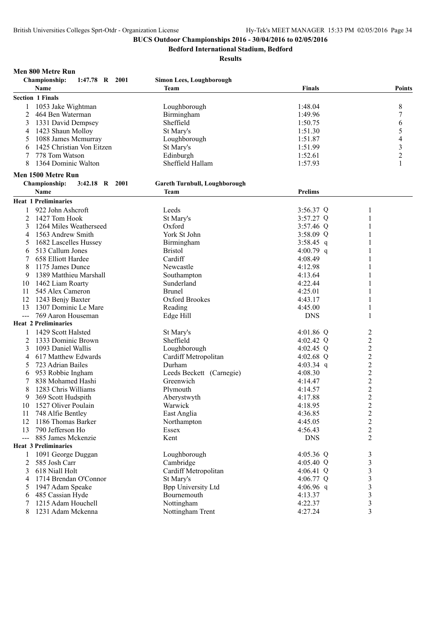**Bedford International Stadium, Bedford**

#### **Results**

#### **Men 800 Metre Run**

|               | <b>Championship:</b><br>1:47.78 R 2001 | <b>Simon Lees, Loughborough</b> |                |                         |
|---------------|----------------------------------------|---------------------------------|----------------|-------------------------|
|               | Name                                   | Team                            | <b>Finals</b>  | <b>Points</b>           |
|               | <b>Section 1 Finals</b>                |                                 |                |                         |
| $\mathbf{1}$  | 1053 Jake Wightman                     | Loughborough                    | 1:48.04        | $\,$ 8 $\,$             |
| 2             | 464 Ben Waterman                       | Birmingham                      | 1:49.96        | $\boldsymbol{7}$        |
| 3             | 1331 David Dempsey                     | Sheffield                       | 1:50.75        | 6                       |
| 4             | 1423 Shaun Molloy                      | St Mary's                       | 1:51.30        | 5                       |
| 5             | 1088 James Mcmurray                    | Loughborough                    | 1:51.87        | 4                       |
| 6             | 1425 Christian Von Eitzen              | St Mary's                       | 1:51.99        | $\mathfrak{Z}$          |
| 7             | 778 Tom Watson                         | Edinburgh                       | 1:52.61        | $\overline{c}$          |
| 8             | 1364 Dominic Walton                    | Sheffield Hallam                | 1:57.93        | 1                       |
|               | Men 1500 Metre Run                     |                                 |                |                         |
|               | 3:42.18 R 2001<br><b>Championship:</b> | Gareth Turnbull, Loughborough   |                |                         |
|               | Name                                   | <b>Team</b>                     | <b>Prelims</b> |                         |
|               | <b>Heat 1 Preliminaries</b>            |                                 |                |                         |
| 1             | 922 John Ashcroft                      | Leeds                           | 3:56.37 Q      | 1                       |
| 2             | 1427 Tom Hook                          | St Mary's                       | 3:57.27 Q      | 1                       |
| 3             | 1264 Miles Weatherseed                 | Oxford                          | $3:57.46$ Q    | 1                       |
| 4             | 1563 Andrew Smith                      | York St John                    | 3:58.09 Q      | 1                       |
| 5             | 1682 Lascelles Hussey                  | Birmingham                      | 3:58.45 q      |                         |
| 6             | 513 Callum Jones                       | <b>Bristol</b>                  | 4:00.79 q      |                         |
|               | 658 Elliott Hardee                     | Cardiff                         | 4:08.49        |                         |
| 8             | 1175 James Dunce                       | Newcastle                       | 4:12.98        |                         |
| 9             | 1389 Matthieu Marshall                 | Southampton                     | 4:13.64        |                         |
| 10            | 1462 Liam Roarty                       | Sunderland                      | 4:22.44        | 1                       |
| 11            | 545 Alex Cameron                       | <b>Brunel</b>                   | 4:25.01        |                         |
| 12            | 1243 Benjy Baxter                      | Oxford Brookes                  | 4:43.17        |                         |
| 13            | 1307 Dominic Le Mare                   | Reading                         | 4:45.00        | 1                       |
| $\frac{1}{2}$ | 769 Aaron Houseman                     | Edge Hill                       | <b>DNS</b>     | 1                       |
|               | <b>Heat 2 Preliminaries</b>            |                                 |                |                         |
| 1             | 1429 Scott Halsted                     | St Mary's                       | 4:01.86 Q      | $\overline{c}$          |
| 2             | 1333 Dominic Brown                     | Sheffield                       | 4:02.42 Q      | $\overline{c}$          |
| 3             | 1093 Daniel Wallis                     | Loughborough                    | 4:02.45 Q      | $\boldsymbol{2}$        |
| 4             | 617 Matthew Edwards                    | Cardiff Metropolitan            | 4:02.68 $Q$    | $\boldsymbol{2}$        |
| 5             | 723 Adrian Bailes                      | Durham                          | 4:03.34 q      | $\overline{c}$          |
| 6             | 953 Robbie Ingham                      | Leeds Beckett (Carnegie)        | 4:08.30        | $\overline{c}$          |
|               | 838 Mohamed Hashi                      | Greenwich                       | 4:14.47        | $\overline{\mathbf{c}}$ |
| 8             | 1283 Chris Williams                    | Plymouth                        | 4:14.57        |                         |
| 9             | 369 Scott Hudspith                     | Aberystwyth                     | 4:17.88        | $\frac{2}{2}$           |
| 10            | 1527 Oliver Poulain                    | Warwick                         | 4:18.95        | $\mathfrak{D}$          |
| 11            | 748 Alfie Bentley                      | East Anglia                     | 4:36.85        | $\overline{c}$          |
| 12            | 1186 Thomas Barker                     | Northampton                     | 4:45.05        | $\boldsymbol{2}$        |
| 13            | 790 Jefferson Ho                       | Essex                           | 4:56.43        | $\overline{c}$          |
| $---$         | 885 James Mckenzie                     | Kent                            | <b>DNS</b>     | $\overline{2}$          |
|               | <b>Heat 3 Preliminaries</b>            |                                 |                |                         |
| 1             | 1091 George Duggan                     | Loughborough                    | 4:05.36 Q      | 3                       |
| 2             | 585 Josh Carr                          | Cambridge                       | 4:05.40 Q      | 3                       |
| 3             | 618 Niall Holt                         | Cardiff Metropolitan            | 4:06.41 Q      | $\mathfrak{Z}$          |
| 4             | 1714 Brendan O'Connor                  | St Mary's                       | 4:06.77 Q      | 3                       |
| 5             | 1947 Adam Speake                       | <b>Bpp University Ltd</b>       | 4:06.96 q      | 3                       |
| 6             | 485 Cassian Hyde                       | Bournemouth                     | 4:13.37        | $\mathfrak{Z}$          |
| 7             | 1215 Adam Houchell                     | Nottingham                      | 4:22.37        | 3                       |
| 8             | 1231 Adam Mckenna                      | Nottingham Trent                | 4:27.24        | 3                       |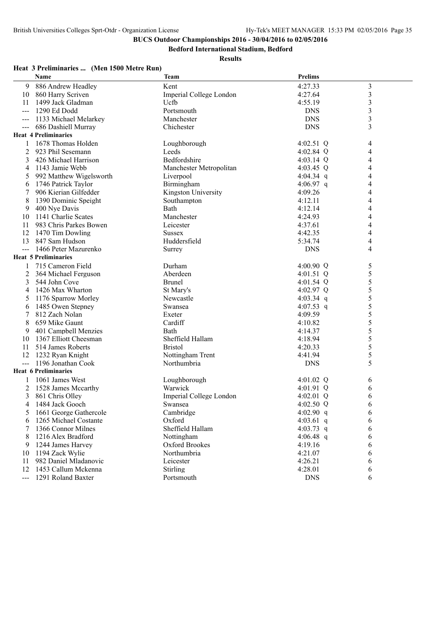**Bedford International Stadium, Bedford**

|                     | Name                        | <b>Team</b>             | <b>Prelims</b> |                         |
|---------------------|-----------------------------|-------------------------|----------------|-------------------------|
| 9                   | 886 Andrew Headley          | Kent                    | 4:27.33        | $\overline{\mathbf{3}}$ |
| 10                  | 860 Harry Scriven           | Imperial College London | 4:27.64        | $\mathfrak{Z}$          |
| 11                  | 1499 Jack Gladman           | Ucfb                    | 4:55.19        | 3                       |
| $---$               | 1290 Ed Dodd                | Portsmouth              | <b>DNS</b>     | 3                       |
| $--$                | 1133 Michael Melarkey       | Manchester              | <b>DNS</b>     | 3                       |
| $--$                | 686 Dashiell Murray         | Chichester              | <b>DNS</b>     | 3                       |
|                     | <b>Heat 4 Preliminaries</b> |                         |                |                         |
| 1                   | 1678 Thomas Holden          | Loughborough            | 4:02.51 Q      | 4                       |
| 2                   | 923 Phil Sesemann           | Leeds                   | 4:02.84 Q      | 4                       |
| 3                   | 426 Michael Harrison        | Bedfordshire            | $4:03.14$ Q    | 4                       |
| 4                   | 1143 Jamie Webb             | Manchester Metropolitan | 4:03.45 Q      | 4                       |
| 5                   | 992 Matthew Wigelsworth     | Liverpool               | 4:04.34 q      | 4                       |
| 6                   | 1746 Patrick Taylor         | Birmingham              | 4:06.97 q      | 4                       |
| 7                   | 906 Kierian Gilfedder       | Kingston University     | 4:09.26        | 4                       |
| 8                   | 1390 Dominic Speight        | Southampton             | 4:12.11        | 4                       |
| 9                   | 400 Nye Davis               | Bath                    | 4:12.14        | 4                       |
| 10                  | 1141 Charlie Scates         | Manchester              | 4:24.93        | 4                       |
| 11                  | 983 Chris Parkes Bowen      | Leicester               | 4:37.61        | 4                       |
| 12                  | 1470 Tim Dowling            | <b>Sussex</b>           | 4:42.35        | 4                       |
| 13                  | 847 Sam Hudson              | Huddersfield            | 5:34.74        | 4                       |
| $---$               | 1466 Peter Mazurenko        | Surrey                  | <b>DNS</b>     | 4                       |
|                     | <b>Heat 5 Preliminaries</b> |                         |                |                         |
|                     | 715 Cameron Field           | Durham                  | 4:00.90 Q      | 5                       |
| 2                   | 364 Michael Ferguson        | Aberdeen                | 4:01.51 Q      | 5                       |
| 3                   | 544 John Cove               | <b>Brunel</b>           | 4:01.54 $Q$    | 5                       |
| 4                   | 1426 Max Wharton            | St Mary's               | 4:02.97 Q      | 5                       |
| 5                   | 1176 Sparrow Morley         | Newcastle               | 4:03.34 q      | 5                       |
| 6                   | 1485 Owen Stepney           | Swansea                 | 4:07.53 q      | 5                       |
| 7                   | 812 Zach Nolan              | Exeter                  | 4:09.59        | 5                       |
| 8                   | 659 Mike Gaunt              | Cardiff                 | 4:10.82        | 5                       |
| 9                   | 401 Campbell Menzies        | Bath                    | 4:14.37        | 5                       |
| 10                  | 1367 Elliott Cheesman       | Sheffield Hallam        | 4:18.94        | 5                       |
| 11                  | 514 James Roberts           | <b>Bristol</b>          | 4:20.33        | 5                       |
| 12                  | 1232 Ryan Knight            | Nottingham Trent        | 4:41.94        | 5                       |
| $---$               | 1196 Jonathan Cook          | Northumbria             | <b>DNS</b>     | 5                       |
|                     | <b>Heat 6 Preliminaries</b> |                         |                |                         |
|                     | 1061 James West             | Loughborough            | 4:01.02 $Q$    | 6                       |
| 2                   | 1528 James Mccarthy         | Warwick                 | 4:01.91 Q      | 6                       |
| 3                   | 861 Chris Olley             | Imperial College London | 4:02.01 $Q$    | 6                       |
|                     | 4 1484 Jack Gooch           | Swansea                 | 4:02.50 Q      | 6                       |
| 5                   | 1661 George Gathercole      | Cambridge               | 4:02.90 $q$    | 6                       |
| 6                   | 1265 Michael Costante       | Oxford                  | 4:03.61 q      | 6                       |
|                     | 1366 Connor Milnes          | Sheffield Hallam        | 4:03.73 q      | 6                       |
| 8                   | 1216 Alex Bradford          | Nottingham              | 4:06.48 $q$    | 6                       |
| 9                   | 1244 James Harvey           | Oxford Brookes          | 4:19.16        | 6                       |
| 10                  | 1194 Zack Wylie             | Northumbria             | 4:21.07        | 6                       |
| 11                  | 982 Daniel Mladanovic       | Leicester               | 4:26.21        | 6                       |
| 12                  | 1453 Callum Mckenna         | Stirling                | 4:28.01        | 6                       |
| $\qquad \qquad - -$ | 1291 Roland Baxter          | Portsmouth              | <b>DNS</b>     | 6                       |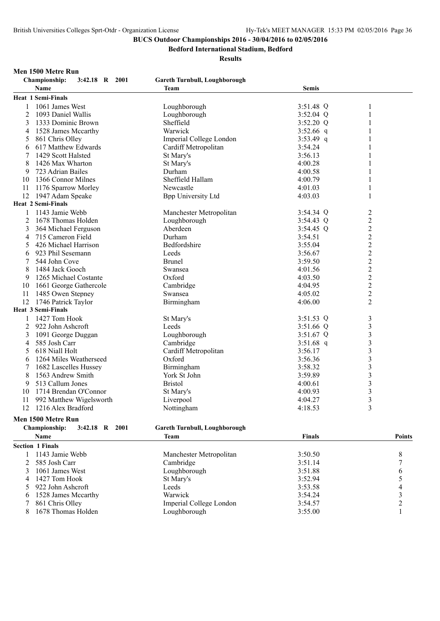**Bedford International Stadium, Bedford**

#### **Results**

**Championship: 3:42.18 R 2001 Gareth Turnbull, Loughborough**

# **Men 1500 Metre Run**<br>Championship: 3:42.18 **B** 2001

|    | Championship:<br>$3:42.18$ K $2001$ | Gareth Turnbull, Loughborough |              |                         |
|----|-------------------------------------|-------------------------------|--------------|-------------------------|
|    | Name                                | Team                          | <b>Semis</b> |                         |
|    | <b>Heat 1 Semi-Finals</b>           |                               |              |                         |
| 1  | 1061 James West                     | Loughborough                  | 3:51.48 Q    | 1                       |
| 2  | 1093 Daniel Wallis                  | Loughborough                  | $3:52.04$ Q  | 1                       |
| 3  | 1333 Dominic Brown                  | Sheffield                     | $3:52.20$ Q  | 1                       |
| 4  | 1528 James Mccarthy                 | Warwick                       | $3:52.66$ q  | 1                       |
| 5  | 861 Chris Olley                     | Imperial College London       | 3:53.49 q    | 1                       |
| 6  | 617 Matthew Edwards                 | Cardiff Metropolitan          | 3:54.24      | 1                       |
| 7  | 1429 Scott Halsted                  | St Mary's                     | 3:56.13      | 1                       |
| 8  | 1426 Max Wharton                    | St Mary's                     | 4:00.28      | 1                       |
| 9  | 723 Adrian Bailes                   | Durham                        | 4:00.58      | 1                       |
| 10 | 1366 Connor Milnes                  | Sheffield Hallam              | 4:00.79      | 1                       |
| 11 | 1176 Sparrow Morley                 | Newcastle                     | 4:01.03      | 1                       |
|    | 12 1947 Adam Speake                 | <b>Bpp University Ltd</b>     | 4:03.03      | 1                       |
|    | <b>Heat 2 Semi-Finals</b>           |                               |              |                         |
| 1  | 1143 Jamie Webb                     | Manchester Metropolitan       | $3:54.34$ Q  | $\overline{c}$          |
| 2  | 1678 Thomas Holden                  | Loughborough                  | $3:54.43$ Q  | $\overline{2}$          |
| 3  | 364 Michael Ferguson                | Aberdeen                      | $3:54.45$ Q  | $\overline{c}$          |
| 4  | 715 Cameron Field                   | Durham                        | 3:54.51      | $\overline{c}$          |
| 5  | 426 Michael Harrison                | Bedfordshire                  | 3:55.04      | $\overline{c}$          |
| 6  | 923 Phil Sesemann                   | Leeds                         | 3:56.67      | $\overline{c}$          |
| 7  | 544 John Cove                       | <b>Brunel</b>                 | 3:59.50      | $\overline{c}$          |
| 8  | 1484 Jack Gooch                     | Swansea                       | 4:01.56      | $\overline{c}$          |
| 9  | 1265 Michael Costante               | Oxford                        | 4:03.50      | $\overline{c}$          |
| 10 | 1661 George Gathercole              | Cambridge                     | 4:04.95      | $\overline{c}$          |
| 11 | 1485 Owen Stepney                   | Swansea                       | 4:05.02      | $\overline{c}$          |
| 12 | 1746 Patrick Taylor                 | Birmingham                    | 4:06.00      | $\overline{2}$          |
|    | <b>Heat 3 Semi-Finals</b>           |                               |              |                         |
| 1  | 1427 Tom Hook                       | St Mary's                     | 3:51.53 Q    | 3                       |
| 2  | 922 John Ashcroft                   | Leeds                         | $3:51.66$ Q  | $\overline{3}$          |
| 3  | 1091 George Duggan                  | Loughborough                  | 3:51.67 Q    | $\overline{\mathbf{3}}$ |
| 4  | 585 Josh Carr                       | Cambridge                     | 3:51.68 q    | 3                       |
| 5  | 618 Niall Holt                      | Cardiff Metropolitan          | 3:56.17      | 3                       |
| 6  | 1264 Miles Weatherseed              | Oxford                        | 3:56.36      | 3                       |
| 7  | 1682 Lascelles Hussey               | Birmingham                    | 3:58.32      | $\overline{3}$          |
| 8  | 1563 Andrew Smith                   | York St John                  | 3:59.89      | $\overline{3}$          |
| 9  | 513 Callum Jones                    | <b>Bristol</b>                | 4:00.61      | 3                       |
| 10 | 1714 Brendan O'Connor               | St Mary's                     | 4:00.93      | 3                       |
| 11 | 992 Matthew Wigelsworth             | Liverpool                     | 4:04.27      | 3                       |
| 12 | 1216 Alex Bradford                  | Nottingham                    | 4:18.53      | 3                       |

## **Men 1500 Metre Run**

#### **Championship: 3:42.18 R 2001 Gareth Turnbull, Loughborough Name Team Finals Points Section 1 Finals** 1 1143 Jamie Webb Manchester Metropolitan 3:50.50 8<br>2 585 Josh Carr Cambridge 3:51.14 7 2 585 Josh Carr Cambridge 3 1061 James West Loughborough 3:51.88 6 4 1427 Tom Hook St Mary's 3:52.94 5<br>5 922 John Ashcroft 1 Leeds 3:53.58 4 5 922 John Ashcroft 1528 James Mccarthy Warwick 3:54.24 3 861 Chris Olley Imperial College London 3:54.57 2 8 1678 Thomas Holden Loughborough 3:55.00 1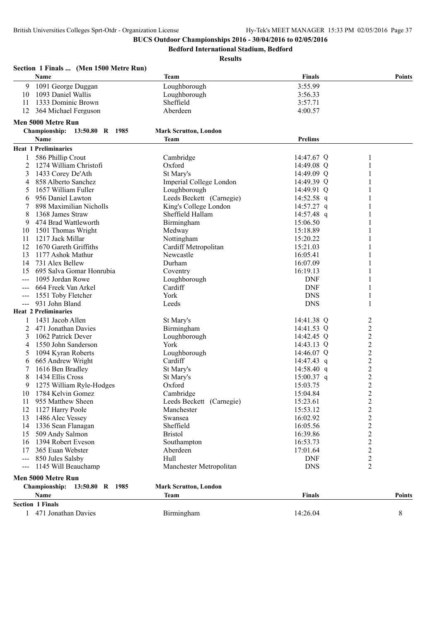**Bedford International Stadium, Bedford**

|               | Name                          | Team                         | <b>Finals</b>  |                | <b>Points</b> |
|---------------|-------------------------------|------------------------------|----------------|----------------|---------------|
| 9             | 1091 George Duggan            | Loughborough                 | 3:55.99        |                |               |
| 10            | 1093 Daniel Wallis            | Loughborough                 | 3:56.33        |                |               |
| 11            | 1333 Dominic Brown            | Sheffield                    | 3:57.71        |                |               |
| 12            | 364 Michael Ferguson          | Aberdeen                     | 4:00.57        |                |               |
|               | Men 5000 Metre Run            |                              |                |                |               |
|               | Championship: 13:50.80 R 1985 | <b>Mark Scrutton, London</b> |                |                |               |
|               | Name                          | Team                         | <b>Prelims</b> |                |               |
|               | <b>Heat 1 Preliminaries</b>   |                              |                |                |               |
|               | 586 Phillip Crout             | Cambridge                    | 14:47.67 Q     | 1              |               |
| 2             | 1274 William Christofi        | Oxford                       | 14:49.08 Q     | 1              |               |
| 3             | 1433 Corey De'Ath             | St Mary's                    | 14:49.09 Q     |                |               |
| 4             | 858 Alberto Sanchez           | Imperial College London      | 14:49.39 Q     | 1              |               |
| 5             | 1657 William Fuller           | Loughborough                 | 14:49.91 Q     |                |               |
| 6             | 956 Daniel Lawton             | Leeds Beckett (Carnegie)     | 14:52.58 q     |                |               |
|               | 898 Maximilian Nicholls       | King's College London        | 14:57.27 q     | 1              |               |
| 8             | 1368 James Straw              | Sheffield Hallam             | 14:57.48 q     | 1              |               |
| 9             | 474 Brad Wattleworth          | Birmingham                   | 15:06.50       |                |               |
| 10            | 1501 Thomas Wright            | Medway                       | 15:18.89       |                |               |
| 11            | 1217 Jack Millar              | Nottingham                   | 15:20.22       |                |               |
| 12            | 1670 Gareth Griffiths         | Cardiff Metropolitan         | 15:21.03       |                |               |
| 13            | 1177 Ashok Mathur             | Newcastle                    | 16:05.41       |                |               |
| 14            | 731 Alex Bellew               | Durham                       | 16:07.09       |                |               |
| 15            | 695 Salva Gomar Honrubia      | Coventry                     | 16:19.13       |                |               |
| ---           | 1095 Jordan Rowe              | Loughborough                 | <b>DNF</b>     | 1              |               |
|               | 664 Freek Van Arkel           | Cardiff                      | <b>DNF</b>     | 1              |               |
|               | 1551 Toby Fletcher            | York                         | <b>DNS</b>     | 1              |               |
| $---$         | 931 John Bland                | Leeds                        | <b>DNS</b>     | 1              |               |
|               | <b>Heat 2 Preliminaries</b>   |                              |                |                |               |
|               | 1431 Jacob Allen              | St Mary's                    | 14:41.38 Q     | 2              |               |
| 2             | 471 Jonathan Davies           | Birmingham                   | 14:41.53 Q     | $\overline{c}$ |               |
| 3             | 1062 Patrick Dever            | Loughborough                 | 14:42.45 Q     | $\mathfrak{2}$ |               |
| 4             | 1550 John Sanderson           | York                         | 14:43.13 Q     | $\overline{c}$ |               |
| 5             | 1094 Kyran Roberts            | Loughborough                 | 14:46.07 Q     | $\overline{c}$ |               |
| 6             | 665 Andrew Wright             | Cardiff                      | $14:47.43$ q   | $\overline{2}$ |               |
| 7             | 1616 Ben Bradley              | St Mary's                    | 14:58.40 q     | $\overline{c}$ |               |
| 8             | 1434 Ellis Cross              | St Mary's                    | $15:00.37$ q   | $\overline{2}$ |               |
|               | 1275 William Ryle-Hodges      | Oxford                       | 15:03.75       | $\overline{2}$ |               |
| 10            | 1784 Kelvin Gomez             | Cambridge                    | 15:04.84       | $\overline{2}$ |               |
| 11            | 955 Matthew Sheen             | Leeds Beckett (Carnegie)     | 15:23.61       | $\overline{c}$ |               |
| 12            | 1127 Harry Poole              | Manchester                   | 15:53.12       | $\overline{c}$ |               |
| 13            | 1486 Alec Vessey              | Swansea                      | 16:02.92       | $\overline{c}$ |               |
| 14            | 1336 Sean Flanagan            | Sheffield                    | 16:05.56       | $\overline{c}$ |               |
| 15            | 509 Andy Salmon               | <b>Bristol</b>               | 16:39.86       | $\sqrt{2}$     |               |
| 16            | 1394 Robert Eveson            | Southampton                  | 16:53.73       | $\overline{c}$ |               |
| 17            | 365 Euan Webster              | Aberdeen                     | 17:01.64       | $\overline{c}$ |               |
|               | --- 850 Jules Salsby          | Hull                         | <b>DNF</b>     | $\overline{c}$ |               |
| $\frac{1}{2}$ | 1145 Will Beauchamp           | Manchester Metropolitan      | <b>DNS</b>     | $\overline{2}$ |               |
|               | Men 5000 Metre Run            |                              |                |                |               |
|               | Championship: 13:50.80 R 1985 | <b>Mark Scrutton, London</b> |                |                |               |
|               | Name                          | Team                         | <b>Finals</b>  |                | <b>Points</b> |
|               |                               |                              |                |                |               |
|               | <b>Section 1 Finals</b>       |                              |                |                |               |
|               | 471 Jonathan Davies           | Birmingham                   | 14:26.04       |                | 8             |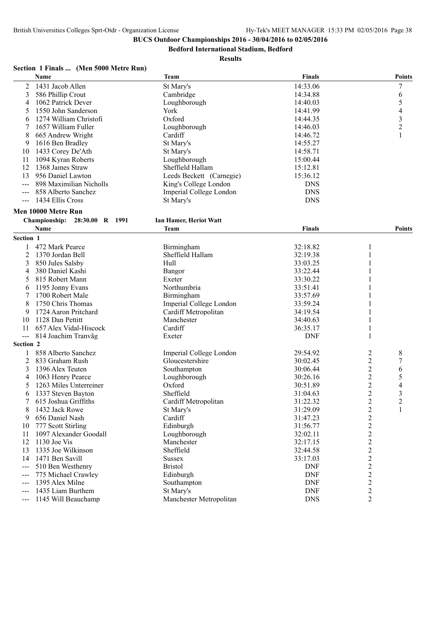**Bedford International Stadium, Bedford**

| Section 1 Finals  (Men 5000 Metre Run) |  |  |  |
|----------------------------------------|--|--|--|
|----------------------------------------|--|--|--|

|                     | Name                          | Team                     | <b>Finals</b> |                | <b>Points</b>    |
|---------------------|-------------------------------|--------------------------|---------------|----------------|------------------|
| 2                   | 1431 Jacob Allen              | St Mary's                | 14:33.06      |                | $\boldsymbol{7}$ |
| 3                   | 586 Phillip Crout             | Cambridge                | 14:34.88      |                | 6                |
| 4                   | 1062 Patrick Dever            | Loughborough             | 14:40.03      |                | 5                |
| 5                   | 1550 John Sanderson           | York                     | 14:41.99      |                | 4                |
| 6                   | 1274 William Christofi        | Oxford                   | 14:44.35      |                | 3                |
| 7                   | 1657 William Fuller           | Loughborough             | 14:46.03      |                | $\overline{c}$   |
| 8                   | 665 Andrew Wright             | Cardiff                  | 14:46.72      |                | 1                |
| 9                   | 1616 Ben Bradley              | St Mary's                | 14:55.27      |                |                  |
| 10                  | 1433 Corey De'Ath             | St Mary's                | 14:58.71      |                |                  |
| 11                  | 1094 Kyran Roberts            | Loughborough             | 15:00.44      |                |                  |
| 12                  | 1368 James Straw              | Sheffield Hallam         | 15:12.81      |                |                  |
| 13                  | 956 Daniel Lawton             | Leeds Beckett (Carnegie) | 15:36.12      |                |                  |
| $---$               | 898 Maximilian Nicholls       | King's College London    | <b>DNS</b>    |                |                  |
|                     | 858 Alberto Sanchez           | Imperial College London  | <b>DNS</b>    |                |                  |
| $---$               | 1434 Ellis Cross              | St Mary's                | <b>DNS</b>    |                |                  |
|                     | Men 10000 Metre Run           |                          |               |                |                  |
|                     | Championship: 28:30.00 R 1991 | Ian Hamer, Heriot Watt   |               |                |                  |
|                     | Name                          | <b>Team</b>              | <b>Finals</b> |                | Points           |
| Section 1           |                               |                          |               |                |                  |
| 1                   | 472 Mark Pearce               | Birmingham               | 32:18.82      | 1              |                  |
| $\overline{c}$      | 1370 Jordan Bell              | Sheffield Hallam         | 32:19.38      |                |                  |
| 3                   | 850 Jules Salsby              | Hull                     | 33:03.25      |                |                  |
| 4                   | 380 Daniel Kashi              | Bangor                   | 33:22.44      |                |                  |
| 5                   | 815 Robert Mann               | Exeter                   | 33:30.22      |                |                  |
| 6                   | 1195 Jonny Evans              | Northumbria              | 33:51.41      |                |                  |
| 7                   | 1700 Robert Male              | Birmingham               | 33:57.69      |                |                  |
| 8                   | 1750 Chris Thomas             | Imperial College London  | 33:59.24      |                |                  |
| 9                   | 1724 Aaron Pritchard          | Cardiff Metropolitan     | 34:19.54      |                |                  |
| 10                  | 1128 Dan Pettitt              | Manchester               | 34:40.63      |                |                  |
| 11                  | 657 Alex Vidal-Hiscock        | Cardiff                  | 36:35.17      | 1              |                  |
| $\qquad \qquad - -$ | 814 Joachim Tranvãg           | Exeter                   | <b>DNF</b>    | 1              |                  |
| Section 2           |                               |                          |               |                |                  |
| 1                   | 858 Alberto Sanchez           | Imperial College London  | 29:54.92      | 2              | 8                |
| 2                   | 833 Graham Rush               | Gloucestershire          | 30:02.45      | 2              | 7                |
| 3                   | 1396 Alex Teuten              | Southampton              | 30:06.44      | 2              | 6                |
| 4                   | 1063 Henry Pearce             | Loughborough             | 30:26.16      | 2              | 5                |
| 5                   | 1263 Miles Unterreiner        | Oxford                   | 30:51.89      | 2              | 4                |
| 6                   | 1337 Steven Bayton            | Sheffield                | 31:04.63      | $\overline{2}$ | 3                |
| 7                   | 615 Joshua Griffiths          | Cardiff Metropolitan     | 31:22.32      | $\overline{c}$ | $\overline{2}$   |
| 8                   | 1432 Jack Rowe                | St Mary's                | 31:29.09      | $\overline{c}$ | 1                |
| 9                   | 656 Daniel Nash               | Cardiff                  | 31:47.23      | $\overline{c}$ |                  |
| 10                  | 777 Scott Stirling            | Edinburgh                | 31:56.77      | $\overline{c}$ |                  |
| 11                  | 1097 Alexander Goodall        | Loughborough             | 32:02.11      | $\overline{c}$ |                  |
| 12                  | 1130 Joe Vis                  | Manchester               | 32:17.15      | $\overline{2}$ |                  |
| 13                  | 1335 Joe Wilkinson            | Sheffield                | 32:44.58      | $\overline{c}$ |                  |
| 14                  | 1471 Ben Savill               | <b>Sussex</b>            | 33:17.03      | $\overline{c}$ |                  |
| $---$               | 510 Ben Westhenry             | <b>Bristol</b>           | <b>DNF</b>    | $\overline{c}$ |                  |
| $---$               | 775 Michael Crawley           | Edinburgh                | <b>DNF</b>    | $\overline{c}$ |                  |
| $---$               | 1395 Alex Milne               | Southampton              | <b>DNF</b>    | $\sqrt{2}$     |                  |
|                     | 1435 Liam Burthem             | St Mary's                | <b>DNF</b>    | $\overline{c}$ |                  |
|                     | 1145 Will Beauchamp           | Manchester Metropolitan  | <b>DNS</b>    | $\overline{2}$ |                  |
|                     |                               |                          |               |                |                  |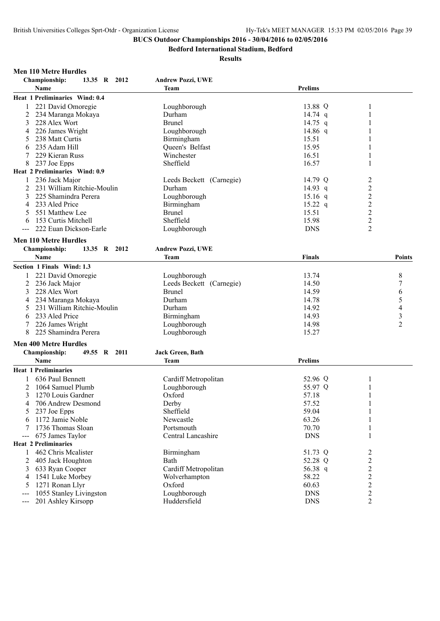**Bedford International Stadium, Bedford**

#### **Results**

#### **Men 110 Metre Hurdles**

| Championship:<br>13.35 R 2012        | <b>Andrew Pozzi, UWE</b> |                |                  |                          |
|--------------------------------------|--------------------------|----------------|------------------|--------------------------|
| Name                                 | <b>Team</b>              | <b>Prelims</b> |                  |                          |
| Heat 1 Preliminaries Wind: 0.4       |                          |                |                  |                          |
| 221 David Omoregie<br>1              | Loughborough             | 13.88 Q        | 1                |                          |
| 2<br>234 Maranga Mokaya              | Durham                   | 14.74 q        | 1                |                          |
| 3<br>228 Alex Wort                   | <b>Brunel</b>            | 14.75 q        | 1                |                          |
| 226 James Wright<br>4                | Loughborough             | 14.86 $q$      | 1                |                          |
| 238 Matt Curtis<br>5                 | Birmingham               | 15.51          | 1                |                          |
| 235 Adam Hill<br>6                   | Queen's Belfast          | 15.95          | 1                |                          |
| 229 Kieran Russ<br>7                 | Winchester               | 16.51          | 1                |                          |
| 8<br>237 Joe Epps                    | Sheffield                | 16.57          | $\mathbf{1}$     |                          |
| Heat 2 Preliminaries Wind: 0.9       |                          |                |                  |                          |
| 236 Jack Major                       | Leeds Beckett (Carnegie) | 14.79 Q        | 2                |                          |
| 231 William Ritchie-Moulin           | Durham                   |                |                  |                          |
| 2                                    |                          | 14.93 q        | $\boldsymbol{2}$ |                          |
| 3<br>225 Shamindra Perera            | Loughborough             | $15.16$ q      | $\overline{c}$   |                          |
| 233 Aled Price<br>4                  | Birmingham               | $15.22$ q      | $\frac{2}{2}$    |                          |
| 551 Matthew Lee<br>5                 | <b>Brunel</b>            | 15.51          |                  |                          |
| 153 Curtis Mitchell<br>6             | Sheffield                | 15.98          | $\overline{2}$   |                          |
| 222 Euan Dickson-Earle               | Loughborough             | <b>DNS</b>     | $\overline{2}$   |                          |
| <b>Men 110 Metre Hurdles</b>         |                          |                |                  |                          |
| 13.35 R 2012<br><b>Championship:</b> | <b>Andrew Pozzi, UWE</b> |                |                  |                          |
| <b>Name</b>                          | <b>Team</b>              | <b>Finals</b>  |                  | <b>Points</b>            |
| Section 1 Finals Wind: 1.3           |                          |                |                  |                          |
| 1                                    |                          | 13.74          |                  |                          |
| 221 David Omoregie                   | Loughborough             | 14.50          |                  | 8                        |
| 2<br>236 Jack Major                  | Leeds Beckett (Carnegie) |                |                  | 7                        |
| 3<br>228 Alex Wort                   | <b>Brunel</b>            | 14.59          |                  | 6                        |
| 234 Maranga Mokaya<br>4              | Durham                   | 14.78          |                  | 5                        |
| 231 William Ritchie-Moulin<br>5      | Durham                   | 14.92          |                  | $\overline{\mathcal{L}}$ |
| 233 Aled Price<br>6                  | Birmingham               | 14.93          |                  | $\overline{\mathbf{3}}$  |
| 7<br>226 James Wright                | Loughborough             | 14.98          |                  | $\overline{c}$           |
| 8<br>225 Shamindra Perera            | Loughborough             | 15.27          |                  |                          |
| <b>Men 400 Metre Hurdles</b>         |                          |                |                  |                          |
| <b>Championship:</b><br>49.55 R 2011 | <b>Jack Green, Bath</b>  |                |                  |                          |
| Name                                 | Team                     | <b>Prelims</b> |                  |                          |
| <b>Heat 1 Preliminaries</b>          |                          |                |                  |                          |
| 636 Paul Bennett<br>1                | Cardiff Metropolitan     | 52.96 Q        | $\mathbf{1}$     |                          |
| 2<br>1064 Samuel Plumb               | Loughborough             | 55.97 Q        | 1                |                          |
| 3<br>1270 Louis Gardner              | Oxford                   | 57.18          | 1                |                          |
| 706 Andrew Desmond<br>4              | Derby                    | 57.52          | 1                |                          |
|                                      |                          |                |                  |                          |
| 237 Joe Epps<br>5                    | Sheffield                | 59.04          |                  |                          |
| 1172 Jamie Noble<br>6                | Newcastle                | 63.26          |                  |                          |
| 1736 Thomas Sloan<br>7               | Portsmouth               | 70.70          | 1                |                          |
| 675 James Taylor<br>$---$            | Central Lancashire       | <b>DNS</b>     | 1                |                          |
| <b>Heat 2 Preliminaries</b>          |                          |                |                  |                          |
| 462 Chris Mcalister<br>$\mathbf{1}$  | Birmingham               | 51.73 Q        | 2                |                          |
| 2<br>405 Jack Houghton               | Bath                     | 52.28 Q        | $\overline{c}$   |                          |
| 633 Ryan Cooper<br>3                 | Cardiff Metropolitan     | 56.38 q        | $\overline{c}$   |                          |
| 1541 Luke Morbey<br>4                | Wolverhampton            | 58.22          | $\overline{c}$   |                          |
| 1271 Ronan Llyr<br>5                 | Oxford                   | 60.63          | $\boldsymbol{2}$ |                          |
| 1055 Stanley Livingston<br>$---$     | Loughborough             | <b>DNS</b>     | $\sqrt{2}$       |                          |
| 201 Ashley Kirsopp<br>$---$          | Huddersfield             | <b>DNS</b>     | $\overline{2}$   |                          |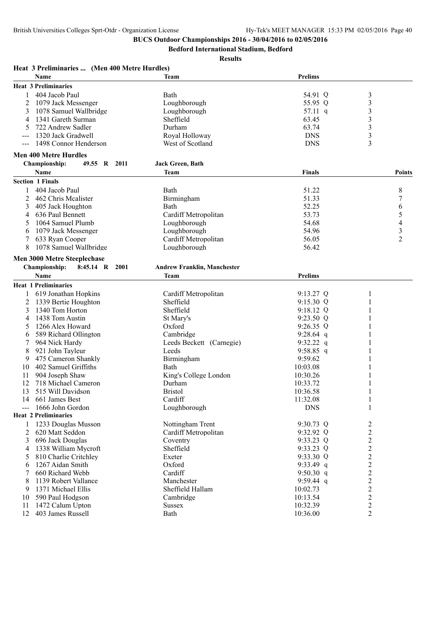**Bedford International Stadium, Bedford**

| Heat 3 Preliminaries  (Men 400 Metre Hurdles) |                                    | <b>Prelims</b> |                         |                |
|-----------------------------------------------|------------------------------------|----------------|-------------------------|----------------|
| Name                                          | <b>Team</b>                        |                |                         |                |
| <b>Heat 3 Preliminaries</b>                   |                                    |                |                         |                |
| 404 Jacob Paul<br>1                           | Bath                               | 54.91 Q        | $\mathfrak{Z}$          |                |
| 2<br>1079 Jack Messenger                      | Loughborough                       | 55.95 Q        | $\mathfrak{Z}$          |                |
| 3<br>1078 Samuel Wallbridge                   | Loughborough                       | 57.11 q        | 3                       |                |
| 1341 Gareth Surman<br>4                       | Sheffield                          | 63.45          | 3                       |                |
| 5<br>722 Andrew Sadler                        | Durham                             | 63.74          | 3                       |                |
| 1320 Jack Gradwell                            | Royal Holloway                     | <b>DNS</b>     | 3                       |                |
| 1498 Connor Henderson                         | West of Scotland                   | <b>DNS</b>     | 3                       |                |
| <b>Men 400 Metre Hurdles</b>                  |                                    |                |                         |                |
| 49.55 R 2011<br><b>Championship:</b>          | Jack Green, Bath                   |                |                         |                |
| Name                                          | Team                               | <b>Finals</b>  |                         | <b>Points</b>  |
| <b>Section 1 Finals</b>                       |                                    |                |                         |                |
| 404 Jacob Paul<br>1                           | Bath                               | 51.22          |                         | 8              |
| 2<br>462 Chris Mealister                      | Birmingham                         | 51.33          |                         | 7              |
| 3<br>405 Jack Houghton                        | Bath                               | 52.25          |                         | 6              |
| 4<br>636 Paul Bennett                         | Cardiff Metropolitan               | 53.73          |                         | 5              |
| 1064 Samuel Plumb<br>5                        | Loughborough                       | 54.68          |                         | 4              |
| 1079 Jack Messenger<br>6                      | Loughborough                       | 54.96          |                         | $\mathfrak{Z}$ |
| 7<br>633 Ryan Cooper                          | Cardiff Metropolitan               | 56.05          |                         | $\overline{c}$ |
| 8<br>1078 Samuel Wallbridge                   | Loughborough                       | 56.42          |                         |                |
| <b>Men 3000 Metre Steeplechase</b>            |                                    |                |                         |                |
|                                               | <b>Andrew Franklin, Manchester</b> |                |                         |                |
| <b>Championship:</b><br>8:45.14 R 2001        |                                    |                |                         |                |
| Name                                          | Team                               | <b>Prelims</b> |                         |                |
| <b>Heat 1 Preliminaries</b>                   |                                    |                |                         |                |
| 619 Jonathan Hopkins<br>$\mathbf{1}$          | Cardiff Metropolitan               | $9:13.27$ Q    | 1                       |                |
| 2<br>1339 Bertie Houghton                     | Sheffield                          | 9:15.30 Q      | 1                       |                |
| 3<br>1340 Tom Horton                          | Sheffield                          | $9:18.12$ Q    |                         |                |
| 1438 Tom Austin<br>4                          | St Mary's                          | $9:23.50$ Q    | 1                       |                |
| 1266 Alex Howard<br>5                         | Oxford                             | 9:26.35 Q      | 1                       |                |
| 589 Richard Ollington<br>6                    | Cambridge                          | 9:28.64 q      |                         |                |
| 7<br>964 Nick Hardy                           | Leeds Beckett (Carnegie)           | 9:32.22 q      | 1                       |                |
| 8<br>921 John Tayleur                         | Leeds                              | 9:58.85 q      | 1                       |                |
| 475 Cameron Shankly<br>9                      | Birmingham                         | 9:59.62        |                         |                |
| 402 Samuel Griffiths<br>10                    | Bath                               | 10:03.08       |                         |                |
| 904 Joseph Shaw<br>11                         | King's College London              | 10:30.26       |                         |                |
| 12<br>718 Michael Cameron                     | Durham                             | 10:33.72       |                         |                |
| 13<br>515 Will Davidson                       | <b>Bristol</b>                     | 10:36.58       | 1                       |                |
| 14 661 James Best                             | Cardiff                            | 11:32.08       | $\mathbf{1}$            |                |
| 1666 John Gordon<br>$\overline{a}$            | Loughborough                       | <b>DNS</b>     | 1                       |                |
| <b>Heat 2 Preliminaries</b>                   |                                    |                |                         |                |
| 1233 Douglas Musson<br>1                      | Nottingham Trent                   | 9:30.73 Q      | $\overline{\mathbf{c}}$ |                |
| 620 Matt Seddon<br>2                          | Cardiff Metropolitan               | 9:32.92 Q      | $\overline{c}$          |                |
| 3<br>696 Jack Douglas                         | Coventry                           | 9:33.23 Q      | $\overline{c}$          |                |
| 1338 William Mycroft<br>4                     | Sheffield                          | 9:33.23 Q      | $\overline{c}$          |                |
| 810 Charlie Critchley<br>5                    | Exeter                             | 9:33.30 Q      | $\overline{c}$          |                |
| 1267 Aidan Smith<br>6                         | Oxford                             | 9:33.49 q      | $\overline{c}$          |                |
| 660 Richard Webb                              | Cardiff                            | 9:50.30 q      | $\overline{c}$          |                |
| 1139 Robert Vallance<br>8                     | Manchester                         | $9:59.44$ q    | $\overline{c}$          |                |
| 1371 Michael Ellis<br>9                       | Sheffield Hallam                   | 10:02.73       | $\overline{2}$          |                |
| 590 Paul Hodgson<br>10                        | Cambridge                          | 10:13.54       | $\boldsymbol{2}$        |                |
| 1472 Calum Upton<br>11                        | <b>Sussex</b>                      | 10:32.39       | $\overline{c}$          |                |
| 403 James Russell<br>12                       | Bath                               | 10:36.00       | $\overline{2}$          |                |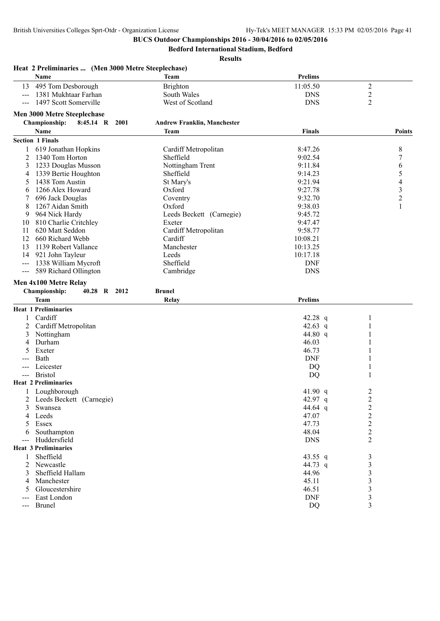**Bedford International Stadium, Bedford**

|                                                                                                                                                                                                                                                                                                                                                                                                                                                                            | Heat 2 Preliminaries  (Men 3000 Metre Steeplechase)<br>Name | <b>Team</b>                        | <b>Prelims</b> |                |                          |
|----------------------------------------------------------------------------------------------------------------------------------------------------------------------------------------------------------------------------------------------------------------------------------------------------------------------------------------------------------------------------------------------------------------------------------------------------------------------------|-------------------------------------------------------------|------------------------------------|----------------|----------------|--------------------------|
| 13                                                                                                                                                                                                                                                                                                                                                                                                                                                                         | 495 Tom Desborough                                          | <b>Brighton</b>                    | 11:05.50       | $\overline{c}$ |                          |
| $---$                                                                                                                                                                                                                                                                                                                                                                                                                                                                      | 1381 Mukhtaar Farhan                                        | South Wales                        | <b>DNS</b>     | $\overline{c}$ |                          |
| $---$                                                                                                                                                                                                                                                                                                                                                                                                                                                                      | 1497 Scott Somerville                                       | West of Scotland                   | <b>DNS</b>     | 2              |                          |
|                                                                                                                                                                                                                                                                                                                                                                                                                                                                            | <b>Men 3000 Metre Steeplechase</b>                          |                                    |                |                |                          |
|                                                                                                                                                                                                                                                                                                                                                                                                                                                                            | <b>Championship:</b><br>8:45.14 R 2001                      | <b>Andrew Franklin, Manchester</b> |                |                |                          |
|                                                                                                                                                                                                                                                                                                                                                                                                                                                                            | Name                                                        | <b>Team</b>                        | Finals         |                | Points                   |
|                                                                                                                                                                                                                                                                                                                                                                                                                                                                            | <b>Section 1 Finals</b>                                     |                                    |                |                |                          |
|                                                                                                                                                                                                                                                                                                                                                                                                                                                                            | 619 Jonathan Hopkins                                        | Cardiff Metropolitan               | 8:47.26        |                | 8                        |
| 2                                                                                                                                                                                                                                                                                                                                                                                                                                                                          | 1340 Tom Horton                                             | Sheffield                          | 9:02.54        |                | 7                        |
| 3                                                                                                                                                                                                                                                                                                                                                                                                                                                                          | 1233 Douglas Musson                                         | Nottingham Trent                   | 9:11.84        |                |                          |
| 4                                                                                                                                                                                                                                                                                                                                                                                                                                                                          | 1339 Bertie Houghton                                        | Sheffield                          | 9:14.23        |                | 6<br>5                   |
| 5                                                                                                                                                                                                                                                                                                                                                                                                                                                                          | 1438 Tom Austin                                             | St Mary's                          | 9:21.94        |                | $\overline{\mathcal{A}}$ |
| 6                                                                                                                                                                                                                                                                                                                                                                                                                                                                          | 1266 Alex Howard                                            | Oxford                             | 9:27.78        |                | 3                        |
|                                                                                                                                                                                                                                                                                                                                                                                                                                                                            | 696 Jack Douglas                                            | Coventry                           | 9:32.70        |                | $\overline{c}$           |
| 8                                                                                                                                                                                                                                                                                                                                                                                                                                                                          | 1267 Aidan Smith                                            | Oxford                             | 9:38.03        |                | $\mathbf{1}$             |
| 9                                                                                                                                                                                                                                                                                                                                                                                                                                                                          | 964 Nick Hardy                                              | Leeds Beckett (Carnegie)           | 9:45.72        |                |                          |
| 10                                                                                                                                                                                                                                                                                                                                                                                                                                                                         | 810 Charlie Critchley                                       | Exeter                             | 9:47.47        |                |                          |
| 11                                                                                                                                                                                                                                                                                                                                                                                                                                                                         | 620 Matt Seddon                                             | Cardiff Metropolitan               | 9:58.77        |                |                          |
| 12                                                                                                                                                                                                                                                                                                                                                                                                                                                                         | 660 Richard Webb                                            | Cardiff                            | 10:08.21       |                |                          |
| 13                                                                                                                                                                                                                                                                                                                                                                                                                                                                         | 1139 Robert Vallance                                        | Manchester                         | 10:13.25       |                |                          |
| 14                                                                                                                                                                                                                                                                                                                                                                                                                                                                         | 921 John Tayleur                                            | Leeds                              | 10:17.18       |                |                          |
| $---$                                                                                                                                                                                                                                                                                                                                                                                                                                                                      | 1338 William Mycroft                                        | Sheffield                          | <b>DNF</b>     |                |                          |
| $---$                                                                                                                                                                                                                                                                                                                                                                                                                                                                      | 589 Richard Ollington                                       | Cambridge                          | <b>DNS</b>     |                |                          |
|                                                                                                                                                                                                                                                                                                                                                                                                                                                                            |                                                             |                                    |                |                |                          |
|                                                                                                                                                                                                                                                                                                                                                                                                                                                                            | Men 4x100 Metre Relay                                       | <b>Brunel</b>                      |                |                |                          |
|                                                                                                                                                                                                                                                                                                                                                                                                                                                                            | Championship:<br>40.28 R 2012<br><b>Team</b>                | Relay                              | <b>Prelims</b> |                |                          |
|                                                                                                                                                                                                                                                                                                                                                                                                                                                                            | <b>Heat 1 Preliminaries</b>                                 |                                    |                |                |                          |
|                                                                                                                                                                                                                                                                                                                                                                                                                                                                            | Cardiff                                                     |                                    | 42.28 $q$      |                |                          |
| 2                                                                                                                                                                                                                                                                                                                                                                                                                                                                          | Cardiff Metropolitan                                        |                                    | 42.63 $q$      |                |                          |
| 3                                                                                                                                                                                                                                                                                                                                                                                                                                                                          | Nottingham                                                  |                                    | 44.80 q        |                |                          |
| 4                                                                                                                                                                                                                                                                                                                                                                                                                                                                          | Durham                                                      |                                    | 46.03          |                |                          |
|                                                                                                                                                                                                                                                                                                                                                                                                                                                                            | Exeter                                                      |                                    | 46.73          |                |                          |
|                                                                                                                                                                                                                                                                                                                                                                                                                                                                            | Bath                                                        |                                    | <b>DNF</b>     |                |                          |
|                                                                                                                                                                                                                                                                                                                                                                                                                                                                            | Leicester                                                   |                                    | DQ             |                |                          |
|                                                                                                                                                                                                                                                                                                                                                                                                                                                                            | <b>Bristol</b>                                              |                                    | DQ             |                |                          |
|                                                                                                                                                                                                                                                                                                                                                                                                                                                                            | <b>Heat 2 Preliminaries</b>                                 |                                    |                |                |                          |
|                                                                                                                                                                                                                                                                                                                                                                                                                                                                            | 1 Loughborough                                              |                                    | 41.90 $q$      | 2              |                          |
| 2                                                                                                                                                                                                                                                                                                                                                                                                                                                                          | Leeds Beckett (Carnegie)                                    |                                    | 42.97 q        | $\overline{c}$ |                          |
| 3                                                                                                                                                                                                                                                                                                                                                                                                                                                                          | Swansea                                                     |                                    | 44.64 q        | $\overline{c}$ |                          |
| 4                                                                                                                                                                                                                                                                                                                                                                                                                                                                          | Leeds                                                       |                                    | 47.07          | $\overline{c}$ |                          |
|                                                                                                                                                                                                                                                                                                                                                                                                                                                                            | Essex                                                       |                                    | 47.73          | $\overline{c}$ |                          |
| 6                                                                                                                                                                                                                                                                                                                                                                                                                                                                          | Southampton                                                 |                                    | 48.04          | $\overline{c}$ |                          |
| $---$                                                                                                                                                                                                                                                                                                                                                                                                                                                                      | Huddersfield                                                |                                    | <b>DNS</b>     | $\overline{c}$ |                          |
|                                                                                                                                                                                                                                                                                                                                                                                                                                                                            | <b>Heat 3 Preliminaries</b>                                 |                                    |                |                |                          |
| 1                                                                                                                                                                                                                                                                                                                                                                                                                                                                          | Sheffield                                                   |                                    | 43.55 q        | 3              |                          |
| 2                                                                                                                                                                                                                                                                                                                                                                                                                                                                          | Newcastle                                                   |                                    | 44.73 q        | 3              |                          |
| 3                                                                                                                                                                                                                                                                                                                                                                                                                                                                          | Sheffield Hallam                                            |                                    | 44.96          | 3              |                          |
| 4                                                                                                                                                                                                                                                                                                                                                                                                                                                                          | Manchester                                                  |                                    | 45.11          | 3              |                          |
| 5                                                                                                                                                                                                                                                                                                                                                                                                                                                                          | Gloucestershire                                             |                                    | 46.51          | 3              |                          |
| ---                                                                                                                                                                                                                                                                                                                                                                                                                                                                        | East London                                                 |                                    | <b>DNF</b>     | 3              |                          |
| $\frac{1}{2} \left( \frac{1}{2} \right) \left( \frac{1}{2} \right) \left( \frac{1}{2} \right) \left( \frac{1}{2} \right) \left( \frac{1}{2} \right) \left( \frac{1}{2} \right) \left( \frac{1}{2} \right) \left( \frac{1}{2} \right) \left( \frac{1}{2} \right) \left( \frac{1}{2} \right) \left( \frac{1}{2} \right) \left( \frac{1}{2} \right) \left( \frac{1}{2} \right) \left( \frac{1}{2} \right) \left( \frac{1}{2} \right) \left( \frac{1}{2} \right) \left( \frac$ | <b>Brunel</b>                                               |                                    | <b>DQ</b>      | 3              |                          |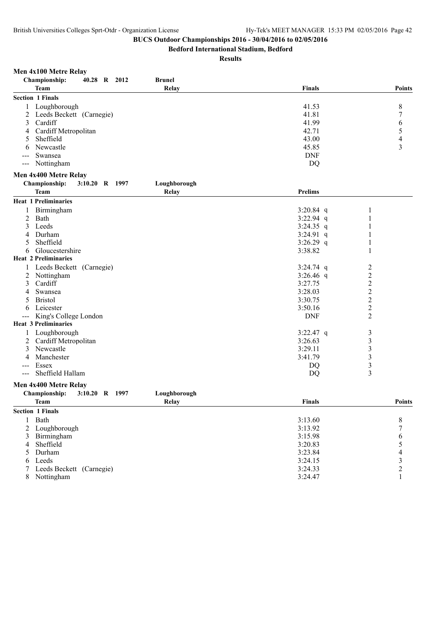**Bedford International Stadium, Bedford**

|  | Men 4x100 Metre Relay |  |
|--|-----------------------|--|
|  |                       |  |

| Championship:<br>40.28 R 2012<br><b>Brunel</b>  |                |                          |
|-------------------------------------------------|----------------|--------------------------|
| Relay<br><b>Team</b>                            | Finals         | <b>Points</b>            |
| <b>Section 1 Finals</b>                         |                |                          |
| Loughborough<br>1                               | 41.53          | 8                        |
| Leeds Beckett (Carnegie)<br>2                   | 41.81          | 7                        |
| Cardiff<br>3                                    | 41.99          | 6                        |
| Cardiff Metropolitan<br>4                       | 42.71          | $\sqrt{5}$               |
| Sheffield<br>5                                  | 43.00          | 4                        |
| Newcastle<br>6                                  | 45.85          | 3                        |
| Swansea                                         | <b>DNF</b>     |                          |
| Nottingham<br>$---$                             | DQ             |                          |
| Men 4x400 Metre Relay                           |                |                          |
| Championship:<br>Loughborough<br>3:10.20 R 1997 |                |                          |
| <b>Team</b><br><b>Relay</b>                     | <b>Prelims</b> |                          |
| <b>Heat 1 Preliminaries</b>                     |                |                          |
| Birmingham                                      | 3:20.84 $q$    | 1                        |
| 2<br>Bath                                       | 3:22.94 q      |                          |
| Leeds<br>3                                      | $3:24.35$ q    |                          |
| Durham<br>4                                     | $3:24.91$ q    |                          |
| Sheffield<br>5                                  | 3:26.29 q      |                          |
| Gloucestershire<br>6                            | 3:38.82        |                          |
| <b>Heat 2 Preliminaries</b>                     |                |                          |
| Leeds Beckett (Carnegie)                        | $3:24.74$ q    | $\overline{c}$           |
| 2<br>Nottingham                                 | $3:26.46$ q    | $\overline{c}$           |
| Cardiff<br>3                                    | 3:27.75        | $\overline{2}$           |
| Swansea                                         | 3:28.03        | $\overline{2}$           |
| <b>Bristol</b><br>5                             | 3:30.75        | $\overline{c}$           |
| Leicester<br>6                                  | 3:50.16        | $\overline{c}$           |
| King's College London<br>---                    | <b>DNF</b>     | $\overline{2}$           |
| <b>Heat 3 Preliminaries</b>                     |                |                          |
| Loughborough<br>$\perp$                         | $3:22.47$ q    | 3                        |
| Cardiff Metropolitan<br>2                       | 3:26.63        | $\mathfrak{Z}$           |
| Newcastle<br>3                                  | 3:29.11        | $\mathfrak{Z}$           |
| Manchester<br>4                                 | 3:41.79        | $\mathfrak{Z}$           |
| Essex<br>---                                    | DQ             | $\mathfrak{Z}$           |
| Sheffield Hallam<br>$\qquad \qquad - -$         | DQ             | 3                        |
| Men 4x400 Metre Relay                           |                |                          |
| Championship:<br>3:10.20 R 1997<br>Loughborough |                |                          |
| <b>Team</b><br>Relay                            | <b>Finals</b>  | <b>Points</b>            |
| <b>Section 1 Finals</b>                         |                |                          |
| Bath<br>1                                       | 3:13.60        | 8                        |
| $\overline{c}$<br>Loughborough                  | 3:13.92        | $\boldsymbol{7}$         |
| 3<br>Birmingham                                 | 3:15.98        | 6                        |
| Sheffield<br>4                                  | 3:20.83        | 5                        |
| Durham<br>5                                     | 3:23.84        | $\overline{\mathcal{L}}$ |
| Leeds<br>6                                      | 3:24.15        | $\mathfrak{Z}$           |
| Leeds Beckett (Carnegie)<br>7                   | 3:24.33        | $\overline{c}$           |
| 8<br>Nottingham                                 | 3:24.47        | $\mathbf{1}$             |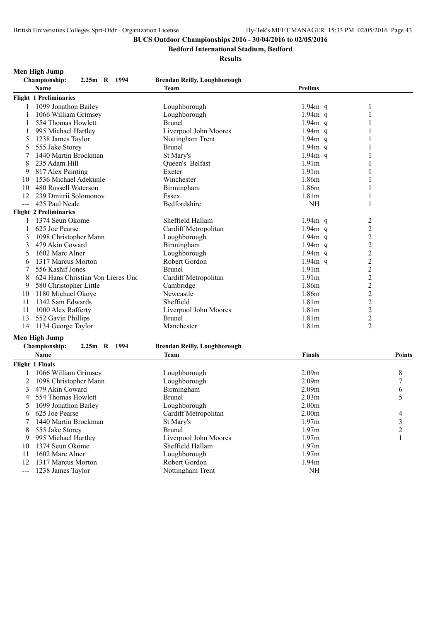**Bedford International Stadium, Bedford**

#### **Results**

**Men High Jump**

**Championship: 2.25m R 1994 Brendan Reilly, Loughborough Name Team Prelims Flight 1 Preliminaries** 1 1099 Jonathon Bailey Loughborough 1.94m q 1 1 1066 William Grimsey Loughborough 1.94m q 1 1 554 Thomas Howlett 1 995 Michael Hartley Liverpool John Moores 1.94m q 1<br>1 1 1 238 James Taylor 1.94m (1.94m q 1.94m q 1.94m q 1.94m q 1.94m q 1.94m q 1.94m q 1.94m q 1.94m q 1.94m q 5 1238 James Taylor 1.94m (1.94m q 1.955 Jake Storey 1.94m q 1.94m q 1.94m q 1.94m q 1.94m q 1.94m q 1.94m q 1.94m q 1.94m q 1.94m q 1.94m q 1.94m q 1.94m q 1.94m q 1.94m q 1.94m q 1.94m q 1.94m q 1.94m q 1.94m q 1.94m q 1 5 555 Jake Storey 7 1440 Martin Brockman St Mary's St Mary's 1.94m q 1 8 235 Adam Hill Cueen's Belfast 1.91m 1 9 817 Alex Painting 2012 Exeter 2.91 Exeter 2.91 Exeter 2.91 Exeter 2.91 M 10 1536 Michael Adekunle Winchester 1.86m 1.86m 1 10 480 Russell Waterson Birmingham 1.86m 1.86m 1.86m 1.86m 1.86m 1.86m 1.86m 1.86m 1.86m 1.86m 1.86m 1.86m 1.86m 1.81m 1.81m 1.81m 1.81m 1.81m 1.81m 1.81m 1.81m 1.81m 1.81m 1.81m 1.81m 1.81m 1.81m 1.81m 1.81m 1.81m 1.81m 1 12 239 Dmitrii Solomonov Essex 1.81m 1<br>
--- 425 Paul Neale Bedfordshire NH 1 --- 425 Paul Neale **Bedfordshire** Bedfordshire **NH Flight 2 Preliminaries** 1 1374 Seun Okome Sheffield Hallam 1.94m q 2<br>1 625 Joe Pearse Cardiff Metropolitan 1.94m q 2 1 625 Joe Pearse Cardiff Metropolitan 1.94m q 2<br>
2 1098 Christopher Mann Loughborough 1.94m q 2 3 1098 Christopher Mann Loughborough 1.94m q 2<br>3 479 Akin Coward Birmingham 1.94m q 2 3 479 Akin Coward Birmingham 1.94m q 2<br>5 1602 Marc Alner Loughborough 1.94m q 2 5 1602 Marc Alner Loughborough 1.94m q 2<br>
6 1317 Marcus Morton Robert Gordon 194m q 2 6 1317 Marcus Morton **Robert Gordon** 1.94m q 2<br>
556 Kashif Jones **Robert Gordon** 1.91m 2 7 556 Kashif Jones 8 624 Hans Christian Von Lieres Und Cardiff Metropolitan 1.91m 2 9 580 Christopher Little Cambridge 1.86m 2 10 1180 Michael Okoye Newcastle 1.86m 2 11 1342 Sam Edwards Sheffield 1.81m 2<br>11 1000 Alex Rafferty Liverpool John Moores 1.81m 2 11 1000 Alex Rafferty 1.81m 2<br>13 552 Gavin Phillips Brunel Brunel 1.81m 2 13 552 Gavin Phillips **1.81m** 2<br>14 1134 George Taylor **1.81m** 2 Manchester 1.81m 2 14 1134 George Taylor **Manchester** 1.81m

### **Men High Jump**

#### **Championship: 2.25m R 1994 Brendan Reilly, Loughborough**

|    | Flight 1 Finals       |                       |                   |   |  |
|----|-----------------------|-----------------------|-------------------|---|--|
|    | 1066 William Grimsey  | Loughborough          | 2.09m             | 8 |  |
|    | 1098 Christopher Mann | Loughborough          | 2.09 <sub>m</sub> |   |  |
|    | 479 Akin Coward       | Birmingham            | 2.09m             | 6 |  |
|    | 554 Thomas Howlett    | <b>Brunel</b>         | 2.03 <sub>m</sub> |   |  |
|    | 1099 Jonathon Bailey  | Loughborough          | 2.00 <sub>m</sub> |   |  |
| 6. | 625 Joe Pearse        | Cardiff Metropolitan  | 2.00 <sub>m</sub> | 4 |  |
|    | 1440 Martin Brockman  | St Mary's             | 1.97m             | 3 |  |
| 8  | 555 Jake Storey       | <b>Brunel</b>         | 1.97m             |   |  |
| 9  | 995 Michael Hartley   | Liverpool John Moores | 1.97m             |   |  |
| 10 | 1374 Seun Okome       | Sheffield Hallam      | 1.97m             |   |  |
| 11 | 1602 Marc Alner       | Loughborough          | 1.97m             |   |  |
|    | 1317 Marcus Morton    | Robert Gordon         | 1.94m             |   |  |
|    | 1238 James Taylor     | Nottingham Trent      | NΗ                |   |  |

**Name Team Finals Points**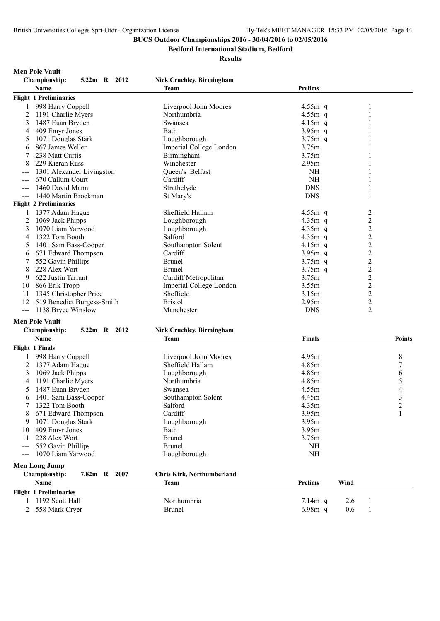**Bedford International Stadium, Bedford**

|                     | <b>Championship:</b><br>5.22m R 2012 | <b>Nick Cruchley, Birmingham</b>  |                |                         |                         |
|---------------------|--------------------------------------|-----------------------------------|----------------|-------------------------|-------------------------|
|                     | Name                                 | Team                              | <b>Prelims</b> |                         |                         |
|                     | <b>Flight 1 Preliminaries</b>        |                                   |                |                         |                         |
| 1                   | 998 Harry Coppell                    | Liverpool John Moores             | $4.55m$ q      | 1                       |                         |
| 2                   | 1191 Charlie Myers                   | Northumbria                       | $4.55m$ q      |                         |                         |
| 3                   | 1487 Euan Bryden                     | Swansea                           | $4.15m$ q      | 1                       |                         |
| 4                   | 409 Emyr Jones                       | Bath                              | $3.95m$ q      |                         |                         |
| 5                   | 1071 Douglas Stark                   | Loughborough                      | $3.75m$ q      |                         |                         |
| 6                   | 867 James Weller                     | Imperial College London           | 3.75m          |                         |                         |
| 7                   | 238 Matt Curtis                      | Birmingham                        | 3.75m          |                         |                         |
|                     |                                      |                                   |                |                         |                         |
|                     | 229 Kieran Russ                      | Winchester                        | 2.95m          |                         |                         |
| ---                 | 1301 Alexander Livingston            | Queen's Belfast                   | <b>NH</b>      | 1                       |                         |
|                     | 670 Callum Court                     | Cardiff                           | <b>NH</b>      |                         |                         |
|                     | 1460 David Mann                      | Strathclyde                       | <b>DNS</b>     |                         |                         |
|                     | 1440 Martin Brockman                 | St Mary's                         | <b>DNS</b>     | 1                       |                         |
|                     | <b>Flight 2 Preliminaries</b>        |                                   |                |                         |                         |
|                     | 1377 Adam Hague                      | Sheffield Hallam                  | 4.55 $m$ q     | $\overline{\mathbf{c}}$ |                         |
| 2                   | 1069 Jack Phipps                     | Loughborough                      | $4.35m$ q      | $\overline{c}$          |                         |
| 3                   | 1070 Liam Yarwood                    | Loughborough                      | $4.35m$ q      | $\overline{c}$          |                         |
| 4                   | 1322 Tom Booth                       | Salford                           | $4.35m$ q      | $\overline{c}$          |                         |
| 5                   | 1401 Sam Bass-Cooper                 | Southampton Solent                | 4.15 $m$ q     | $\overline{c}$          |                         |
| 6                   | 671 Edward Thompson                  | Cardiff                           | $3.95m$ q      | $\overline{c}$          |                         |
| 7                   | 552 Gavin Phillips                   | <b>Brunel</b>                     | $3.75m$ q      | $\overline{c}$          |                         |
| 8                   | 228 Alex Wort                        | <b>Brunel</b>                     | $3.75m$ q      | $\overline{c}$          |                         |
| 9                   | 622 Justin Tarrant                   | Cardiff Metropolitan              | 3.75m          | $\overline{c}$          |                         |
| 10                  | 866 Erik Tropp                       | Imperial College London           | 3.55m          | $\overline{c}$          |                         |
|                     |                                      | Sheffield                         | 3.15m          | $\overline{c}$          |                         |
| 11                  | 1345 Christopher Price               |                                   |                |                         |                         |
| 12                  | 519 Benedict Burgess-Smith           | <b>Bristol</b>                    | 2.95m          | $\overline{c}$          |                         |
| $\qquad \qquad - -$ | 1138 Bryce Winslow                   | Manchester                        | <b>DNS</b>     | $\overline{2}$          |                         |
|                     | <b>Men Pole Vault</b>                |                                   |                |                         |                         |
|                     | Championship:<br>5.22m R 2012        | <b>Nick Cruchley, Birmingham</b>  |                |                         |                         |
|                     | <b>Name</b>                          | Team                              | Finals         |                         | <b>Points</b>           |
|                     | Flight 1 Finals                      |                                   |                |                         |                         |
|                     |                                      | Liverpool John Moores             | 4.95m          |                         | 8                       |
|                     | 998 Harry Coppell                    |                                   |                |                         |                         |
| 2                   | 1377 Adam Hague                      | Sheffield Hallam                  | 4.85m          |                         | $\boldsymbol{7}$        |
| 3                   | 1069 Jack Phipps                     | Loughborough                      | 4.85m          |                         | 6                       |
| 4                   | 1191 Charlie Myers                   | Northumbria                       | 4.85m          |                         | 5                       |
| 5                   | 1487 Euan Bryden                     | Swansea                           | 4.55m          |                         | $\overline{4}$          |
| 6                   | 1401 Sam Bass-Cooper                 | Southampton Solent                | 4.45m          |                         | $\overline{\mathbf{3}}$ |
| 7                   | 1322 Tom Booth                       | Salford                           | 4.35m          |                         | $\overline{2}$          |
|                     | 671 Edward Thompson                  | Cardiff                           | 3.95m          |                         | 1                       |
| 9                   | 1071 Douglas Stark                   | Loughborough                      | 3.95m          |                         |                         |
| 10                  | 409 Emyr Jones                       | Bath                              | 3.95m          |                         |                         |
| 11                  | 228 Alex Wort                        | <b>Brunel</b>                     | 3.75m          |                         |                         |
| $---$               | 552 Gavin Phillips                   | <b>Brunel</b>                     | NH             |                         |                         |
|                     | 1070 Liam Yarwood                    | Loughborough                      | $\rm NH$       |                         |                         |
|                     |                                      |                                   |                |                         |                         |
|                     | <b>Men Long Jump</b>                 |                                   |                |                         |                         |
|                     | Championship:<br>7.82m R 2007        | <b>Chris Kirk, Northumberland</b> |                |                         |                         |
|                     | Name                                 | Team                              | Prelims        | Wind                    |                         |
|                     | <b>Flight 1 Preliminaries</b>        |                                   |                |                         |                         |
| 1                   | 1192 Scott Hall                      | Northumbria                       | 7.14m q        | 2.6<br>1                |                         |
|                     | 2 558 Mark Cryer                     | <b>Brunel</b>                     | 6.98m q        | 0.6<br>1                |                         |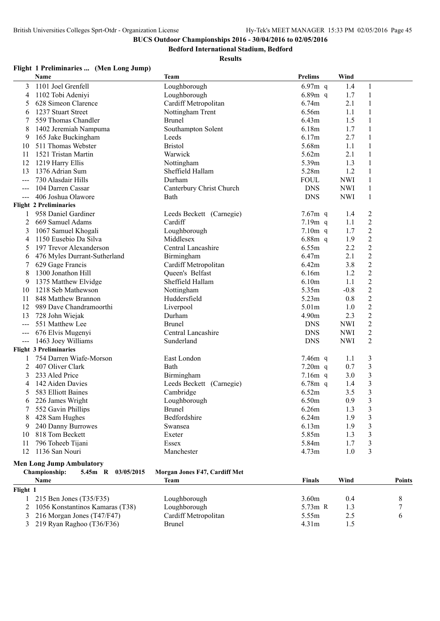**Bedford International Stadium, Bedford**

#### **Results**

### **Flight 1 Preliminaries ... (Men Long Jump)**

|                     | Name                                | <b>Team</b>                   | <b>Prelims</b> | Wind       |                  |               |
|---------------------|-------------------------------------|-------------------------------|----------------|------------|------------------|---------------|
| 3                   | 1101 Joel Grenfell                  | Loughborough                  | 6.97 $m$ q     | 1.4        | 1                |               |
| 4                   | 1102 Tobi Adeniyi                   | Loughborough                  | 6.89 $m$ q     | 1.7        | 1                |               |
| 5                   | 628 Simeon Clarence                 | Cardiff Metropolitan          | 6.74m          | 2.1        | 1                |               |
| 6                   | 1237 Stuart Street                  | Nottingham Trent              | 6.56m          | 1.1        | $\mathbf{1}$     |               |
| 7                   | 559 Thomas Chandler                 | <b>Brunel</b>                 | 6.43m          | 1.5        | 1                |               |
| 8                   | 1402 Jeremiah Nampuma               | Southampton Solent            | 6.18m          | 1.7        | $\mathbf{1}$     |               |
| 9                   | 165 Jake Buckingham                 | Leeds                         | 6.17m          | 2.7        | $\mathbf{1}$     |               |
| 10                  | 511 Thomas Webster                  | <b>Bristol</b>                | 5.68m          | 1.1        | $\mathbf{1}$     |               |
| 11                  | 1521 Tristan Martin                 | Warwick                       | 5.62m          | 2.1        | 1                |               |
| 12                  | 1219 Harry Ellis                    | Nottingham                    | 5.39m          | 1.3        | $\mathbf{1}$     |               |
| 13                  | 1376 Adrian Sum                     | Sheffield Hallam              | 5.28m          | 1.2        | 1                |               |
| ---                 | 730 Alasdair Hills                  | Durham                        | <b>FOUL</b>    | <b>NWI</b> | 1                |               |
| $---$               | 104 Darren Cassar                   | Canterbury Christ Church      | <b>DNS</b>     | <b>NWI</b> | $\mathbf{1}$     |               |
|                     | 406 Joshua Olawore                  | Bath                          | <b>DNS</b>     | <b>NWI</b> | 1                |               |
|                     | <b>Flight 2 Preliminaries</b>       |                               |                |            |                  |               |
|                     | 958 Daniel Gardiner                 |                               |                |            |                  |               |
|                     |                                     | Leeds Beckett (Carnegie)      | $7.67m$ q      | 1.4        | $\overline{2}$   |               |
| 2                   | 669 Samuel Adams                    | Cardiff                       | 7.19m q        | 1.1        | $\sqrt{2}$       |               |
| 3                   | 1067 Samuel Khogali                 | Loughborough                  | $7.10m$ q      | 1.7        | $\boldsymbol{2}$ |               |
| 4                   | 1150 Eusebio Da Silva               | Middlesex                     | $6.88m$ q      | 1.9        | $\overline{c}$   |               |
| 5                   | 197 Trevor Alexanderson             | Central Lancashire            | 6.55m          | 2.2        | $\overline{c}$   |               |
| 6                   | 476 Myles Durrant-Sutherland        | Birmingham                    | 6.47m          | 2.1        | $\overline{c}$   |               |
| 7                   | 629 Gage Francis                    | Cardiff Metropolitan          | 6.42m          | 3.8        | $\overline{2}$   |               |
| 8                   | 1300 Jonathon Hill                  | Oueen's Belfast               | 6.16m          | 1.2        | $\sqrt{2}$       |               |
| 9                   | 1375 Matthew Elvidge                | Sheffield Hallam              | 6.10m          | 1.1        | $\overline{2}$   |               |
| 10                  | 1218 Seb Mathewson                  | Nottingham                    | 5.35m          | $-0.8$     | $\mathfrak{2}$   |               |
| 11                  | 848 Matthew Brannon                 | Huddersfield                  | 5.23m          | 0.8        | $\overline{c}$   |               |
| 12                  | 989 Dave Chandramoorthi             | Liverpool                     | 5.01m          | 1.0        | $\overline{2}$   |               |
| 13                  | 728 John Wiejak                     | Durham                        | 4.90m          | 2.3        | $\overline{2}$   |               |
|                     | 551 Matthew Lee                     | <b>Brunel</b>                 | <b>DNS</b>     | <b>NWI</b> | $\overline{2}$   |               |
|                     | 676 Elvis Mugenyi                   | Central Lancashire            | <b>DNS</b>     | <b>NWI</b> | $\overline{2}$   |               |
| $\qquad \qquad - -$ | 1463 Joey Williams                  | Sunderland                    | <b>DNS</b>     | <b>NWI</b> | 2                |               |
|                     | <b>Flight 3 Preliminaries</b>       |                               |                |            |                  |               |
| 1                   | 754 Darren Wiafe-Morson             | East London                   | 7.46m q        | 1.1        | $\mathfrak{Z}$   |               |
| 2                   | 407 Oliver Clark                    | Bath                          | $7.20m$ q      | 0.7        | 3                |               |
| 3                   | 233 Aled Price                      | Birmingham                    | $7.16m$ q      | 3.0        | $\mathfrak{Z}$   |               |
| 4                   | 142 Aiden Davies                    | Leeds Beckett (Carnegie)      | $6.78m$ q      | 1.4        | 3                |               |
| 5                   | 583 Elliott Baines                  | Cambridge                     | 6.52m          | 3.5        | 3                |               |
| 6                   | 226 James Wright                    | Loughborough                  | 6.50m          | 0.9        | 3                |               |
|                     | 552 Gavin Phillips                  | Brunel                        | 6.26m          | 1.3        | 3                |               |
| 8                   | 428 Sam Hughes                      | Bedfordshire                  | 6.24m          | 1.9        | 3                |               |
| 9                   | 240 Danny Burrowes                  | Swansea                       | 6.13m          | 1.9        | $\mathfrak{Z}$   |               |
| 10                  | 818 Tom Beckett                     | Exeter                        | 5.85m          | 1.3        | 3                |               |
| 11                  | 796 Toheeb Tijani                   | Essex                         | 5.84m          | 1.7        | $\mathfrak{Z}$   |               |
| 12                  | 1136 San Nouri                      | Manchester                    | 4.73m          | 1.0        | 3                |               |
|                     | <b>Men Long Jump Ambulatory</b>     |                               |                |            |                  |               |
|                     | Championship:<br>5.45m R 03/05/2015 | Morgan Jones F47, Cardiff Met |                |            |                  |               |
|                     | Name                                | <b>Team</b>                   | <b>Finals</b>  | Wind       |                  | <b>Points</b> |
| Flight 1            |                                     |                               |                |            |                  |               |
| 1                   | 215 Ben Jones (T35/F35)             | Loughborough                  | 3.60m          | 0.4        |                  | 8             |
| 2                   | 1056 Konstantinos Kamaras (T38)     | Loughborough                  | 5.73m R        | 1.3        |                  | 7             |
| 3                   | 216 Morgan Jones (T47/F47)          | Cardiff Metropolitan          | 5.55m          | 2.5        |                  | 6             |

219 Ryan Raghoo (T36/F36) Brunel 4.31m 1.5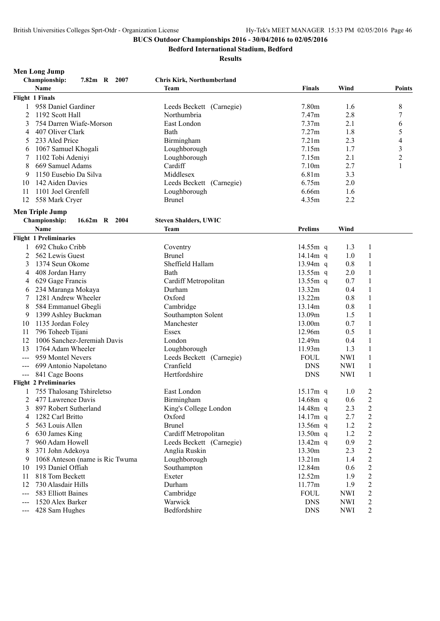**Men Long Jump**

# **BUCS Outdoor Championships 2016 - 30/04/2016 to 02/05/2016**

**Bedford International Stadium, Bedford**

|    | Championship:<br>7.82m R 2007   | Chris Kirk, Northumberland   |                |            |                |                          |
|----|---------------------------------|------------------------------|----------------|------------|----------------|--------------------------|
|    | Name                            | <b>Team</b>                  | <b>Finals</b>  | Wind       |                | Points                   |
|    | Flight 1 Finals                 |                              |                |            |                |                          |
| 1  | 958 Daniel Gardiner             | Leeds Beckett (Carnegie)     | 7.80m          | 1.6        |                | 8                        |
| 2  | 1192 Scott Hall                 | Northumbria                  | 7.47m          | 2.8        |                | 7                        |
| 3  | 754 Darren Wiafe-Morson         | East London                  | 7.37m          | 2.1        |                | 6                        |
| 4  | 407 Oliver Clark                | Bath                         | 7.27m          | 1.8        |                | 5                        |
| 5  | 233 Aled Price                  | Birmingham                   | 7.21m          | 2.3        |                | $\overline{\mathcal{L}}$ |
| 6  | 1067 Samuel Khogali             | Loughborough                 | 7.15m          | 1.7        |                | $\overline{\mathbf{3}}$  |
| 7  | 1102 Tobi Adeniyi               | Loughborough                 | 7.15m          | 2.1        |                | $\overline{2}$           |
| 8  | 669 Samuel Adams                | Cardiff                      | 7.10m          | 2.7        |                | $\mathbf{1}$             |
| 9  | 1150 Eusebio Da Silva           | Middlesex                    | 6.81m          | 3.3        |                |                          |
| 10 | 142 Aiden Davies                | Leeds Beckett (Carnegie)     | 6.75m          | 2.0        |                |                          |
| 11 | 1101 Joel Grenfell              | Loughborough                 | 6.66m          | 1.6        |                |                          |
| 12 | 558 Mark Cryer                  | <b>Brunel</b>                | 4.35m          | 2.2        |                |                          |
|    | <b>Men Triple Jump</b>          |                              |                |            |                |                          |
|    | Championship:<br>16.62m R 2004  | <b>Steven Shalders, UWIC</b> |                |            |                |                          |
|    | Name                            | <b>Team</b>                  | <b>Prelims</b> | Wind       |                |                          |
|    | <b>Flight 1 Preliminaries</b>   |                              |                |            |                |                          |
| 1  | 692 Chuko Cribb                 | Coventry                     | 14.55m q       | 1.3        | 1              |                          |
| 2  | 562 Lewis Guest                 | <b>Brunel</b>                | 14.14 $m$ q    | 1.0        | 1              |                          |
| 3  | 1374 Seun Okome                 | Sheffield Hallam             | $13.94m$ q     | 0.8        | 1              |                          |
| 4  | 408 Jordan Harry                | Bath                         | $13.55m$ q     | 2.0        | 1              |                          |
| 4  | 629 Gage Francis                | Cardiff Metropolitan         | $13.55m$ q     | 0.7        | 1              |                          |
| 6  | 234 Maranga Mokaya              | Durham                       | 13.32m         | 0.4        | 1              |                          |
| 7  | 1281 Andrew Wheeler             | Oxford                       | 13.22m         | 0.8        | $\mathbf{1}$   |                          |
| 8  | 584 Emmanuel Gbegli             | Cambridge                    | 13.14m         | 0.8        | 1              |                          |
| 9  | 1399 Ashley Buckman             | Southampton Solent           | 13.09m         | 1.5        | 1              |                          |
| 10 | 1135 Jordan Foley               | Manchester                   | 13.00m         | 0.7        | 1              |                          |
| 11 | 796 Toheeb Tijani               | Essex                        | 12.96m         | 0.5        | 1              |                          |
| 12 | 1006 Sanchez-Jeremiah Davis     | London                       | 12.49m         | 0.4        | 1              |                          |
| 13 | 1764 Adam Wheeler               | Loughborough                 | 11.93m         | 1.3        | $\mathbf{1}$   |                          |
|    | 959 Montel Nevers               | Leeds Beckett (Carnegie)     | <b>FOUL</b>    | <b>NWI</b> | $\mathbf{1}$   |                          |
|    | 699 Antonio Napoletano          | Cranfield                    | <b>DNS</b>     | <b>NWI</b> | 1              |                          |
|    | 841 Cage Boons                  | Hertfordshire                | <b>DNS</b>     | <b>NWI</b> | $\mathbf{1}$   |                          |
|    | <b>Flight 2 Preliminaries</b>   |                              |                |            |                |                          |
| 1  | 755 Thalosang Tshireletso       | East London                  | $15.17m$ q     | 1.0        | $\overline{c}$ |                          |
| 2  | 477 Lawrence Davis              | Birmingham                   | 14.68m q       | 0.6        | $\overline{2}$ |                          |
|    | 3 897 Robert Sutherland         | King's College London        | 14.48 $m$ q    | 2.3        | $\overline{c}$ |                          |
| 4  | 1282 Carl Britto                | Oxford                       | 14.17m q       | 2.7        | $\overline{c}$ |                          |
| 5  | 563 Louis Allen                 | <b>Brunel</b>                | 13.56m q       | 1.2        | 2              |                          |
| 6  | 630 James King                  | Cardiff Metropolitan         | $13.50m$ q     | 1.2        | $\overline{c}$ |                          |
|    | 960 Adam Howell                 | Leeds Beckett (Carnegie)     | $13.42m$ q     | 0.9        | $\overline{c}$ |                          |
| 8  | 371 John Adekoya                | Anglia Ruskin                | 13.30m         | 2.3        | $\overline{c}$ |                          |
| 9  | 1068 Anteson (name is Ric Twuma | Loughborough                 | 13.21m         | 1.4        | $\overline{2}$ |                          |
| 10 | 193 Daniel Offiah               | Southampton                  | 12.84m         | 0.6        | $\overline{c}$ |                          |
| 11 | 818 Tom Beckett                 | Exeter                       | 12.52m         | 1.9        | $\overline{2}$ |                          |
| 12 | 730 Alasdair Hills              | Durham                       | 11.77m         | 1.9        | $\overline{2}$ |                          |
|    | 583 Elliott Baines              | Cambridge                    | <b>FOUL</b>    | <b>NWI</b> | $\overline{c}$ |                          |
|    | 1520 Alex Barker                | Warwick                      | <b>DNS</b>     | <b>NWI</b> | $\overline{c}$ |                          |
|    | 428 Sam Hughes                  | Bedfordshire                 | <b>DNS</b>     | <b>NWI</b> | $\overline{c}$ |                          |
|    |                                 |                              |                |            |                |                          |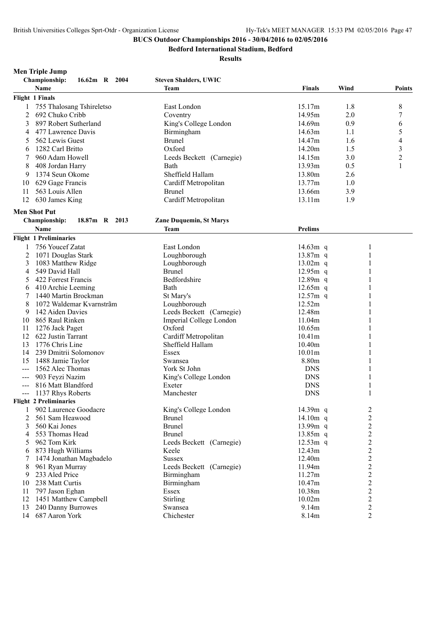**Bedford International Stadium, Bedford**

#### **Results**

|       | <b>Men Triple Jump</b><br>Championship:<br>16.62m R 2004 | <b>Steven Shalders, UWIC</b>   |                |                  |                  |
|-------|----------------------------------------------------------|--------------------------------|----------------|------------------|------------------|
|       | <b>Name</b>                                              | Team                           | Finals         | Wind             | <b>Points</b>    |
|       | <b>Flight 1 Finals</b>                                   |                                |                |                  |                  |
|       |                                                          |                                |                |                  |                  |
| 1     | 755 Thalosang Tshireletso                                | East London                    | 15.17m         | 1.8              | 8                |
| 2     | 692 Chuko Cribb                                          | Coventry                       | 14.95m         | 2.0              | 7                |
| 3     | 897 Robert Sutherland                                    | King's College London          | 14.69m         | 0.9              | 6                |
| 4     | 477 Lawrence Davis                                       | Birmingham                     | 14.63m         | 1.1              | 5                |
| 5     | 562 Lewis Guest                                          | <b>Brunel</b>                  | 14.47m         | 1.6              | 4                |
| 6     | 1282 Carl Britto                                         | Oxford                         | 14.20m         | 1.5              | 3                |
| 7     | 960 Adam Howell                                          | Leeds Beckett (Carnegie)       | 14.15m         | 3.0              | $\boldsymbol{2}$ |
| 8     | 408 Jordan Harry                                         | Bath                           | 13.93m         | 0.5              | $\mathbf{1}$     |
| 9     | 1374 Seun Okome                                          | Sheffield Hallam               | 13.80m         | 2.6              |                  |
| 10    | 629 Gage Francis                                         | Cardiff Metropolitan           | 13.77m         | 1.0              |                  |
| 11    | 563 Louis Allen                                          | <b>Brunel</b>                  | 13.66m         | 3.9              |                  |
| 12    | 630 James King                                           | Cardiff Metropolitan           | 13.11m         | 1.9              |                  |
|       | <b>Men Shot Put</b>                                      |                                |                |                  |                  |
|       | <b>Championship:</b><br>18.87m R 2013                    | <b>Zane Duquemin, St Marys</b> |                |                  |                  |
|       | Name                                                     | <b>Team</b>                    | <b>Prelims</b> |                  |                  |
|       | <b>Flight 1 Preliminaries</b>                            |                                |                |                  |                  |
|       | 756 Youcef Zatat                                         | East London                    | 14.63 $m$ q    |                  |                  |
| 2     | 1071 Douglas Stark                                       | Loughborough                   | 13.87m q       |                  |                  |
| 3     | 1083 Matthew Ridge                                       | Loughborough                   | $13.02m$ q     |                  |                  |
| 4     | 549 David Hall                                           | <b>Brunel</b>                  | $12.95m$ q     |                  |                  |
| 5     | 422 Forrest Francis                                      | Bedfordshire                   | 12.89m q       |                  |                  |
| 6     | 410 Archie Leeming                                       | Bath                           | $12.65m$ q     |                  |                  |
| 7     | 1440 Martin Brockman                                     | St Mary's                      | $12.57m$ q     |                  |                  |
| 8     | 1072 Waldemar Kvarnstrãm                                 | Loughborough                   | 12.52m         |                  |                  |
| 9     | 142 Aiden Davies                                         | Leeds Beckett (Carnegie)       | 12.48m         |                  |                  |
| 10    | 865 Raul Rinken                                          | Imperial College London        | 11.04m         |                  |                  |
| 11    | 1276 Jack Paget                                          | Oxford                         | 10.65m         |                  |                  |
| 12    | 622 Justin Tarrant                                       | Cardiff Metropolitan           | 10.41m         |                  |                  |
| 13    | 1776 Chris Line                                          | Sheffield Hallam               | 10.40m         |                  |                  |
| 14    | 239 Dmitrii Solomonov                                    | Essex                          | 10.01m         |                  |                  |
| 15    | 1488 Jamie Taylor                                        | Swansea                        | 8.80m          |                  |                  |
| $--$  | 1562 Alec Thomas                                         | York St John                   | <b>DNS</b>     |                  |                  |
| $--$  | 903 Feyzi Nazim                                          | King's College London          | <b>DNS</b>     |                  |                  |
| $---$ | 816 Matt Blandford                                       | Exeter                         | <b>DNS</b>     |                  |                  |
| $---$ | 1137 Rhys Roberts                                        | Manchester                     | <b>DNS</b>     |                  |                  |
|       | <b>Flight 2 Preliminaries</b>                            |                                |                |                  |                  |
|       | 902 Laurence Goodacre                                    | King's College London          | 14.39m q       | $\overline{c}$   |                  |
| 2     | 561 Sam Heawood                                          | <b>Brunel</b>                  | 14.10 $m$ q    | $\sqrt{2}$       |                  |
| 3     | 560 Kai Jones                                            | <b>Brunel</b>                  | 13.99m q       | $\overline{2}$   |                  |
| 4     | 553 Thomas Head                                          | <b>Brunel</b>                  | $13.85m$ q     | $\overline{2}$   |                  |
| 5     | 962 Tom Kirk                                             | Leeds Beckett (Carnegie)       | $12.53m$ q     | $\sqrt{2}$       |                  |
| 6     | 873 Hugh Williams                                        | Keele                          | 12.43m         | $\overline{2}$   |                  |
| 7     | 1474 Jonathan Magbadelo                                  | <b>Sussex</b>                  | 12.40m         | $\overline{2}$   |                  |
| 8     | 961 Ryan Murray                                          | Leeds Beckett (Carnegie)       | 11.94m         | $\boldsymbol{2}$ |                  |
| 9     | 233 Aled Price                                           | Birmingham                     | 11.27m         | $\overline{2}$   |                  |
| 10    | 238 Matt Curtis                                          | Birmingham                     | 10.47m         | $\overline{2}$   |                  |
| 11    | 797 Jason Eghan                                          | Essex                          | 10.38m         | $\sqrt{2}$       |                  |
| 12    | 1451 Matthew Campbell                                    | Stirling                       | 10.02m         | $\overline{c}$   |                  |
| 13    | 240 Danny Burrowes                                       | Swansea                        | 9.14m          | $\overline{2}$   |                  |
|       |                                                          |                                |                |                  |                  |

687 Aaron York Chichester 8.14m 2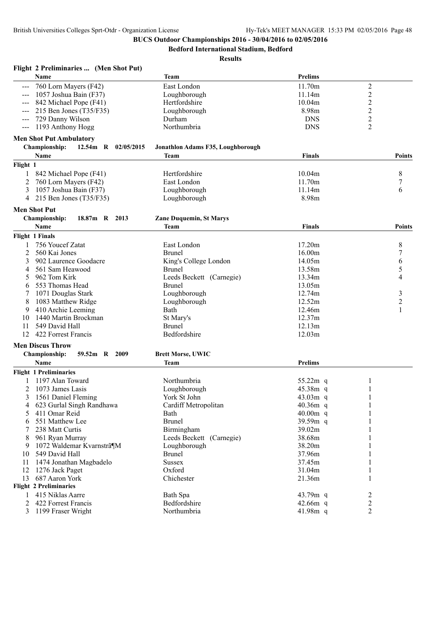**Bedford International Stadium, Bedford**

|                               | Flight 2 Preliminaries  (Men Shot Put) |                                   |                |                  |                |
|-------------------------------|----------------------------------------|-----------------------------------|----------------|------------------|----------------|
| Name                          |                                        | Team                              | <b>Prelims</b> |                  |                |
|                               | 760 Lorn Mayers (F42)                  | East London                       | 11.70m         | $\mathfrak{2}$   |                |
|                               | 1057 Joshua Bain (F37)                 | Loughborough                      | 11.14m         | $\boldsymbol{2}$ |                |
|                               | 842 Michael Pope (F41)                 | Hertfordshire                     | 10.04m         | $\overline{c}$   |                |
|                               | 215 Ben Jones (T35/F35)                | Loughborough                      | 8.98m          | $\overline{c}$   |                |
|                               | 729 Danny Wilson                       | Durham                            | <b>DNS</b>     | $\overline{c}$   |                |
| $\qquad \qquad - -$           | 1193 Anthony Hogg                      | Northumbria                       | <b>DNS</b>     | $\overline{2}$   |                |
|                               | <b>Men Shot Put Ambulatory</b>         |                                   |                |                  |                |
|                               | Championship:<br>12.54m R 02/05/2015   | Jonathlon Adams F35, Loughborough |                |                  |                |
| Name                          |                                        | <b>Team</b>                       | <b>Finals</b>  |                  | <b>Points</b>  |
| Flight 1                      |                                        |                                   |                |                  |                |
|                               | 842 Michael Pope (F41)                 | Hertfordshire                     | 10.04m         |                  | 8              |
| 2                             |                                        |                                   | 11.70m         |                  |                |
|                               | 760 Lorn Mayers (F42)                  | East London<br>Loughborough       | 11.14m         |                  | $\tau$<br>6    |
| 3                             | 1057 Joshua Bain (F37)                 |                                   | 8.98m          |                  |                |
| 4                             | 215 Ben Jones $(T35/F35)$              | Loughborough                      |                |                  |                |
| <b>Men Shot Put</b>           |                                        |                                   |                |                  |                |
| Championship:                 | 18.87m R 2013                          | <b>Zane Duquemin, St Marys</b>    |                |                  |                |
| Name                          |                                        | <b>Team</b>                       | <b>Finals</b>  |                  | <b>Points</b>  |
| <b>Flight 1 Finals</b>        |                                        |                                   |                |                  |                |
|                               | 756 Youcef Zatat                       | East London                       | 17.20m         |                  | 8              |
| 2                             | 560 Kai Jones                          | <b>Brunel</b>                     | 16.00m         |                  | 7              |
| 3                             | 902 Laurence Goodacre                  | King's College London             | 14.05m         |                  | 6              |
| 4                             | 561 Sam Heawood                        | <b>Brunel</b>                     | 13.58m         |                  | 5              |
| 5                             | 962 Tom Kirk                           | Leeds Beckett (Carnegie)          | 13.34m         |                  | 4              |
| 6                             | 553 Thomas Head                        | <b>Brunel</b>                     | 13.05m         |                  |                |
| 7                             | 1071 Douglas Stark                     | Loughborough                      | 12.74m         |                  | $\mathfrak{Z}$ |
| 8                             | 1083 Matthew Ridge                     | Loughborough                      | 12.52m         |                  | $\overline{c}$ |
| 9                             | 410 Archie Leeming                     | Bath                              | 12.46m         |                  | 1              |
| 10                            | 1440 Martin Brockman                   | St Mary's                         | 12.37m         |                  |                |
| 11                            | 549 David Hall                         | <b>Brunel</b>                     | 12.13m         |                  |                |
| 12                            | 422 Forrest Francis                    | Bedfordshire                      | 12.03m         |                  |                |
| <b>Men Discus Throw</b>       |                                        |                                   |                |                  |                |
|                               | Championship:<br>59.52m R<br>2009      | <b>Brett Morse, UWIC</b>          |                |                  |                |
| <b>Name</b>                   |                                        | <b>Team</b>                       | <b>Prelims</b> |                  |                |
|                               |                                        |                                   |                |                  |                |
| <b>Flight 1 Preliminaries</b> |                                        |                                   |                |                  |                |
|                               | 1197 Alan Toward                       | Northumbria                       | 55.22m q       | 1                |                |
| 2                             | 1073 James Lasis                       | Loughborough                      | 45.38m q       | 1                |                |
| 3                             | 1561 Daniel Fleming                    | York St John                      | $43.03m$ q     |                  |                |
| 4                             | 623 Gurlal Singh Randhawa              | Cardiff Metropolitan              | 40.36m q       |                  |                |
| 5                             | 411 Omar Reid                          | Bath                              | $40.00m$ q     |                  |                |
| 6                             | 551 Matthew Lee                        | <b>Brunel</b>                     | 39.59m q       |                  |                |
| 7                             | 238 Matt Curtis                        | Birmingham                        | 39.02m         |                  |                |
| 8                             | 961 Ryan Murray                        | Leeds Beckett (Carnegie)          | 38.68m         |                  |                |
| 9                             | 1072 Waldemar Kvarnstrã¶M              | Loughborough                      | 38.20m         |                  |                |
| 10                            | 549 David Hall                         | <b>Brunel</b>                     | 37.96m         |                  |                |
| 11                            | 1474 Jonathan Magbadelo                | <b>Sussex</b>                     | 37.45m         |                  |                |
| 12                            | 1276 Jack Paget                        | Oxford                            | 31.04m         | 1                |                |
| 13                            | 687 Aaron York                         | Chichester                        | 21.36m         |                  |                |
| <b>Flight 2 Preliminaries</b> |                                        |                                   |                |                  |                |
| 1                             | 415 Niklas Aarre                       | Bath Spa                          | 43.79m q       | 2                |                |
| 2                             | 422 Forrest Francis                    | Bedfordshire                      | $42.66m$ q     | 2                |                |
|                               | 3 1199 Fraser Wright                   | Northumbria                       | 41.98m q       | 2                |                |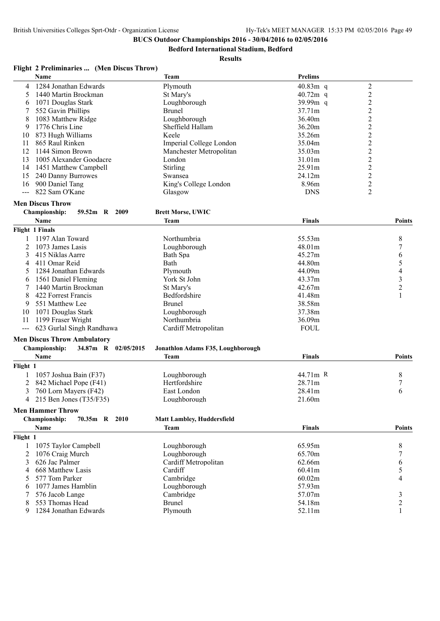**Bedford International Stadium, Bedford**

#### **Results**

## **Flight 2 Preliminaries ... (Men Discus Throw)**

|     | <b>Name</b>             | <b>Team</b>             | <b>Prelims</b> |   |
|-----|-------------------------|-------------------------|----------------|---|
| 4   | 1284 Jonathan Edwards   | Plymouth                | $40.83m$ q     |   |
|     | 1440 Martin Brockman    | St Mary's               | $40.72m$ q     |   |
| 6   | 1071 Douglas Stark      | Loughborough            | $39.99m$ q     |   |
|     | 552 Gavin Phillips      | <b>Brunel</b>           | 37.71m         |   |
| 8   | 1083 Matthew Ridge      | Loughborough            | 36.40m         |   |
| 9   | 1776 Chris Line         | Sheffield Hallam        | 36.20m         |   |
| 10  | 873 Hugh Williams       | Keele                   | 35.26m         |   |
| 11  | 865 Raul Rinken         | Imperial College London | 35.04m         |   |
| 12  | 1144 Simon Brown        | Manchester Metropolitan | 35.03m         | ↑ |
| 13  | 1005 Alexander Goodacre | London.                 | 31.01m         | ↑ |
| 14  | 1451 Matthew Campbell   | <b>Stirling</b>         | 25.91m         | ↑ |
| 15. | 240 Danny Burrowes      | Swansea                 | 24.12m         | 2 |
| 16  | 900 Daniel Tang         | King's College London   | 8.96m          | ↑ |
|     | 822 Sam O'Kane          | Glasgow                 | <b>DNS</b>     |   |
|     |                         |                         |                |   |

# **Men Discus Throw**

| ampionship: | 59.52m R | 2009 | <b>Brett Morse, UWIC</b> |
|-------------|----------|------|--------------------------|
| <b>Name</b> |          |      | Team                     |

|    | Name                      | Team                 | <b>Finals</b> | Points |
|----|---------------------------|----------------------|---------------|--------|
|    | <b>Flight 1 Finals</b>    |                      |               |        |
|    | 1197 Alan Toward          | <b>Northumbria</b>   | 55.53m        | 8      |
|    | 2 1073 James Lasis        | Loughborough         | 48.01m        |        |
|    | 415 Niklas Aarre          | Bath Spa             | 45.27m        | 6      |
|    | 4 411 Omar Reid           | Bath                 | 44.80m        |        |
|    | 1284 Jonathan Edwards     | Plymouth             | 44.09m        | 4      |
| 6  | 1561 Daniel Fleming       | York St John         | 43.37m        |        |
|    | 1440 Martin Brockman      | St Mary's            | 42.67m        |        |
| 8. | 422 Forrest Francis       | <b>Bedfordshire</b>  | 41.48m        |        |
| 9  | 551 Matthew Lee           | <b>Brunel</b>        | 38.58m        |        |
| 10 | 1071 Douglas Stark        | Loughborough         | 37.38m        |        |
| 11 | 1199 Fraser Wright        | Northumbria          | 36.09m        |        |
|    | 623 Gurlal Singh Randhawa | Cardiff Metropolitan | <b>FOUL</b>   |        |

## **Men Discus Throw Ambulatory**

|          | <b>Championship:</b>      | 34.87m R 02/05/2015 | Jonathlon Adams F35, Loughborough |               |               |
|----------|---------------------------|---------------------|-----------------------------------|---------------|---------------|
|          | Name                      |                     | Team                              | <b>Finals</b> | <b>Points</b> |
| Flight 1 |                           |                     |                                   |               |               |
|          | 1057 Joshua Bain (F37)    |                     | Loughborough                      | 44.71m R      |               |
|          | 2 842 Michael Pope (F41)  |                     | Hertfordshire                     | 28.71m        |               |
|          | 760 Lorn Mayers (F42)     |                     | East London                       | 28.41m        |               |
|          | 4 215 Ben Jones (T35/F35) |                     | Loughborough                      | 21.60m        |               |

#### **Men Hammer Throw**

|          | <b>Championship:</b><br>70.35m R<br>2010 | <b>Matt Lambley, Huddersfield</b> |               |               |
|----------|------------------------------------------|-----------------------------------|---------------|---------------|
|          | <b>Name</b>                              | Team                              | <b>Finals</b> | <b>Points</b> |
| Flight 1 |                                          |                                   |               |               |
|          | 1075 Taylor Campbell                     | Loughborough                      | 65.95m        | 8             |
|          | 1076 Craig Murch                         | Loughborough                      | 65.70m        |               |
|          | 3 626 Jac Palmer                         | Cardiff Metropolitan              | 62.66m        | b             |
|          | 4 668 Matthew Lasis                      | Cardiff                           | 60.41m        |               |
|          | 5 577 Tom Parker                         | Cambridge                         | 60.02m        |               |
| 6.       | 1077 James Hamblin                       | Loughborough                      | 57.93m        |               |
|          | 576 Jacob Lange                          | Cambridge                         | 57.07m        |               |
|          | 553 Thomas Head                          | Brunel                            | 54.18m        |               |
| 9        | 1284 Jonathan Edwards                    | Plymouth                          | 52.11m        |               |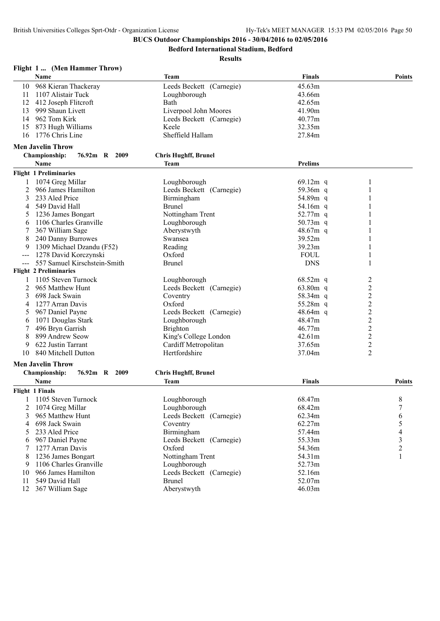**Bedford International Stadium, Bedford**

|     | Flight 1  (Men Hammer Throw)          |                             |                        |                         |
|-----|---------------------------------------|-----------------------------|------------------------|-------------------------|
|     | Name                                  | <b>Team</b>                 | <b>Finals</b>          | <b>Points</b>           |
| 10  | 968 Kieran Thackeray                  | Leeds Beckett (Carnegie)    | 45.63m                 |                         |
| 11  | 1107 Alistair Tuck                    | Loughborough                | 43.66m                 |                         |
| 12  | 412 Joseph Flitcroft                  | Bath                        | 42.65m                 |                         |
| 13  | 999 Shaun Livett                      | Liverpool John Moores       | 41.90m                 |                         |
| 14  | 962 Tom Kirk                          | Leeds Beckett (Carnegie)    | 40.77m                 |                         |
| 15  | 873 Hugh Williams                     | Keele                       | 32.35m                 |                         |
| 16  | 1776 Chris Line                       | Sheffield Hallam            | 27.84m                 |                         |
|     | <b>Men Javelin Throw</b>              |                             |                        |                         |
|     | <b>Championship:</b><br>76.92m R 2009 | <b>Chris Hughff, Brunel</b> |                        |                         |
|     | Name                                  | <b>Team</b>                 | <b>Prelims</b>         |                         |
|     | <b>Flight 1 Preliminaries</b>         |                             |                        |                         |
|     | 1074 Greg Millar                      | Loughborough                | 69.12 $m$ q            | 1                       |
| 2   | 966 James Hamilton                    | Leeds Beckett (Carnegie)    | 59.36m q               | 1                       |
| 3   | 233 Aled Price                        | Birmingham                  | 54.89m q               |                         |
| 4   | 549 David Hall                        | <b>Brunel</b>               | 54.16m q               |                         |
|     | 1236 James Bongart                    | Nottingham Trent            | 52.77m q               |                         |
| 6   | 1106 Charles Granville                | Loughborough                | 50.73m q               |                         |
|     | 367 William Sage                      | Aberystwyth                 | 48.67m q               |                         |
| 8   | 240 Danny Burrowes                    | Swansea                     | 39.52m                 | 1                       |
| 9   | 1309 Michael Dzandu (F52)             | Reading                     | 39.23m                 | 1                       |
| --- | 1278 David Korczynski                 | Oxford                      | <b>FOUL</b>            | 1                       |
|     | 557 Samuel Kirschstein-Smith          | <b>Brunel</b>               | <b>DNS</b>             | 1                       |
|     | <b>Flight 2 Preliminaries</b>         |                             |                        |                         |
|     | 1105 Steven Turnock                   |                             |                        |                         |
|     |                                       | Loughborough                | $68.52m$ q<br>63.80m q | 2                       |
| 2   | 965 Matthew Hunt                      | Leeds Beckett (Carnegie)    |                        | $\overline{c}$          |
| 3   | 698 Jack Swain                        | Coventry                    | 58.34m q               | $\overline{c}$          |
| 4   | 1277 Arran Davis                      | Oxford                      | 55.28 $m$ q            | $\overline{2}$          |
| 5   | 967 Daniel Payne                      | Leeds Beckett (Carnegie)    | $48.64m$ q             | $\overline{c}$          |
| 6   | 1071 Douglas Stark                    | Loughborough                | 48.47m                 | $\overline{\mathbf{c}}$ |
| 7   | 496 Bryn Garrish                      | <b>Brighton</b>             | 46.77m                 | $\overline{c}$          |
| 8   | 899 Andrew Seow                       | King's College London       | 42.61m                 | $\overline{\mathbf{c}}$ |
| 9   | 622 Justin Tarrant                    | Cardiff Metropolitan        | 37.65m                 | $\overline{c}$          |
| 10  | 840 Mitchell Dutton                   | Hertfordshire               | 37.04m                 | $\overline{2}$          |
|     | <b>Men Javelin Throw</b>              |                             |                        |                         |
|     | Championship:<br>76.92m R 2009        | <b>Chris Hughff, Brunel</b> |                        |                         |
|     | Name                                  | <b>Team</b>                 | <b>Finals</b>          | Points                  |
|     | <b>Flight 1 Finals</b>                |                             |                        |                         |
| 1   | 1105 Steven Turnock                   | Loughborough                | 68.47m                 | $\,8\,$                 |
| 2   | 1074 Greg Millar                      | Loughborough                | 68.42m                 | 7                       |
| 3   | 965 Matthew Hunt                      | Leeds Beckett (Carnegie)    | 62.34m                 | 6                       |
| 4   | 698 Jack Swain                        | Coventry                    | 62.27m                 | 5                       |
| 5   | 233 Aled Price                        | Birmingham                  | 57.44m                 | 4                       |
| 6   | 967 Daniel Payne                      | Leeds Beckett (Carnegie)    | 55.33m                 | 3                       |
| 7   | 1277 Arran Davis                      | Oxford                      | 54.36m                 | $\overline{c}$          |
| 8   | 1236 James Bongart                    | Nottingham Trent            | 54.31m                 | $\mathbf{1}$            |
| 9   | 1106 Charles Granville                | Loughborough                | 52.73m                 |                         |
| 10  | 966 James Hamilton                    | Leeds Beckett (Carnegie)    | 52.16m                 |                         |
| 11  | 549 David Hall                        | <b>Brunel</b>               | 52.07m                 |                         |
| 12  | 367 William Sage                      | Aberystwyth                 | 46.03m                 |                         |